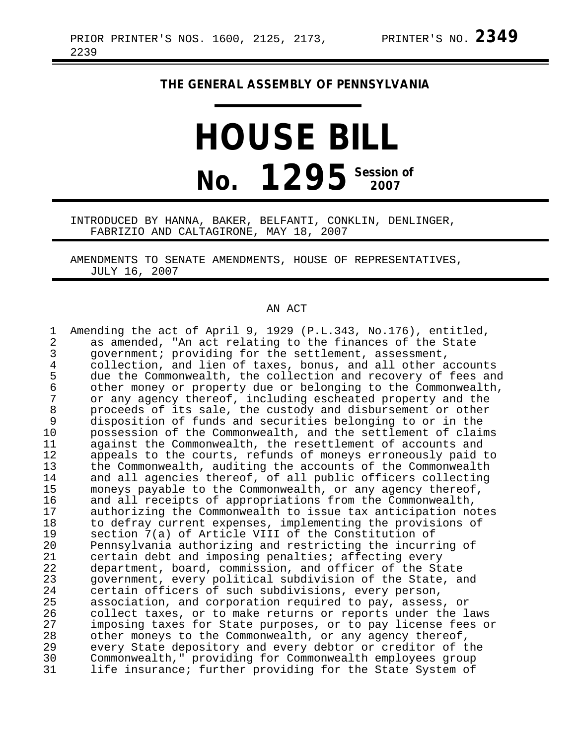## **THE GENERAL ASSEMBLY OF PENNSYLVANIA**

## **HOUSE BILL No. 1295** Session of

INTRODUCED BY HANNA, BAKER, BELFANTI, CONKLIN, DENLINGER, FABRIZIO AND CALTAGIRONE, MAY 18, 2007

AMENDMENTS TO SENATE AMENDMENTS, HOUSE OF REPRESENTATIVES, JULY 16, 2007

## AN ACT

| 1<br>$\overline{2}$<br>3 | Amending the act of April 9, 1929 (P.L.343, No.176), entitled,<br>as amended, "An act relating to the finances of the State<br>government; providing for the settlement, assessment, |
|--------------------------|--------------------------------------------------------------------------------------------------------------------------------------------------------------------------------------|
| $\overline{4}$           | collection, and lien of taxes, bonus, and all other accounts                                                                                                                         |
| 5                        | due the Commonwealth, the collection and recovery of fees and                                                                                                                        |
| 6<br>7                   | other money or property due or belonging to the Commonwealth,                                                                                                                        |
| 8                        | or any agency thereof, including escheated property and the<br>proceeds of its sale, the custody and disbursement or other                                                           |
| 9                        | disposition of funds and securities belonging to or in the                                                                                                                           |
| 10                       | possession of the Commonwealth, and the settlement of claims                                                                                                                         |
| 11                       | against the Commonwealth, the resettlement of accounts and                                                                                                                           |
| 12                       | appeals to the courts, refunds of moneys erroneously paid to                                                                                                                         |
| 13                       | the Commonwealth, auditing the accounts of the Commonwealth                                                                                                                          |
| 14                       | and all agencies thereof, of all public officers collecting                                                                                                                          |
| 15                       | moneys payable to the Commonwealth, or any agency thereof,                                                                                                                           |
| 16                       | and all receipts of appropriations from the Commonwealth,                                                                                                                            |
| 17                       | authorizing the Commonwealth to issue tax anticipation notes                                                                                                                         |
| 18                       | to defray current expenses, implementing the provisions of                                                                                                                           |
| 19                       | section 7(a) of Article VIII of the Constitution of                                                                                                                                  |
| 20                       | Pennsylvania authorizing and restricting the incurring of                                                                                                                            |
| 21                       | certain debt and imposing penalties; affecting every                                                                                                                                 |
| 22                       | department, board, commission, and officer of the State                                                                                                                              |
| 23                       | government, every political subdivision of the State, and                                                                                                                            |
| 24                       | certain officers of such subdivisions, every person,                                                                                                                                 |
| 25<br>26                 | association, and corporation required to pay, assess, or<br>collect taxes, or to make returns or reports under the laws                                                              |
| 27                       | imposing taxes for State purposes, or to pay license fees or                                                                                                                         |
| 28                       | other moneys to the Commonwealth, or any agency thereof,                                                                                                                             |
| 29                       | every State depository and every debtor or creditor of the                                                                                                                           |
| 30                       | Commonwealth," providing for Commonwealth employees group                                                                                                                            |
| 31                       | life insurance; further providing for the State System of                                                                                                                            |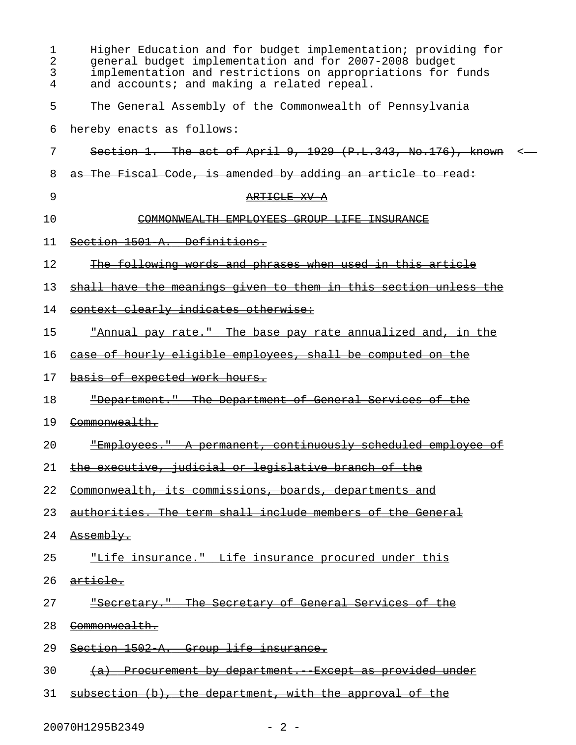| 1<br>2<br>3<br>4 | Higher Education and for budget implementation; providing for<br>general budget implementation and for 2007-2008 budget<br>implementation and restrictions on appropriations for funds<br>and accounts; and making a related repeal. |
|------------------|--------------------------------------------------------------------------------------------------------------------------------------------------------------------------------------------------------------------------------------|
| 5                | The General Assembly of the Commonwealth of Pennsylvania                                                                                                                                                                             |
| 6                | hereby enacts as follows:                                                                                                                                                                                                            |
| 7                | Section 1. The act of April 9, 1929 $(P.L.343, No.176)$ , known                                                                                                                                                                      |
| 8                | as The Fiscal Code, is amended by adding an article to read:                                                                                                                                                                         |
| 9                | ARTICLE XV A                                                                                                                                                                                                                         |
| 10               | COMMONWEALTH EMPLOYEES GROUP LIFE INSURANCE                                                                                                                                                                                          |
| 11               | Section 1501 A. Definitions.                                                                                                                                                                                                         |
| 12               | The following words and phrases when used in this article                                                                                                                                                                            |
| 13               | shall have the meanings given to them in this section unless the                                                                                                                                                                     |
| 14               | context clearly indicates otherwise:                                                                                                                                                                                                 |
| 15               | <u>"Annual pay rate." The base pay rate annualized and, in the </u>                                                                                                                                                                  |
| 16               | case of hourly eligible employees, shall be computed on the                                                                                                                                                                          |
| 17               | basis of expected work hours.                                                                                                                                                                                                        |
| 18               | "Department." The Department of General Services of the                                                                                                                                                                              |
| 19               | Commonwealth.                                                                                                                                                                                                                        |
| 20               | "Employees." A permanent, continuously scheduled employee of                                                                                                                                                                         |
| 21               | the executive, judicial or legislative branch of the                                                                                                                                                                                 |
| 22               | Commonwealth, its commissions, boards, departments and                                                                                                                                                                               |
| 23               | authorities. The term shall include members of the General                                                                                                                                                                           |
| 24               | <del>Assembly.</del>                                                                                                                                                                                                                 |
| 25               | "Life insurance." Life insurance procured under this                                                                                                                                                                                 |
|                  | 26 <del>article.</del>                                                                                                                                                                                                               |
| 27               | "Secretary." The Secretary of General Services of the                                                                                                                                                                                |
| 28               | <del>Commonwealth.</del>                                                                                                                                                                                                             |
| 29               | Section 1502 A. Group life insurance.                                                                                                                                                                                                |
| 30               | (a) Procurement by department. Except as provided under                                                                                                                                                                              |
|                  | 31 subsection (b), the department, with the approval of the                                                                                                                                                                          |

20070H1295B2349 - 2 -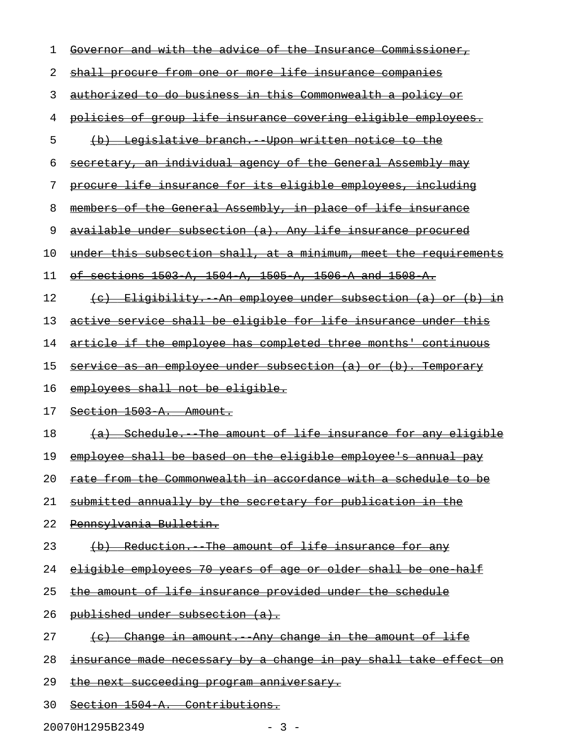| 1  | and with the advice of<br>the Insurance<br><del>Commissioner,</del><br><del>Governor</del> |
|----|--------------------------------------------------------------------------------------------|
| 2  | from one or more life insurance companies<br><del>shall procure</del>                      |
| 3  | authorized to do business in this Commonwealth a policy or                                 |
| 4  | of group life insurance covering eligible employees.<br><del>policies</del>                |
| 5  | Legislative branch. Upon written notice to the<br>$\Theta$                                 |
| 6  | secretary, an individual agency of the General Assembly may                                |
| 7  | procure life insurance for its eligible employees, including                               |
| 8  | members of the General Assembly, in place of life insurance                                |
| 9  | available under subsection (a). Any life insurance procured                                |
| 10 | under this subsection shall, at a minimum, meet the requirements                           |
| 11 | sections 1503 A, 1504 A, 1505 A, 1506 A and 1508 A.<br>οŧ                                  |
| 12 | Eligibility. An employee under subsection (a) or (b) in<br>$\left( \mathrm{e}\right)$      |
| 13 | active service shall be eligible for life insurance under this                             |
| 14 | article if the employee has completed three months' continuous                             |
| 15 | service as an employee under subsection (a) or (b). Temporary                              |
|    |                                                                                            |
| 16 | employees shall not be eligible.                                                           |
| 17 | Section 1503 A. Amount.                                                                    |
| 18 | (a) Schedule. The amount of life insurance for any eligible                                |
| 19 | employee shall be based on the eligible employee's annual pay                              |
| 20 | rate from the Commonwealth in accordance with a schedule to be                             |
| 21 | submitted annually by the secretary for publication in the                                 |
| 22 | Pennsylvania Bulletin.                                                                     |
| 23 | (b) Reduction. The amount of life insurance for any                                        |
| 24 | eligible employees 70 years of age or older shall be one half                              |
| 25 | the amount of life insurance provided under the schedule                                   |
| 26 | published under subsection (a).                                                            |
| 27 | (c) Change in amount. Any change in the amount of life                                     |
| 28 | <u>insurance made necessary by a change in pay shall take effect on</u>                    |
| 29 | the next succeeding program anniversary.                                                   |

20070H1295B2349 - 3 -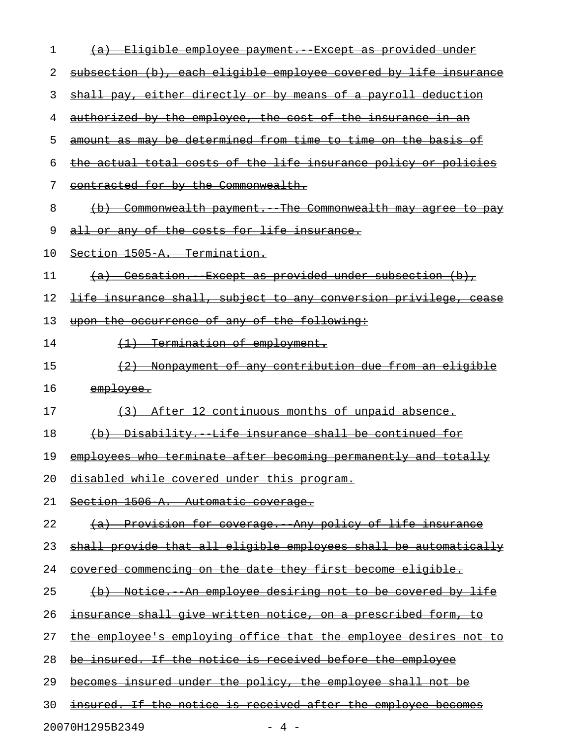| 1  | (a) Eligible employee payment. Except as provided under                 |
|----|-------------------------------------------------------------------------|
| 2  | subsection (b), each eligible employee covered by life insurance        |
| 3  | shall pay, either directly or by means of a payroll deduction           |
| 4  | authorized by the employee, the cost of the insurance in an             |
| 5  | amount as may be determined from time to time on the basis of           |
| 6  | the actual total costs of the life insurance policy or policies         |
| 7  | contracted for by the Commonwealth.                                     |
| 8  | (b) Commonwealth payment. The Commonwealth may agree to pay             |
| 9  | all or any of the costs for life insurance.                             |
| 10 | Section 1505 A. Termination.                                            |
| 11 | <u>(a) Cessation. Except as provided under subsection (b),</u>          |
| 12 | <u>life insurance shall, subject to any conversion privilege, cease</u> |
| 13 | upon the occurrence of any of the following:                            |
| 14 | (1) Termination of employment.                                          |
| 15 | (2) Nonpayment of any contribution due from an eligible                 |
| 16 | employee.                                                               |
| 17 | (3) After 12 continuous months of unpaid absence.                       |
| 18 | (b) Disability. Life insurance shall be continued for                   |
| 19 | employees who terminate after becoming permanently and totally          |
| 20 | disabled while covered under this program.                              |
| 21 | Section 1506 A. Automatic coverage.                                     |
| 22 | (a) Provision for coverage. Any policy of life insurance                |
| 23 | shall provide that all eligible employees shall be automatically        |
| 24 | covered commencing on the date they first become eligible.              |
| 25 | (b) Notice. An employee desiring not to be covered by life              |
| 26 | <u>insurance shall give written notice, on a prescribed form, to</u>    |
| 27 | the employee's employing office that the employee desires not to        |
| 28 | be insured. If the notice is received before the employee               |
| 29 | becomes insured under the policy, the employee shall not be             |
| 30 | insured. If the notice is received after the employee becomes           |
|    | 20070H1295B2349<br>- 4 -                                                |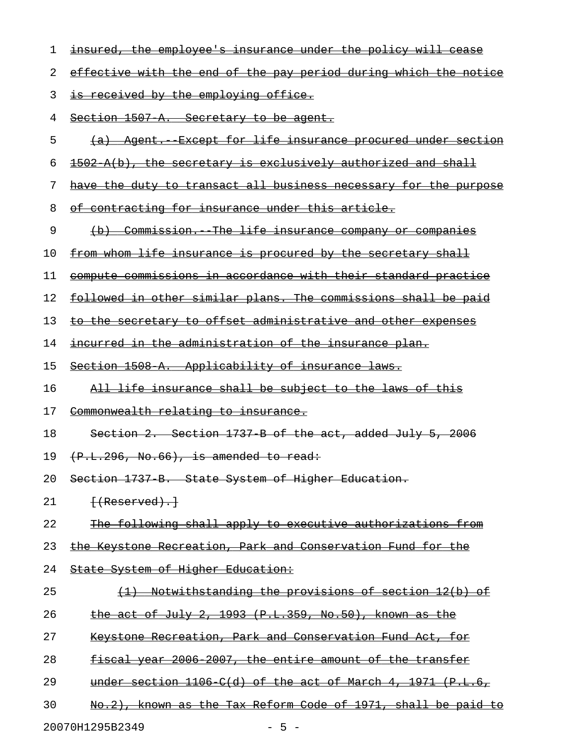| ı  | <u>insured, the employee's insurance under the policy will cease</u>    |
|----|-------------------------------------------------------------------------|
| 2  | effective with the end of the pay period during which the notice        |
| 3  | is received by the employing office.                                    |
| 4  | Section 1507 A. Secretary to be agent.                                  |
| 5  | (a) Agent. Except for life insurance procured under section             |
| 6  | 1502 A(b), the secretary is exclusively authorized and shall            |
| 7  | have the duty to transact all business necessary for the purpose        |
| 8  | <u>of contracting for insurance under this article.</u>                 |
| 9  | (b) Commission. The life insurance company or companies                 |
| 10 | from whom life insurance is procured by the secretary shall             |
| 11 | compute commissions in accordance with their standard practice          |
| 12 | followed in other similar plans. The commissions shall be paid          |
| 13 | to the secretary to offset administrative and other expenses            |
| 14 | <u>incurred in the administration of the insurance plan.</u>            |
| 15 | Section 1508 A. Applicability of insurance laws.                        |
| 16 | All life insurance shall be subject to the laws of this                 |
| 17 | Commonwealth relating to insurance.                                     |
| 18 | Section 2. Section 1737 B of the act, added July 5, 2006                |
| 19 | $(F.L.296, No.66)$ , is amended to read:                                |
| 20 | Section 1737 B. State System of Higher Education.                       |
| 21 | $\{$ (Reserved).                                                        |
| 22 | The following shall apply to executive authorizations from              |
| 23 | the Keystone Recreation, Park and Conservation Fund for the             |
| 24 | State System of Higher Education:                                       |
| 25 | Notwithstanding the provisions of section 12(b) of<br>$\leftrightarrow$ |
| 26 | the act of July 2, 1993 $(P.L.359, No.50)$ , known as the               |
| 27 | Keystone Recreation, Park and Conservation Fund Act, for                |
| 28 | fiscal year 2006 2007, the entire amount of the transfer                |
| 29 | under section 1106 C(d) of the act of March 4, 1971 (P.L.6,             |
| 30 | No.2), known as the Tax Reform Code of 1971, shall be paid to           |
|    | 20070H1295B2349<br>$-5 -$                                               |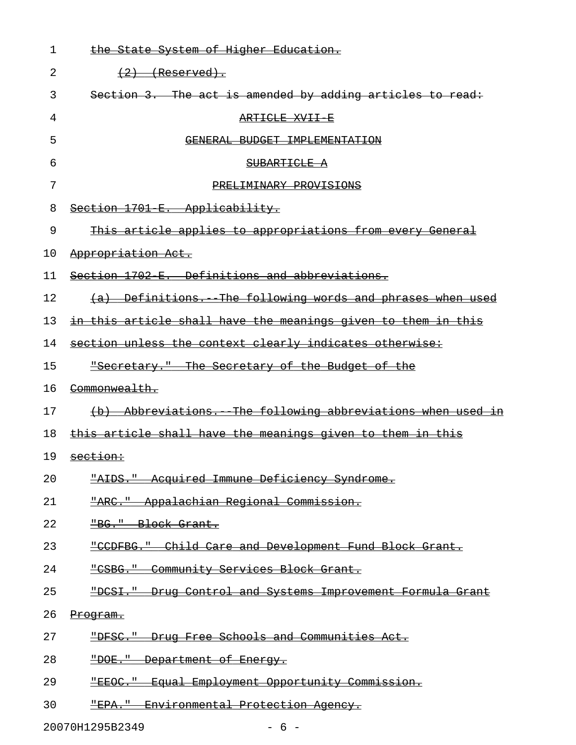| 1  | the State System of Higher Education.                         |
|----|---------------------------------------------------------------|
| 2  | $(2)$ (Reserved).                                             |
| 3  | Section 3. The act is amended by adding articles to read:     |
| 4  | ARTICLE XVII E                                                |
| 5  | GENERAL BUDGET IMPLEMENTATION                                 |
| 6  | SUBARTICLE A                                                  |
| 7  | PRELIMINARY PROVISIONS                                        |
| 8  | Section 1701 E. Applicability.                                |
| 9  | This article applies to appropriations from every General     |
| 10 | Appropriation Act.                                            |
| 11 | Section 1702 E. Definitions and abbreviations.                |
| 12 | (a) Definitions. The following words and phrases when used    |
| 13 | in this article shall have the meanings given to them in this |
| 14 | section unless the context clearly indicates otherwise:       |
| 15 | "Secretary." The Secretary of the Budget of the               |
| 16 | Commonwealth.                                                 |
| 17 | (b) Abbreviations. The following abbreviations when used in   |
| 18 | this article shall have the meanings given to them in this    |
| 19 | section:                                                      |
| 20 | "AIDS." Acquired Immune Deficiency Syndrome.                  |
| 21 | "ARC." Appalachian Regional Commission.                       |
| 22 | "BG." Block Grant.                                            |
| 23 | "CCDFBG." Child Care and Development Fund Block Grant.        |
| 24 | "CSBG." Community Services Block Grant.                       |
| 25 | "DCSI." Drug Control and Systems Improvement Formula Grant    |
| 26 | Program.                                                      |
| 27 | "DFSC." Drug Free Schools and Communities Act.                |
| 28 | "DOE." Department of Energy.                                  |
| 29 | "EEOC." Equal Employment Opportunity Commission.              |
| 30 | "EPA." Environmental Protection Agency.                       |
|    |                                                               |

20070H1295B2349 - 6 -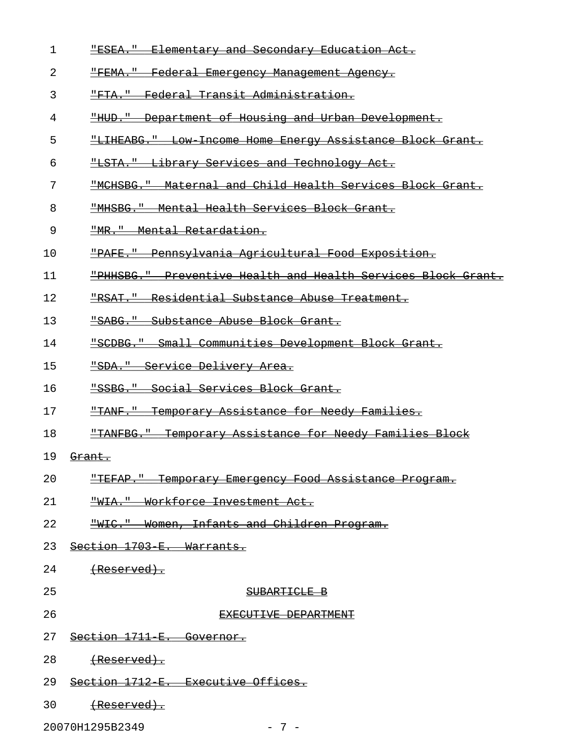| 1  | <b>"ESEA."</b> Elementary and Secondary Education Act.                |
|----|-----------------------------------------------------------------------|
| 2  | "FEMA." Federal Emergency Management Agency.                          |
| 3  | "FTA." Federal Transit Administration.                                |
| 4  | "HUD." Department of Housing and Urban Development.                   |
| 5  | "LIHEABG." Low Income Home Energy Assistance Block Grant.             |
| 6  | "LSTA." Library Services and Technology Act.                          |
| 7  | "MCHSBG." Maternal and Child Health Services Block Grant.             |
| 8  | "MHSBG." Mental Health Services Block Grant.                          |
| 9  | "MR." Mental Retardation.                                             |
| 10 | "PAFE." Pennsylvania Agricultural Food Exposition.                    |
| 11 | "PHHSBG." Preventive Health and Health Services Block Grant.          |
| 12 | Residential Substance Abuse Treatment.<br><del>"RSAT."</del>          |
| 13 | "SABG." Substance Abuse Block Grant.                                  |
| 14 | Small Communities Development Block Grant.<br><del>"SCDBG."</del>     |
| 15 | "SDA." Service Delivery Area.                                         |
| 16 | "SSBG." Social Services Block Grant.                                  |
| 17 | Temporary Assistance for Needy Families.<br><del>"TANF."</del>        |
| 18 | Temporary Assistance for Needy Families Block<br><del>"TANFBG."</del> |
| 19 | Grant.                                                                |
| 20 | "TEFAP." Temporary Emergency Food Assistance Program.                 |
| 21 | <u> "WIA." Workforce Investment Act.</u>                              |
| 22 | Women, Infants and Children Program.<br>$-WFC.$ "                     |
| 23 | Section 1703 E. Warrants.                                             |
| 24 | <del>(Reserved).</del>                                                |
| 25 | SUBARTICLE B                                                          |
| 26 | EXECUTIVE DEPARTMENT                                                  |
| 27 | Section 1711 E. Governor.                                             |
| 28 | <del>(Reserved).</del>                                                |
| 29 | Section 1712 E. Executive Offices.                                    |
| 30 | <del>(Reserved).</del>                                                |

20070H1295B2349 - 7 -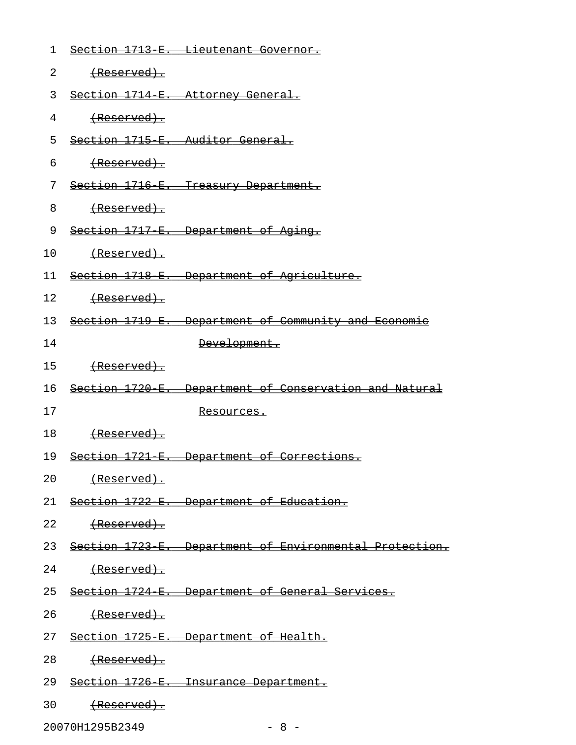| 1  |                              | Section 1713 E. Lieutenant Governor.                       |
|----|------------------------------|------------------------------------------------------------|
| 2  | (Reserved).                  |                                                            |
| 3  |                              | Section 1714 E. Attorney General.                          |
| 4  | (Reserved).                  |                                                            |
| 5  |                              | Section 1715 E. Auditor General.                           |
| 6  | (Reserved).                  |                                                            |
| 7  |                              | Section 1716 E. Treasury Department.                       |
| 8  | (Reserved).                  |                                                            |
| 9  |                              | Section 1717 E. Department of Aging.                       |
| 10 | (Reserved).                  |                                                            |
| 11 |                              | Section 1718 E. Department of Agriculture.                 |
| 12 |                              |                                                            |
| 13 |                              | Section 1719 E. Department of Community and Economic       |
| 14 |                              | Development.                                               |
| 15 | <del>(Reserved).</del>       |                                                            |
| 16 |                              | Section 1720 E. Department of Conservation and Natural     |
| 17 |                              | <del>Resources.</del>                                      |
| 18 | (Reserved).                  |                                                            |
| 19 |                              | Section 1721 E. Department of Corrections.                 |
|    | 20 <del>(Reserved).</del>    |                                                            |
|    |                              | 21 Section 1722 E. Department of Education.                |
|    | 22<br><del>(Reserved).</del> |                                                            |
|    |                              | 23 Section 1723 E. Department of Environmental Protection. |
|    | 24 (Reserved).               |                                                            |
|    |                              | 25 Section 1724 E. Department of General Services.         |
|    | 26 (Reserved).               |                                                            |
|    |                              | 27 Section 1725 E. Department of Health.                   |
|    | 28<br><del>(Reserved).</del> |                                                            |
|    |                              | 29 Section 1726 E. Insurance Department.                   |
|    | 30                           |                                                            |

20070H1295B2349 - 8 -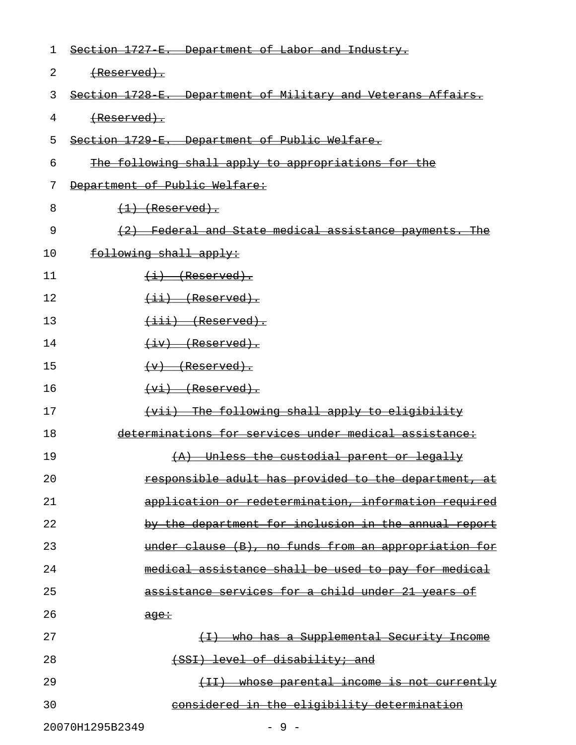| 1  | Section 1727 E.<br>Department of Labor and Industry.                                                                                                                                                                                                                                                                                                                                                                                                                                                                                                                                                                                                                                                                                                                           |
|----|--------------------------------------------------------------------------------------------------------------------------------------------------------------------------------------------------------------------------------------------------------------------------------------------------------------------------------------------------------------------------------------------------------------------------------------------------------------------------------------------------------------------------------------------------------------------------------------------------------------------------------------------------------------------------------------------------------------------------------------------------------------------------------|
| 2  | <del>(Reserved).</del>                                                                                                                                                                                                                                                                                                                                                                                                                                                                                                                                                                                                                                                                                                                                                         |
| 3  | Section 1728 E.<br><del>Department of Military and Veterans Affairs.</del>                                                                                                                                                                                                                                                                                                                                                                                                                                                                                                                                                                                                                                                                                                     |
| 4  |                                                                                                                                                                                                                                                                                                                                                                                                                                                                                                                                                                                                                                                                                                                                                                                |
| 5  | Section 1729 E.<br>Department of Public Welfare.                                                                                                                                                                                                                                                                                                                                                                                                                                                                                                                                                                                                                                                                                                                               |
| 6  | <u>The following shall apply to appropriations for the</u>                                                                                                                                                                                                                                                                                                                                                                                                                                                                                                                                                                                                                                                                                                                     |
| 7  | Department of Public Welfare:                                                                                                                                                                                                                                                                                                                                                                                                                                                                                                                                                                                                                                                                                                                                                  |
| 8  | $(1)$ (Reserved).                                                                                                                                                                                                                                                                                                                                                                                                                                                                                                                                                                                                                                                                                                                                                              |
| 9  | Federal and State medical assistance                                                                                                                                                                                                                                                                                                                                                                                                                                                                                                                                                                                                                                                                                                                                           |
| 10 | following shall apply:                                                                                                                                                                                                                                                                                                                                                                                                                                                                                                                                                                                                                                                                                                                                                         |
| 11 | $(i)$ (Reserved).                                                                                                                                                                                                                                                                                                                                                                                                                                                                                                                                                                                                                                                                                                                                                              |
| 12 | <del>(Reserved)</del><br>$\overline{\phantom{0}}$                                                                                                                                                                                                                                                                                                                                                                                                                                                                                                                                                                                                                                                                                                                              |
| 13 | $\overleftrightarrow{$ $\leftrightarrow$ $\overleftrightarrow{$ $\leftrightarrow$ $\leftrightarrow$ $\overleftrightarrow{$ $\leftrightarrow$ $\leftrightarrow$ $\overleftrightarrow{$ $\leftrightarrow$ $\leftrightarrow$ $\overleftrightarrow{$ $\leftrightarrow$ $\leftrightarrow$ $\overleftrightarrow{$ $\leftrightarrow$ $\leftrightarrow$ $\overleftrightarrow{$ $\leftrightarrow$ $\leftrightarrow$ $\overleftrightarrow{$ $\leftrightarrow$ $\leftrightarrow$ $\overleftrightarrow{$ $\leftrightarrow$ $\leftrightarrow$ $\overleftrightarrow{$ $\leftrightarrow$ $\leftrightarrow$ $\rightarrow$ $\overleftrightarrow{$ $\leftrightarrow$ $\leftrightarrow$ $\rightarrow$ $\overleftrightarrow{$ $\leftrightarrow$ $\rightarrow$ $\rightarrow$ $\overleftrightarrow{$ |
| 14 | $\overline{(+iv)}$ (Reserved).                                                                                                                                                                                                                                                                                                                                                                                                                                                                                                                                                                                                                                                                                                                                                 |
| 15 | <del>(Reserved).</del><br>$\leftarrow$                                                                                                                                                                                                                                                                                                                                                                                                                                                                                                                                                                                                                                                                                                                                         |
| 16 | $(vi)$ (Reserved).                                                                                                                                                                                                                                                                                                                                                                                                                                                                                                                                                                                                                                                                                                                                                             |
| 17 | The following shall apply to eligibility<br>$\leftarrow$ $\leftarrow$                                                                                                                                                                                                                                                                                                                                                                                                                                                                                                                                                                                                                                                                                                          |
| 18 | determinations for services under medical assistance:                                                                                                                                                                                                                                                                                                                                                                                                                                                                                                                                                                                                                                                                                                                          |
| 19 | Unless the custodial parent or legally<br>$+A$                                                                                                                                                                                                                                                                                                                                                                                                                                                                                                                                                                                                                                                                                                                                 |
| 20 | responsible adult has provided to the department, at                                                                                                                                                                                                                                                                                                                                                                                                                                                                                                                                                                                                                                                                                                                           |
| 21 | application or redetermination, information required                                                                                                                                                                                                                                                                                                                                                                                                                                                                                                                                                                                                                                                                                                                           |
| 22 | by the department for inclusion in the annual report                                                                                                                                                                                                                                                                                                                                                                                                                                                                                                                                                                                                                                                                                                                           |
| 23 | under clause (B), no funds from an appropriation for                                                                                                                                                                                                                                                                                                                                                                                                                                                                                                                                                                                                                                                                                                                           |
| 24 | medical assistance shall be used to pay for medical                                                                                                                                                                                                                                                                                                                                                                                                                                                                                                                                                                                                                                                                                                                            |
| 25 | services for a child under 21 years of<br><del>assistance</del>                                                                                                                                                                                                                                                                                                                                                                                                                                                                                                                                                                                                                                                                                                                |
| 26 | age:                                                                                                                                                                                                                                                                                                                                                                                                                                                                                                                                                                                                                                                                                                                                                                           |
| 27 | (I) who has a Supplemental Security Income                                                                                                                                                                                                                                                                                                                                                                                                                                                                                                                                                                                                                                                                                                                                     |
| 28 | (SSI) level of disability; and                                                                                                                                                                                                                                                                                                                                                                                                                                                                                                                                                                                                                                                                                                                                                 |
| 29 | <u>whose parental income is not currently</u><br>$\overline{+1}$                                                                                                                                                                                                                                                                                                                                                                                                                                                                                                                                                                                                                                                                                                               |
| 30 | considered in the eligibility determination                                                                                                                                                                                                                                                                                                                                                                                                                                                                                                                                                                                                                                                                                                                                    |
|    | 20070H1295B2349<br>$-9-$                                                                                                                                                                                                                                                                                                                                                                                                                                                                                                                                                                                                                                                                                                                                                       |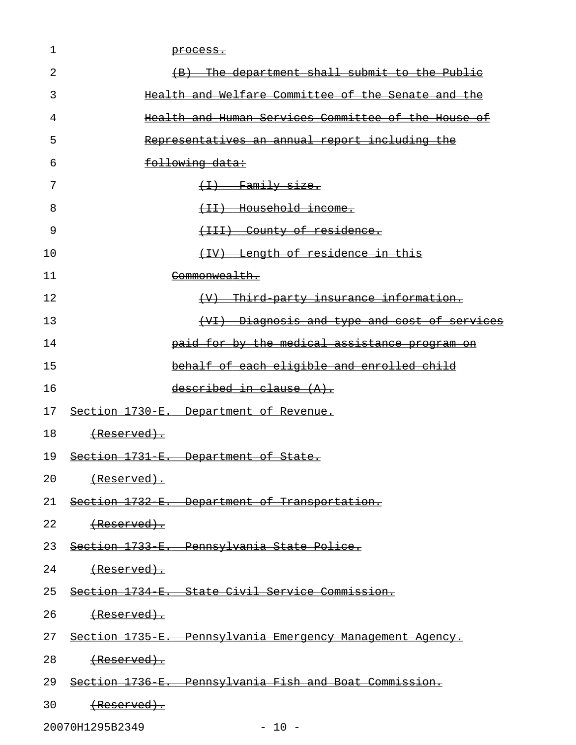| 1  | process.                                                     |
|----|--------------------------------------------------------------|
| 2  | (B) The department shall submit to the Public                |
| 3  | Health and Welfare Committee of the Senate and the           |
| 4  | Health and Human Services Committee of the House of          |
| 5  | Representatives an annual report including the               |
| 6  | following data:                                              |
| 7  | $\overline{f(1)}$ Family size.                               |
| 8  | (II) Household income.                                       |
| 9  | (III) County of residence.                                   |
| 10 | (IV) Length of residence in this                             |
| 11 | Commonwealth.                                                |
| 12 | (V) Third party insurance information.                       |
| 13 | <u>(VI) Diagnosis and type and cost of services</u>          |
| 14 | paid for by the medical assistance program on                |
| 15 | behalf of each eligible and enrolled child                   |
| 16 | described in clause (A).                                     |
| 17 | Section 1730 E. Department of Revenue.                       |
| 18 | <del>(Reserved).</del>                                       |
| 19 | Section 1731 E. Department of State.                         |
| 20 | (Reserved).                                                  |
|    | 21 Section 1732 E. Department of Transportation.             |
| 22 | ${$ Reserved $)$ .                                           |
|    | 23 Section 1733 E. Pennsylvania State Police.                |
| 24 | (Reserved).                                                  |
|    | 25 Section 1734 E. State Civil Service Commission.           |
| 26 | <del>(Reserved).</del>                                       |
|    | 27 Section 1735 E. Pennsylvania Emergency Management Agency. |
| 28 |                                                              |
|    | 29 Section 1736 E. Pennsylvania Fish and Boat Commission.    |
| 30 | (Reserved).                                                  |

20070H1295B2349 - 10 -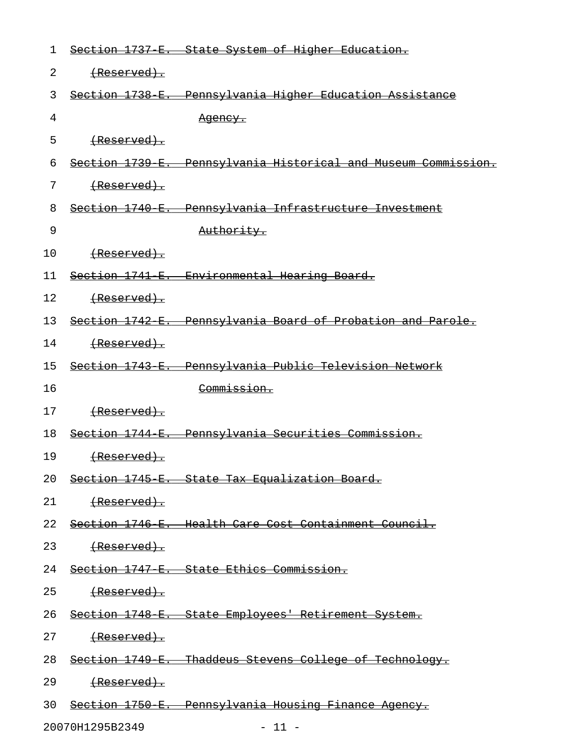| 1  |                        | Section 1737 E. State System of Higher Education.              |
|----|------------------------|----------------------------------------------------------------|
| 2  | (Reserved).            |                                                                |
| 3  |                        | Section 1738 E. Pennsylvania Higher Education Assistance       |
| 4  |                        | <u>Agency.</u>                                                 |
| 5  | <u>(Reserved).</u>     |                                                                |
| 6  |                        | Section 1739 E. Pennsylvania Historical and Museum Commission. |
| 7  | (Reserved).            |                                                                |
| 8  |                        | Section 1740 E. Pennsylvania Infrastructure Investment         |
| 9  |                        | Authority.                                                     |
| 10 | <del>(Reserved).</del> |                                                                |
| 11 |                        | Section 1741 E. Environmental Hearing Board.                   |
| 12 | (Reserved).            |                                                                |
| 13 |                        | Section 1742 E. Pennsylvania Board of Probation and Parole.    |
| 14 | (Reserved).            |                                                                |
| 15 |                        | Section 1743 E. Pennsylvania Public Television Network         |
| 16 |                        | Commission.                                                    |
| 17 | (Reserved).            |                                                                |
| 18 |                        | Section 1744 E. Pennsylvania Securities Commission.            |
| 19 |                        |                                                                |
| 20 |                        | Section 1745 E. State Tax Equalization Board.                  |
| 21 | <del>(Reserved).</del> |                                                                |
| 22 |                        | Section 1746 E. Health Care Cost Containment Council.          |
| 23 | <del>(Reserved).</del> |                                                                |
| 24 |                        | Section 1747 E. State Ethics Commission.                       |
| 25 | (Reserved).            |                                                                |
| 26 |                        | Section 1748 E. State Employees' Retirement System.            |
| 27 | (Reserved).            |                                                                |
| 28 |                        | Section 1749 E. Thaddeus Stevens College of Technology.        |
| 29 | <del>(Reserved).</del> |                                                                |
| 30 |                        | Section 1750 E. Pennsylvania Housing Finance Agency.           |
|    | 20070H1295B2349        | $-11 -$                                                        |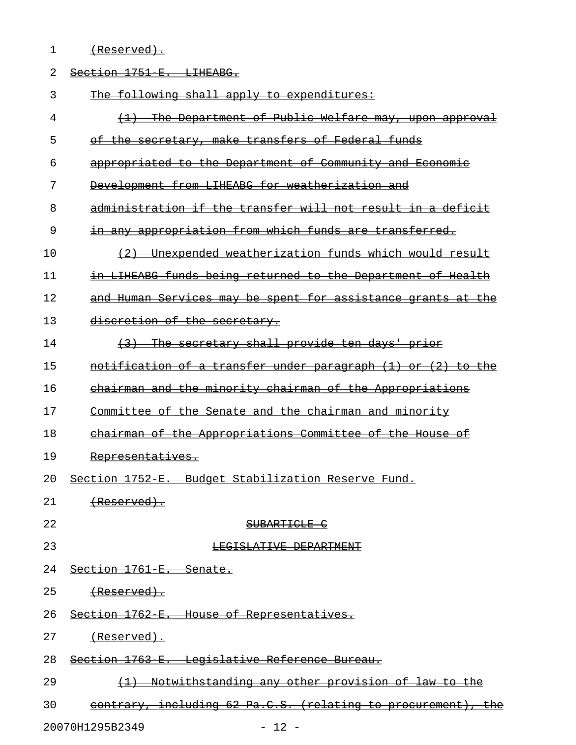| $1$ Dogovirod)<br>170901 ACAT |
|-------------------------------|
|-------------------------------|

| 2  | Section 1751 E. LIHEABG.                                            |
|----|---------------------------------------------------------------------|
| 3  | The following shall apply to expenditures:                          |
| 4  | (1) The Department of Public Welfare may, upon approval             |
| 5  | of the secretary, make transfers of Federal funds                   |
| 6  | appropriated to the Department of Community and Economic            |
| 7  | Development from LIHEABG for weatherization and                     |
| 8  | administration if the transfer will not result in a deficit         |
| 9  | in any appropriation from which funds are transferred.              |
| 10 | (2) Unexpended weatherization funds which would result              |
| 11 | in LIHEABG funds being returned to the Department of Health         |
| 12 | and Human Services may be spent for assistance grants at the        |
| 13 | discretion of the secretary.                                        |
| 14 | (3) The secretary shall provide ten days' prior                     |
| 15 | <u>notification of a transfer under paragraph (1) or (2) to the</u> |
| 16 | chairman and the minority chairman of the Appropriations            |
| 17 | Committee of the Senate and the chairman and minority               |
| 18 | chairman of the Appropriations Committee of the House of            |
| 19 | Representatives.                                                    |
| 20 | Section 1752 E. Budget Stabilization Reserve Fund.                  |
| 21 | <del>(Reserved).</del>                                              |
| 22 | SUBARTICLE C                                                        |
| 23 | LEGISLATIVE DEPARTMENT                                              |
| 24 | Section 1761 E. Senate.                                             |
| 25 | <del>(Reserved).</del>                                              |
| 26 | Section 1762 E. House of Representatives.                           |
| 27 | <del>(Reserved).</del>                                              |
| 28 | Section 1763 E. Legislative Reference Bureau.                       |
| 29 | <u>Notwithstanding any other provision of law to the</u>            |
| 30 | contrary, including 62 Pa.C.S. (relating to procurement), the       |
|    | 20070H1295B2349<br>$-12 -$                                          |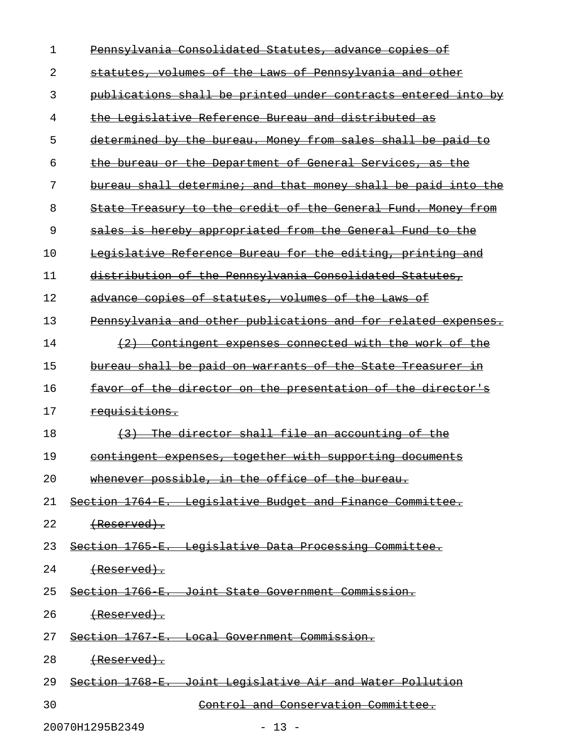| $\mathbf{1}$ | Pennsylvania Consolidated Statutes, advance copies of         |
|--------------|---------------------------------------------------------------|
| 2            | statutes, volumes of the Laws of Pennsylvania and other       |
| 3            | publications shall be printed under contracts entered into by |
| 4            | the Legislative Reference Bureau and distributed as           |
| 5            | determined by the bureau. Money from sales shall be paid to   |
| 6            | the bureau or the Department of General Services, as the      |
| 7            | bureau shall determine; and that money shall be paid into the |
| 8            | State Treasury to the credit of the General Fund. Money from  |
| 9            | sales is hereby appropriated from the General Fund to the     |
| 10           | Legislative Reference Bureau for the editing, printing and    |
| 11           | distribution of the Pennsylvania Consolidated Statutes,       |
| 12           | advance copies of statutes, volumes of the Laws of            |
| 13           | Pennsylvania and other publications and for related expenses. |
| 14           | (2) Contingent expenses connected with the work of the        |
| 15           | bureau shall be paid on warrants of the State Treasurer in    |
| 16           | favor of the director on the presentation of the director's   |
| 17           | requisitions.                                                 |
| 18           | (3) The director shall file an accounting of the              |
| 19           | contingent expenses, together with supporting documents       |
| 20           | whenever possible, in the office of the bureau.               |
| 21           | Section 1764 E. Legislative Budget and Finance Committee.     |
| 22           | $(Research)$ .                                                |
| 23           | Section 1765 E. Legislative Data Processing Committee.        |
| 24           |                                                               |
| 25           | Section 1766 E. Joint State Government Commission.            |
| 26           | <del>(Reserved).</del>                                        |
| 27           | Section 1767 E. Local Government Commission.                  |
| 28           | <del>(Reserved).</del>                                        |
| 29           | Section 1768 E. Joint Legislative Air and Water Pollution     |
| 30           | Control and Conservation Committee.                           |

20070H1295B2349 - 13 -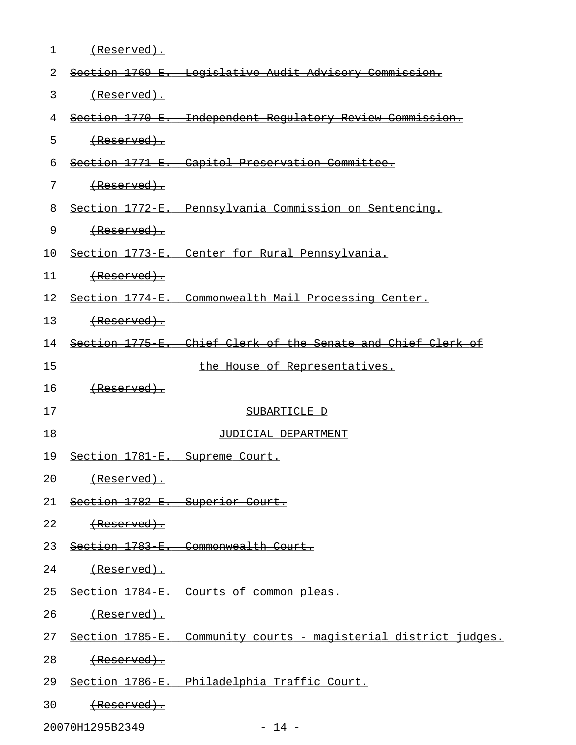| 1  | $(Research)$ .                          |                                                                    |
|----|-----------------------------------------|--------------------------------------------------------------------|
| 2  |                                         | Section 1769 E. Legislative Audit Advisory Commission.             |
| 3  |                                         |                                                                    |
| 4  |                                         | Section 1770 E. Independent Regulatory Review Commission.          |
| 5  |                                         |                                                                    |
| 6  |                                         | Section 1771 E. Capitol Preservation Committee.                    |
| 7  |                                         |                                                                    |
| 8  |                                         | Section 1772 E. Pennsylvania Commission on Sentencing.             |
| 9  |                                         |                                                                    |
| 10 |                                         | Section 1773 E. Center for Rural Pennsylvania.                     |
| 11 |                                         |                                                                    |
| 12 |                                         | Section 1774 E. Commonwealth Mail Processing Center.               |
| 13 |                                         |                                                                    |
| 14 |                                         | Section 1775 E. Chief Clerk of the Senate and Chief Clerk of       |
| 15 |                                         | the House of Representatives.                                      |
| 16 |                                         |                                                                    |
| 17 |                                         | SUBARTICLE D                                                       |
| 18 |                                         | JUDICIAL DEPARTMENT                                                |
| 19 | Section 1781 E. Supreme Court.          |                                                                    |
| 20 | <del>(Reserved).</del>                  |                                                                    |
|    | 21 Section 1782 E. Superior Court.      |                                                                    |
| 22 | ${$ $\left($ Reserved $\right)$ $\cdot$ |                                                                    |
|    |                                         | 23 Section 1783 E. Commonwealth Court.                             |
| 24 | ${$ $\left($ Reserved $\right)$ $\cdot$ |                                                                    |
|    |                                         | 25 Section 1784 E. Courts of common pleas.                         |
| 26 | (Reserved).                             |                                                                    |
|    |                                         | 27 Section 1785 E. Community courts - magisterial district judges. |
|    |                                         |                                                                    |
| 28 | (Reserved).                             |                                                                    |
| 29 |                                         | <u> Section 1786 E. – Philadelphia Traffic Court.</u>              |

20070H1295B2349 - 14 -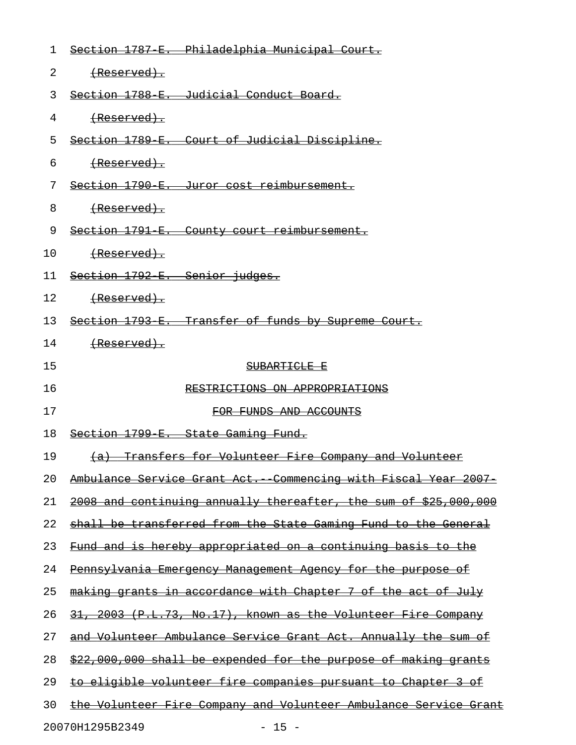| 1                          | Section 1787 E. Philadelphia Municipal Court.                        |  |
|----------------------------|----------------------------------------------------------------------|--|
| 2                          | (Reserved).                                                          |  |
| 3                          | Section 1788 E. Judicial Conduct Board.                              |  |
| 4                          | (Reserved).                                                          |  |
| 5                          | Section 1789 E. Court of Judicial Discipline.                        |  |
| 6                          | (Reserved).                                                          |  |
| 7                          | Section 1790 E. Juror cost reimbursement.                            |  |
| 8                          | (Reserved).                                                          |  |
| 9                          | Section 1791 E. County court reimbursement.                          |  |
| 10                         |                                                                      |  |
| 11                         | Section 1792 E. Senior judges.                                       |  |
| 12                         |                                                                      |  |
| 13                         | Section 1793 E. Transfer of funds by Supreme Court.                  |  |
| 14                         | (Reserved).                                                          |  |
| 15                         | SUBARTICLE E                                                         |  |
| 16                         | RESTRICTIONS ON APPROPRIATIONS                                       |  |
| 17                         | FOR FUNDS AND ACCOUNTS                                               |  |
| 18                         | Section 1799 E. State Gaming Fund.                                   |  |
| 19                         | (a) Transfers for Volunteer Fire Company and Volunteer               |  |
| 20                         | Ambulance Service Grant Act. Commencing with Fiscal Year 2007        |  |
| 21                         | 2008 and continuing annually thereafter, the sum of \$25,000,000     |  |
| 22                         | shall be transferred from the State Gaming Fund to the General       |  |
| 23                         | <u>Fund and is hereby appropriated on a continuing basis to the </u> |  |
| 24                         | Pennsylvania Emergency Management Agency for the purpose of          |  |
| 25                         | making grants in accordance with Chapter 7 of the act of July        |  |
| 26                         | 31, 2003 (P.L.73, No.17), known as the Volunteer Fire Company        |  |
| 27                         | and Volunteer Ambulance Service Grant Act. Annually the sum of       |  |
| 28                         | \$22,000,000 shall be expended for the purpose of making grants      |  |
| 29                         | to eligible volunteer fire companies pursuant to Chapter 3 of        |  |
| 30                         | the Volunteer Fire Company and Volunteer Ambulance Service Grant     |  |
| 20070H1295B2349<br>$-15 -$ |                                                                      |  |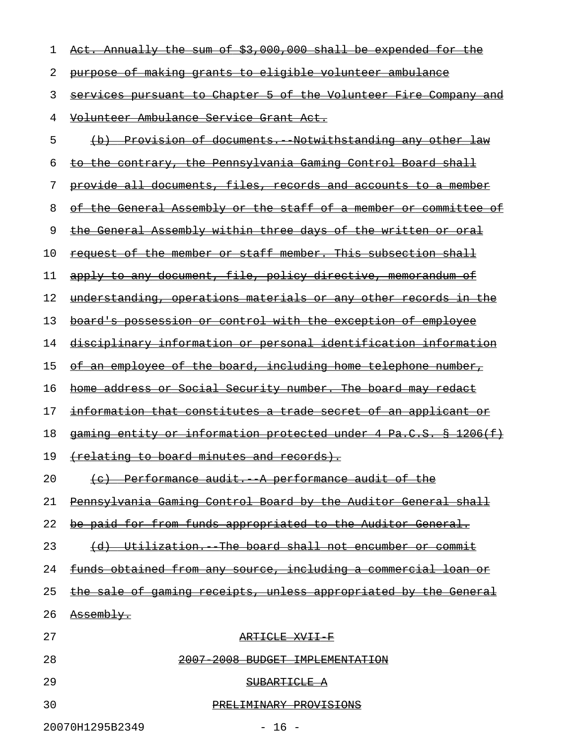| 1                          | Act. Annually the sum of \$3,000,000 shall be expended for the          |
|----------------------------|-------------------------------------------------------------------------|
| 2                          | purpose of making grants to eligible volunteer ambulance                |
| 3                          | services pursuant to Chapter 5 of the Volunteer Fire Company and        |
| 4                          | <u>Volunteer Ambulance Service Grant Act.</u>                           |
| 5                          | (b) Provision of documents. Notwithstanding any other law               |
| 6                          | to the contrary, the Pennsylvania Gaming Control Board shall            |
| 7                          | provide all documents, files, records and accounts to a member          |
| 8                          | of the General Assembly or the staff of a member or committee of        |
| 9                          | the General Assembly within three days of the written or oral           |
| 10                         | request of the member or staff member. This subsection shall            |
| 11                         | apply to any document, file, policy directive, memorandum of            |
| 12                         | <u>understanding, operations materials or any other records in the </u> |
| 13                         | board's possession or control with the exception of employee            |
| 14                         | <u>disciplinary information or personal identification information</u>  |
| 15                         | of an employee of the board, including home telephone number,           |
| 16                         | home address or Social Security number. The board may redact            |
| 17                         | information that constitutes a trade secret of an applicant or          |
| 18                         | gaming entity or information protected under 4 Pa.C.S. § 1206(f)        |
| 19                         | (relating to board minutes and records).                                |
| 20                         | (e) Performance audit. A performance audit of the                       |
| 21                         | Pennsylvania Gaming Control Board by the Auditor General shall          |
| 22                         | be paid for from funds appropriated to the Auditor General.             |
| 23                         | (d) Utilization. The board shall not encumber or commit                 |
| 24                         | funds obtained from any source, including a commercial loan or          |
| 25                         | the sale of gaming receipts, unless appropriated by the General         |
| 26                         | Assembly.                                                               |
| 27                         | ARTICLE XVII F                                                          |
| 28                         | 2007 2008 BUDGET IMPLEMENTATION                                         |
| 29                         | SUBARTICLE A                                                            |
| 30                         | PRELIMINARY PROVISIONS                                                  |
| 20070H1295B2349<br>$-16 -$ |                                                                         |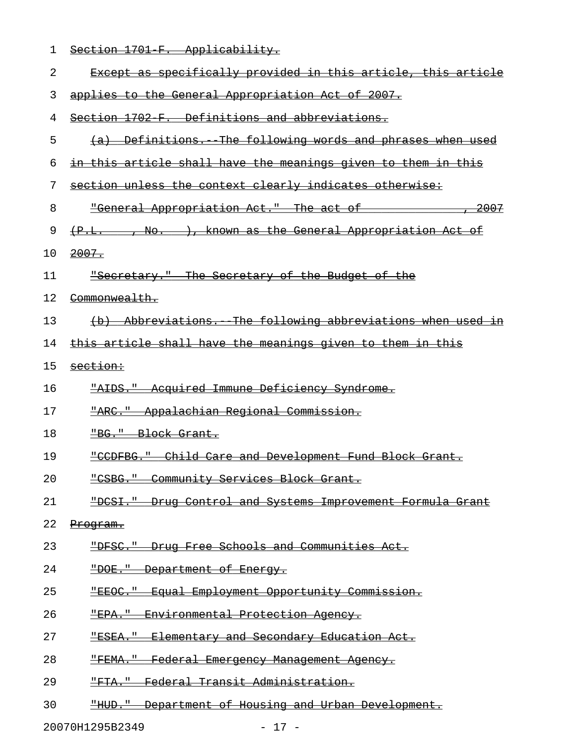| $C_{\Omega}$ ation 1701 $\Box$ |                                |  |
|--------------------------------|--------------------------------|--|
|                                | PECLION ITOL F. APPIICADIIICY. |  |

| 2  | Except as specifically provided in this article, this article      |
|----|--------------------------------------------------------------------|
| 3  | applies to the General Appropriation Act of 2007.                  |
| 4  | Section 1702 F. Definitions and abbreviations.                     |
| 5  | (a) Definitions. The following words and phrases when used         |
| 6  | in this article shall have the meanings given to them in this      |
| 7  | section unless the context clearly indicates otherwise:            |
| 8  | "General Appropriation Act." The act of ______________, 2007       |
| 9  | (P.L. . No. ), known as the General Appropriation Act of           |
| 10 | 2007.                                                              |
| 11 | <b>"Secretary."</b> The Secretary of the Budget of the             |
| 12 | <del>Commonwealth.</del>                                           |
| 13 | (b) Abbreviations. The following abbreviations when used in        |
| 14 | this article shall have the meanings given to them in this         |
| 15 | section:                                                           |
| 16 | "AIDS." Acquired Immune Deficiency Syndrome.                       |
| 17 | "ARC." Appalachian Regional Commission.                            |
| 18 | "BG." Block Grant.                                                 |
| 19 | "CCDFBG." Child Care and Development Fund Block Grant.             |
| 20 | <u> "CSBG." Community Services Block Grant.</u>                    |
| 21 | "DCSI." Drug Control and Systems Improvement Formula Grant         |
| 22 | Program.                                                           |
| 23 | Drug Free Schools and Communities Act.<br><del>"DFSC."</del>       |
| 24 | "DOE." Department of Energy.                                       |
| 25 | <u> "EEOC." Equal Employment Opportunity Commission.</u>           |
| 26 | <del>"FPA."</del><br>Environmental Protection Agency.              |
| 27 | Elementary and Secondary Education Act.<br><del>"ESEA."</del>      |
| 28 | <del>"FEMA."</del><br>Federal Emergency Management Agency.         |
| 29 | Federal Transit Administration.                                    |
| 30 | Department of Housing and Urban Development.<br><del>"HUD. "</del> |
|    | 20070H1295B2349<br>$-17 -$                                         |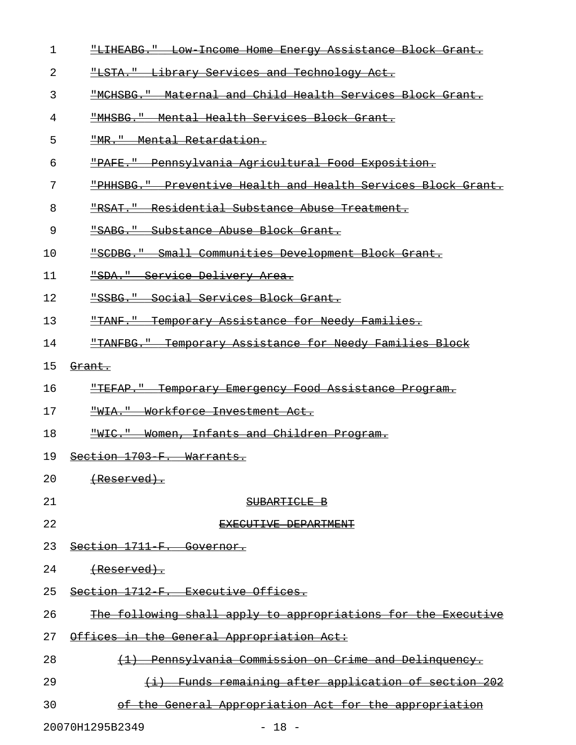- 1 Fulliance How-Income Home Energy Assistance Block Grant.
- 2 "LSTA." Library Services and Technology Act. \_\_\_\_\_\_\_\_\_\_\_\_\_\_\_\_\_\_\_\_\_\_\_\_\_\_\_\_\_\_\_\_\_\_\_\_\_\_\_\_\_\_\_\_\_
- 3 Funder Health Services Block Grant.
- 4 "MHSBG." Mental Health Services Block Grant.
- 5 "MR." Mental Retardation.
- 6 FRAFE. Pennsylvania Agricultural Food Exposition.
- 7 FHHSBG." Preventive Health and Health Services Block Grant.
- 8 FRAT. Residential Substance Abuse Treatment.
- 9 FRABG." Substance Abuse Block Grant.
- 10 FSCDBG. FRALL Communities Development Block Grant.
- 11 FRA. Bervice Delivery Area.
- 12 "SSBG." Social Services Block Grant.
- 13 FRANF. Temporary Assistance for Needy Families.
- 14 FIANFBG." Temporary Assistance for Needy Families Block
- 15 <del>Grant.</del>
- 16 FITEFAP. Temporary Emergency Food Assistance Program.
- 17 FWIA." Workforce Investment Act.
- 18 <del>"WIC." Women, Infants and Children Program.</del>
- 19 Section 1703-F. Warrants.
- $20$  (Reserved).
- 21 SUBARTICLE B
- 22 EXECUTIVE DEPARTMENT
- 23 Section 1711 F. Governor.
- $24$  (Reserved).
- 25 Section 1712 F. Executive Offices.
- 26 The following shall apply to appropriations for the Executive
- 27 Offices in the General Appropriation Act:
- 28 (1) Pennsylvania Commission on Crime and Delinquency.
- 29 (i) Funds remaining after application of section  $202$
- 30 of the General Appropriation Act for the appropriation

20070H1295B2349 - 18 -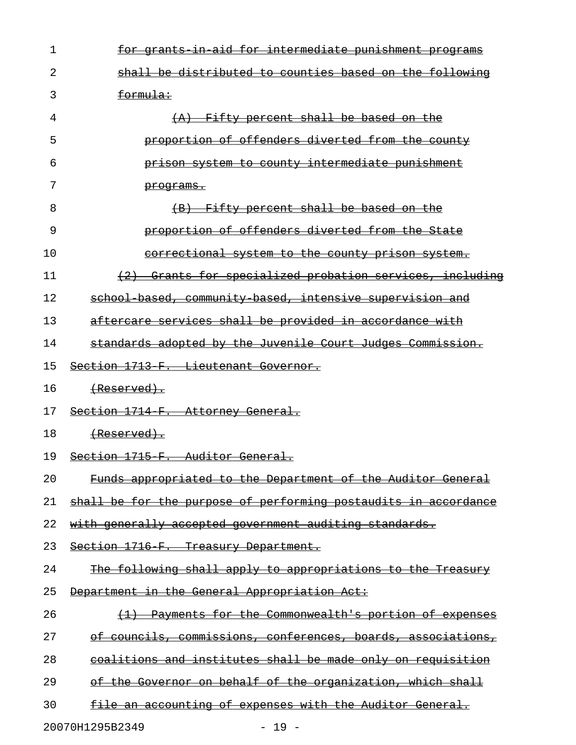| 1  | for grants in aid for intermediate punishment programs          |
|----|-----------------------------------------------------------------|
| 2  | shall be distributed to counties based on the following         |
| 3  | formula:                                                        |
| 4  | (A) Fifty percent shall be based on the                         |
| 5  | proportion of offenders diverted from the county                |
| 6  | prison system to county intermediate punishment                 |
| 7  | <del>programs.</del>                                            |
| 8  | (B) Fifty percent shall be based on the                         |
| 9  | proportion of offenders diverted from the State                 |
| 10 | <u>correctional system to the county prison system.</u>         |
| 11 | (2) Grants for specialized probation services, including        |
| 12 | school based, community based, intensive supervision and        |
| 13 | aftercare services shall be provided in accordance with         |
| 14 | standards adopted by the Juvenile Court Judges Commission.      |
| 15 | Section 1713 F. Lieutenant Governor.                            |
| 16 | <del>(Reserved).</del>                                          |
| 17 | Section 1714 F. Attorney General.                               |
| 18 | <del>(Reserved).</del>                                          |
| 19 | Section 1715 F. Auditor General.                                |
| 20 | Funds appropriated to the Department of the Auditor General     |
| 21 | shall be for the purpose of performing postaudits in accordance |
| 22 | with generally accepted government auditing standards.          |
| 23 | Section 1716 F. Treasury Department.                            |
| 24 | The following shall apply to appropriations to the Treasury     |
| 25 | Department in the General Appropriation Act:                    |
| 26 | Payments for the Commonwealth's portion of expenses             |
| 27 | of councils, commissions, conferences, boards, associations,    |
| 28 | coalitions and institutes shall be made only on requisition     |
| 29 | of the Governor on behalf of the organization, which shall      |
| 30 | file an accounting of expenses with the Auditor General.        |

20070H1295B2349 - 19 -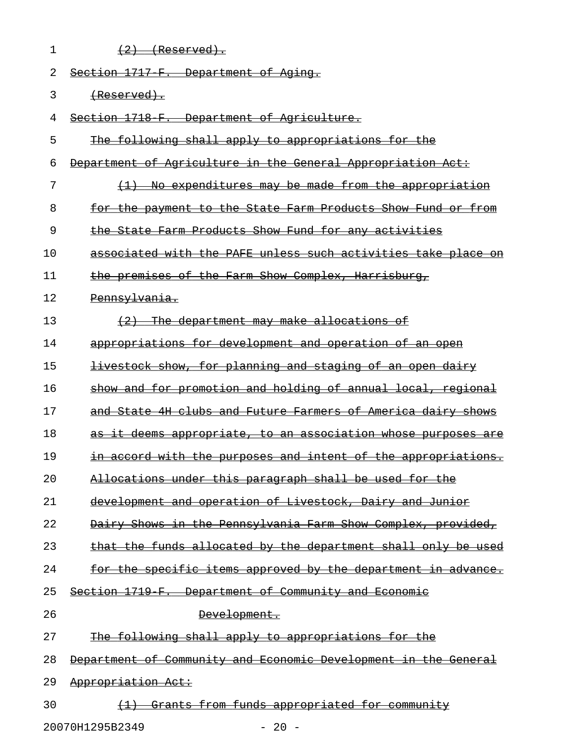| 1  | $\{2\}$ (Reserved).                                                  |
|----|----------------------------------------------------------------------|
| 2  | Section 1717 F. Department of Aging.                                 |
| 3  | <del>(Reserved).</del>                                               |
| 4  | Section 1718 F. Department of Agriculture.                           |
| 5  | The following shall apply to appropriations for the                  |
| 6  | Department of Agriculture in the General Appropriation Act:          |
| 7  | (1) No expenditures may be made from the appropriation               |
| 8  | for the payment to the State Farm Products Show Fund or from         |
| 9  | the State Farm Products Show Fund for any activities                 |
| 10 | associated with the PAFE unless such activities take place on        |
| 11 | the premises of the Farm Show Complex, Harrisburg,                   |
| 12 | Pennsylvania.                                                        |
| 13 | (2) The department may make allocations of                           |
| 14 | appropriations for development and operation of an open              |
| 15 | <u>livestock show, for planning and staging of an open dairy</u>     |
| 16 | show and for promotion and holding of annual local, regional         |
| 17 | and State 4H clubs and Future Farmers of America dairy shows         |
| 18 | <u>as it deems appropriate, to an association whose purposes are</u> |
| 19 | in accord with the purposes and intent of the appropriations.        |
| 20 | Allocations under this paragraph shall be used for the               |
| 21 | development and operation of Livestock, Dairy and Junior             |
| 22 | Dairy Shows in the Pennsylvania Farm Show Complex, provided,         |
| 23 | that the funds allocated by the department shall only be used        |
| 24 | for the specific items approved by the department in advance.        |
| 25 | Section 1719 F. Department of Community and Economic                 |
| 26 | Development.                                                         |
| 27 | The following shall apply to appropriations for the                  |
| 28 | Department of Community and Economic Development in the General      |
| 29 | Appropriation Act:                                                   |
| 30 | Grants from funds appropriated for community                         |

20070H1295B2349 - 20 -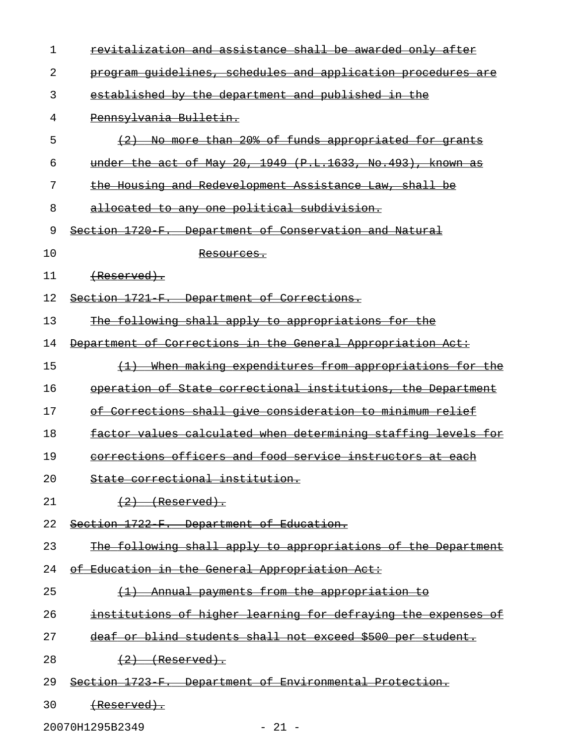| $\mathbf{1}$ | revitalization and assistance shall be awarded only after                 |
|--------------|---------------------------------------------------------------------------|
| 2            | program quidelines, schedules and application procedures are              |
| 3            | established by the department and published in the                        |
| 4            | Pennsylvania Bulletin.                                                    |
| 5            | No more than 20% of funds appropriated for grants                         |
| 6            | under the act of May 20, 1949 (P.L.1633, No.493), known as                |
| 7            | the Housing and Redevelopment Assistance Law, shall be                    |
| 8            | allocated to any one political subdivision.                               |
| 9            | Section 1720 F. Department of Conservation and Natural                    |
| 10           | <del>Resources.</del>                                                     |
| 11           | (Reserved).                                                               |
| 12           | Section 1721 F. Department of Corrections.                                |
| 13           | The following shall apply to appropriations for the                       |
| 14           | Department of Corrections in the General Appropriation Act:               |
| 15           | When making expenditures from appropriations for the<br>$\leftrightarrow$ |
| 16           | operation of State correctional institutions, the Department              |
| 17           | of Corrections shall give consideration to minimum relief                 |
| 18           | factor values calculated when determining staffing levels for             |
| 19           | corrections officers and food service instructors at each                 |
| 20           | State correctional institution.                                           |
| 21           | $(2)$ (Reserved).                                                         |
| 22           | Section 1722 F. Department of Education.                                  |
| 23           | The following shall apply to appropriations of the Department             |
| 24           | of Education in the General Appropriation Act:                            |
| 25           | (1) Annual payments from the appropriation to                             |
| 26           | institutions of higher learning for defraying the expenses of             |
| 27           | deaf or blind students shall not exceed \$500 per student.                |
| 28           | $(2)$ (Reserved).                                                         |
| 29           | Section 1723 F. Department of Environmental Protection.                   |
| 30           | <del>(Reserved).</del>                                                    |

20070H1295B2349 - 21 -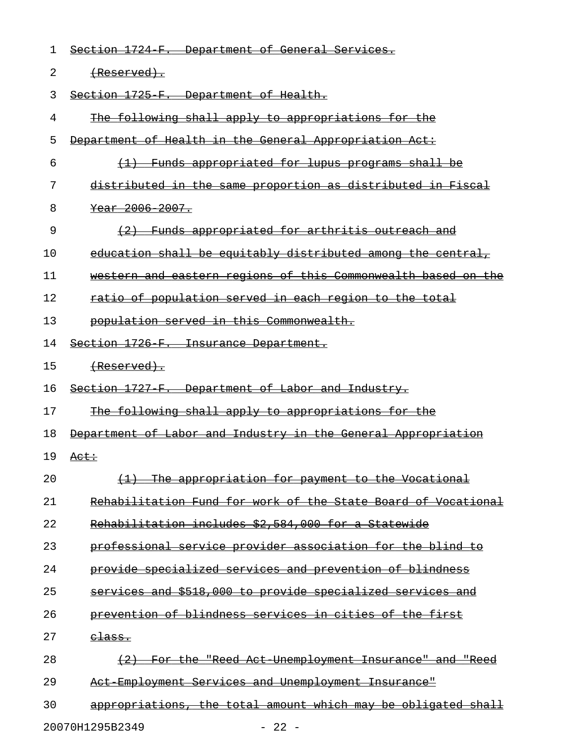| 1  | Section 1724 F. Department of General Services.               |
|----|---------------------------------------------------------------|
| 2  | <del>(Reserved).</del>                                        |
| 3  | Section 1725 F. Department of Health.                         |
| 4  | The following shall apply to appropriations for the           |
| 5  | Department of Health in the General Appropriation Act:        |
| 6  | (1) Funds appropriated for lupus programs shall be            |
| 7  | distributed in the same proportion as distributed in Fiscal   |
| 8  | Year 2006 2007.                                               |
| 9  | (2) Funds appropriated for arthritis outreach and             |
| 10 | education shall be equitably distributed among the central,   |
| 11 | western and eastern regions of this Commonwealth based on the |
| 12 | ratio of population served in each region to the total        |
| 13 | population served in this Commonwealth.                       |
| 14 | Section 1726 F. Insurance Department.                         |
| 15 | <del>(Reserved).</del>                                        |
| 16 | Section 1727 F. Department of Labor and Industry.             |
| 17 | The following shall apply to appropriations for the           |
| 18 | Department of Labor and Industry in the General Appropriation |
| 19 | <del>Act:</del>                                               |
| 20 | The appropriation for payment to the Vocational               |
| 21 | Rehabilitation Fund for work of the State Board of Vocational |
| 22 | Rehabilitation includes \$2,584,000 for a Statewide           |
| 23 | professional service provider association for the blind to    |
| 24 | provide specialized services and prevention of blindness      |
| 25 | services and \$518,000 to provide specialized services and    |
| 26 | prevention of blindness services in cities of the first       |
| 27 | <del>class.</del>                                             |
| 28 | For the "Reed Act Unemployment Insurance" and "Reed           |
| 29 | Act Employment Services and Unemployment Insurance"           |
| 30 | appropriations, the total amount which may be obligated shall |
|    |                                                               |

20070H1295B2349 - 22 -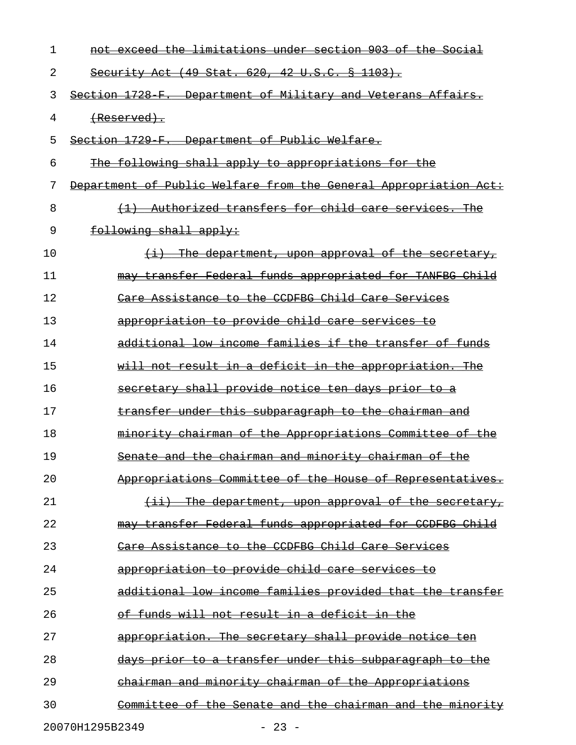| 1  | not exceed the limitations under section 903 of the Social       |
|----|------------------------------------------------------------------|
| 2  | Security Act (49 Stat. 620, 42 U.S.C. § 1103).                   |
| 3  | Section 1728 F. Department of Military and Veterans Affairs.     |
| 4  | <del>(Reserved).</del>                                           |
| 5  | Section 1729 F. Department of Public Welfare.                    |
| 6  | The following shall apply to appropriations for the              |
| 7  | Department of Public Welfare from the General Appropriation Act: |
| 8  | (1) Authorized transfers for child care services. The            |
| 9  | following shall apply:                                           |
| 10 | $(i)$ The department, upon approval of the secretary,            |
| 11 | may transfer Federal funds appropriated for TANFBG Child         |
| 12 | Care Assistance to the CCDFBG Child Care Services                |
| 13 | appropriation to provide child care services to                  |
| 14 | additional low income families if the transfer of funds          |
| 15 | will not result in a deficit in the appropriation. The           |
| 16 | secretary shall provide notice ten days prior to a               |
| 17 | transfer under this subparagraph to the chairman and             |
| 18 | minority chairman of the Appropriations Committee of the         |
| 19 | Senate and the chairman and minority chairman of the             |
| 20 | Appropriations Committee of the House of Representatives.        |
| 21 | (ii) The department, upon approval of the secretary,             |
| 22 | may transfer Federal funds appropriated for CCDFBG Child         |
| 23 | Care Assistance to the CCDFBG Child Care Services                |
| 24 | appropriation to provide child care services to                  |
| 25 | additional low income families provided that the transfer        |
| 26 | of funds will not result in a deficit in the                     |
| 27 | appropriation. The secretary shall provide notice ten            |
| 28 | days prior to a transfer under this subparagraph to the          |
| 29 | chairman and minority chairman of the Appropriations             |
| 30 | Committee of the Senate and the chairman and the minority        |
|    | 20070H1295B2349<br>$-23 -$                                       |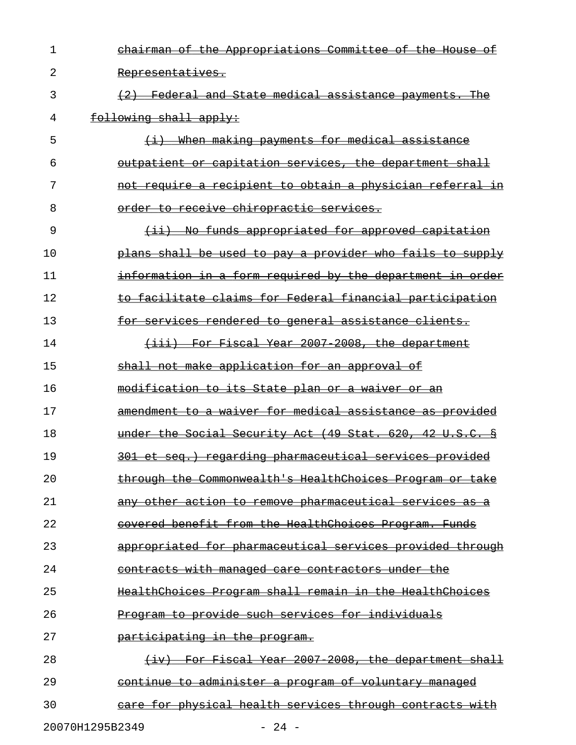| $\mathbf{1}$ | chairman of the Appropriations Committee of the House of     |
|--------------|--------------------------------------------------------------|
| 2            | Representatives.                                             |
| 3            | (2) Federal and State medical assistance payments. The       |
| 4            | following shall apply:                                       |
| 5            | (i) When making payments for medical assistance              |
| 6            | outpatient or capitation services, the department shall      |
| 7            | not require a recipient to obtain a physician referral in    |
| 8            | order to receive chiropractic services.                      |
| 9            | <u>(ii) No funds appropriated for approved capitation</u>    |
| 10           | plans shall be used to pay a provider who fails to supply    |
| 11           | information in a form required by the department in order    |
| 12           | to facilitate claims for Federal financial participation     |
| 13           | for services rendered to general assistance clients.         |
| 14           | (iii) For Fiscal Year 2007-2008, the department              |
| 15           | shall not make application for an approval of                |
| 16           | modification to its State plan or a waiver or an             |
| 17           | amendment to a waiver for medical assistance as provided     |
| 18           | under the Social Security Act (49 Stat. 620, 42 U.S.C. §     |
| 19           | 301 et seg.) regarding pharmaceutical services provided      |
| 20           | through the Commonwealth's HealthChoices Program or take     |
| 21           | any other action to remove pharmaceutical services as a      |
| 22           | covered benefit from the HealthChoices Program. Funds        |
| 23           | appropriated for pharmaceutical services provided through    |
| 24           | <u>contracts with managed care contractors under the</u>     |
| 25           | HealthChoices Program shall remain in the HealthChoices      |
| 26           | Program to provide such services for individuals             |
| 27           | <u>participating in the program.</u>                         |
| 28           | (iv) For Fiscal Year 2007 2008, the department shall         |
| 29           | <u>continue to administer a program of voluntary managed</u> |
| 30           | care for physical health services through contracts with     |
|              |                                                              |

20070H1295B2349 - 24 -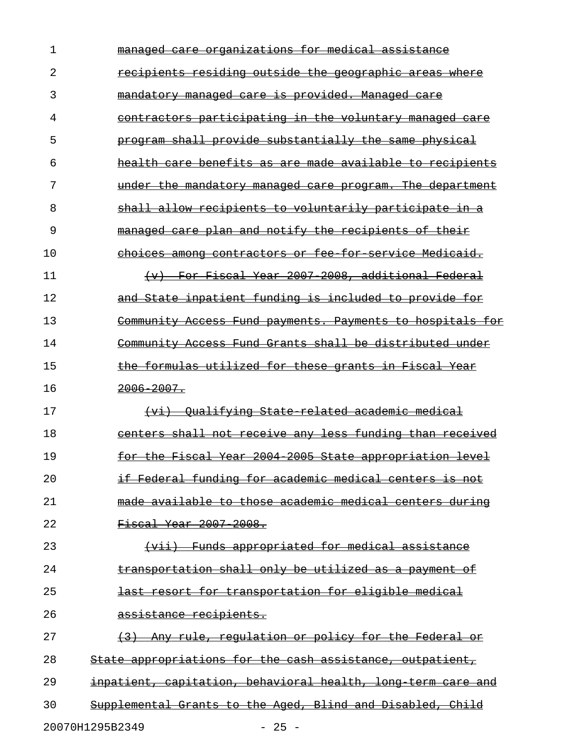| ı  | managed care organizations for medical assistance             |
|----|---------------------------------------------------------------|
| 2  | recipients residing outside the geographic areas where        |
| 3  | mandatory managed care is provided. Managed care              |
| 4  | contractors participating in the voluntary managed care       |
| 5  | program shall provide substantially the same physical         |
| 6  | health care benefits as are made available to recipients      |
| 7  | under the mandatory managed care program. The department      |
| 8  | shall allow recipients to voluntarily participate in a        |
| 9  | managed care plan and notify the recipients of their          |
| 10 | choices among contractors or fee for service Medicaid.        |
| 11 | For Fiscal Year 2007-2008, additional Federal<br>$\leftarrow$ |
| 12 | and State inpatient funding is included to provide for        |
| 13 | Community Access Fund payments. Payments to hospitals for     |
| 14 | Community Access Fund Grants shall be distributed under       |
| 15 | the formulas utilized for these grants in Fiscal Year         |
| 16 | $2006 - 2007$ .                                               |
| 17 | (vi) Oualifying State related academic medical                |
| 18 | centers shall not receive any less funding than received      |
| 19 | for the Fiscal Year 2004 2005 State appropriation level       |
| 20 | if Federal funding for academic medical centers is not        |
| 21 | made available to those academic medical centers during       |
| 22 | Fiscal Year 2007 2008.                                        |
| 23 | (vii) Funds appropriated for medical assistance               |
| 24 | transportation shall only be utilized as a payment of         |
| 25 | last resort for transportation for eligible medical           |
| 26 | assistance recipients.                                        |
| 27 | (3) Any rule, regulation or policy for the Federal or         |
| 28 | State appropriations for the cash assistance, outpatient,     |
| 29 | inpatient, capitation, behavioral health, long term care and  |
| 30 | Supplemental Grants to the Aged, Blind and Disabled, Child    |
|    | 20070H1295B2349<br>$-25 -$                                    |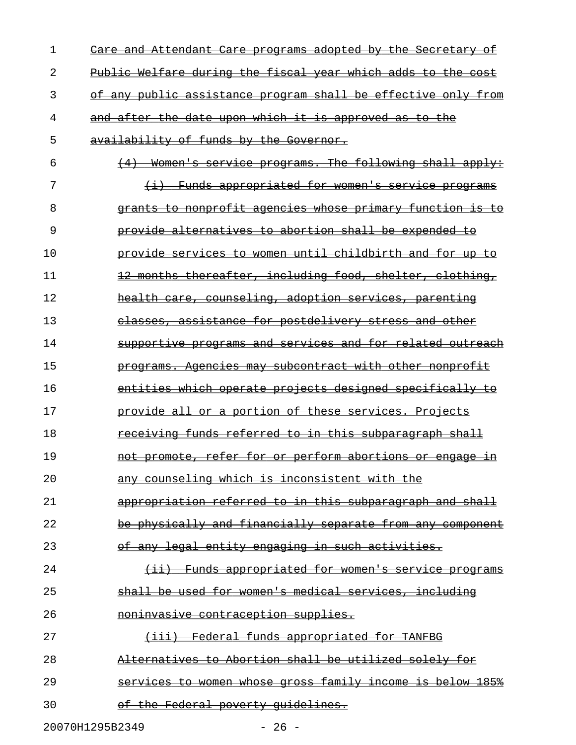| 1  | <u>Care and Attendant Care programs adopted by the Secretary of</u> |
|----|---------------------------------------------------------------------|
| 2  | Public Welfare during the fiscal year which adds to the cost        |
| 3  | of any public assistance program shall be effective only from       |
| 4  | and after the date upon which it is approved as to the              |
| 5  | availability of funds by the Governor.                              |
| 6  | $(4)$ Women's service programs. The following shall apply:          |
| 7  | (i) Funds appropriated for women's service programs                 |
| 8  | grants to nonprofit agencies whose primary function is to           |
| 9  | provide alternatives to abortion shall be expended to               |
| 10 | provide services to women until childbirth and for up to            |
| 11 | 12 months thereafter, including food, shelter, clothing,            |
| 12 | health care, counseling, adoption services, parenting               |
| 13 | classes, assistance for postdelivery stress and other               |
| 14 | supportive programs and services and for related outreach           |
| 15 | programs. Agencies may subcontract with other nonprofit             |
| 16 | entities which operate projects designed specifically to            |
| 17 | provide all or a portion of these services. Projects                |
| 18 | <u>receiving funds referred to in this subparagraph shall</u>       |
| 19 | not promote, refer for or perform abortions or engage<br>±'n        |
| 20 | any counseling which is inconsistent with the                       |
| 21 | appropriation referred to in this subparagraph and shall            |
| 22 | be physically and financially separate from any component           |
| 23 | of any legal entity engaging in such activities.                    |
| 24 | (ii) Funds appropriated for women's service programs                |
| 25 | shall be used for women's medical services, including               |
| 26 | noninvasive contraception supplies.                                 |
| 27 | (iii) Federal funds appropriated for TANFBG                         |
| 28 | Alternatives to Abortion shall be utilized solely for               |
| 29 | services to women whose gross family income is below 185%           |
| 30 | of the Federal poverty quidelines.                                  |
|    |                                                                     |

20070H1295B2349 - 26 -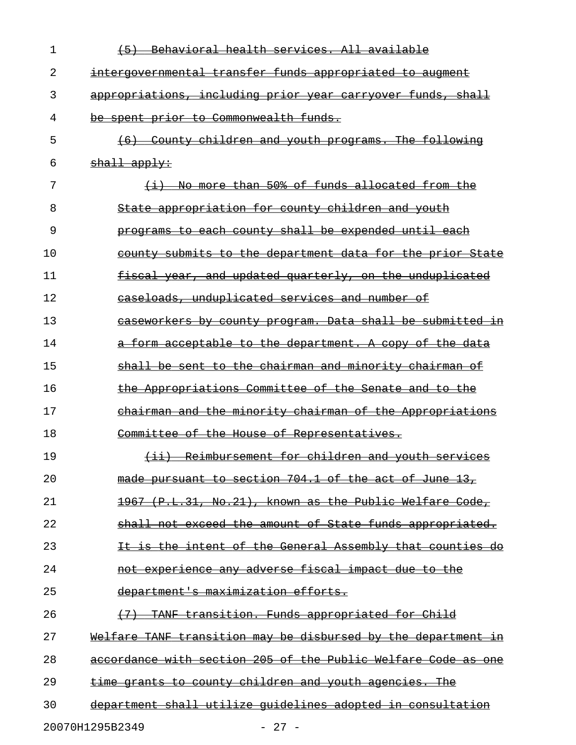| 1  | (5) Behavioral health services. All available                    |
|----|------------------------------------------------------------------|
| 2  | intergovernmental transfer funds appropriated to augment         |
| 3  | appropriations, including prior year carryover funds, shall      |
| 4  | be spent prior to Commonwealth funds.                            |
| 5  | (6) County children and youth programs. The following            |
| 6  | $shall$ apply:                                                   |
| 7  | (i) No more than 50% of funds allocated from the                 |
| 8  | State appropriation for county children and youth                |
| 9  | programs to each county shall be expended until each             |
| 10 | county submits to the department data for the prior State        |
| 11 | fiscal year, and updated quarterly, on the unduplicated          |
| 12 | caseloads, unduplicated services and number of                   |
| 13 | caseworkers by county program. Data shall be submitted in        |
| 14 | a form acceptable to the department. A copy of the data          |
| 15 | shall be sent to the chairman and minority chairman of           |
| 16 | the Appropriations Committee of the Senate and to the            |
| 17 | chairman and the minority chairman of the Appropriations         |
| 18 | Committee of the House of Representatives.                       |
| 19 | (ii) Reimbursement for children and youth services               |
| 20 | made pursuant to section 704.1 of the act of June 13,            |
| 21 | 1967 (P.L.31, No.21), known as the Public Welfare Code,          |
| 22 | shall not exceed the amount of State funds appropriated.         |
| 23 | is the intent of the General Assembly that counties do           |
| 24 | not experience any adverse fiscal impact due to the              |
| 25 | department's maximization efforts.                               |
| 26 | TANF transition. Funds appropriated for Child                    |
| 27 | Welfare TANF transition may be disbursed by the department<br>Ξn |
| 28 | accordance with section 205 of the Public Welfare Code as one    |
| 29 | time grants to county children and youth agencies. The           |
| 30 | department shall utilize quidelines adopted in consultation      |
|    | 20070H1295B2349<br>$-27 -$                                       |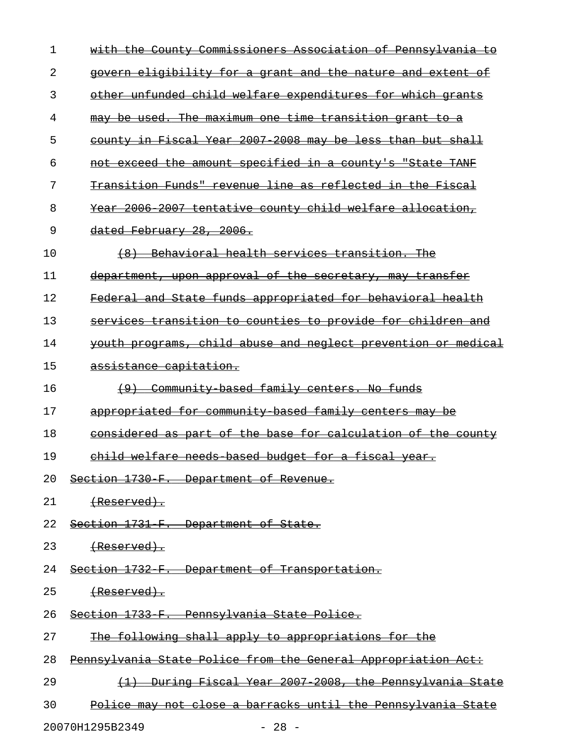| 1  | with the County Commissioners Association of Pennsylvania to  |
|----|---------------------------------------------------------------|
| 2  | govern eligibility for a grant and the nature and extent of   |
| 3  | other unfunded child welfare expenditures for which grants    |
| 4  | may be used. The maximum one time transition grant to a       |
| 5  | county in Fiscal Year 2007 2008 may be less than but shall    |
| 6  | not exceed the amount specified in a county's "State TANF     |
| 7  | Transition Funds" revenue line as reflected in the Fiscal     |
| 8  | Year 2006 2007 tentative county child welfare allocation,     |
| 9  | dated February 28, 2006.                                      |
| 10 | (8) Behavioral health services transition. The                |
| 11 | department, upon approval of the secretary, may transfer      |
| 12 | Federal and State funds appropriated for behavioral health    |
| 13 | services transition to counties to provide for children and   |
| 14 | youth programs, child abuse and neglect prevention or medical |
| 15 | assistance capitation.                                        |
| 16 | (9) Community based family centers. No funds                  |
| 17 | appropriated for community based family centers may be        |
| 18 | considered as part of the base for calculation of the county  |
| 19 | child welfare needs based budget for a fiscal year.           |
|    | 20 Section 1730 F. Department of Revenue.                     |
| 21 | <del>(Reserved).</del>                                        |
| 22 | Section 1731 F. Department of State.                          |
| 23 | (Reserved).                                                   |
| 24 | Section 1732 F. Department of Transportation.                 |
| 25 |                                                               |
| 26 | Section 1733 F. Pennsylvania State Police.                    |
| 27 | The following shall apply to appropriations for the           |
| 28 | Pennsylvania State Police from the General Appropriation Act: |
| 29 | (1) During Fiscal Year 2007 2008, the Pennsylvania State      |
| 30 | Police may not close a barracks until the Pennsylvania State  |
|    |                                                               |

20070H1295B2349 - 28 -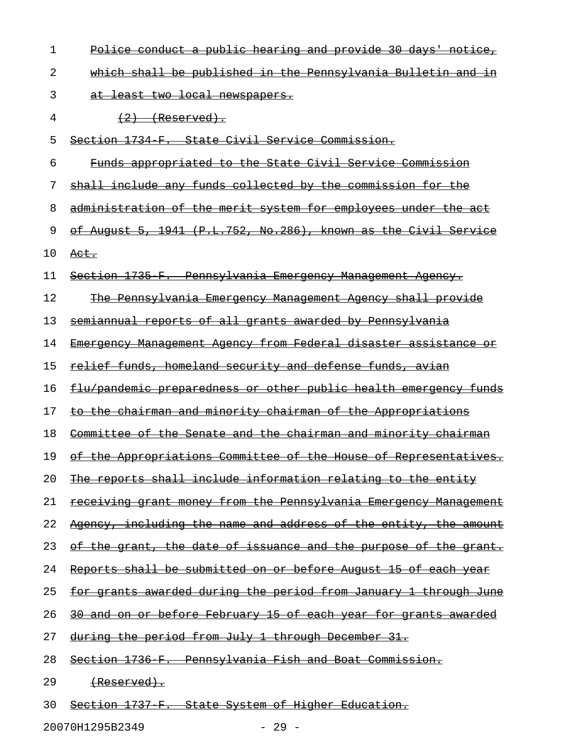| 1  | Police conduct a public hearing and provide 30 days' notice,            |
|----|-------------------------------------------------------------------------|
| 2  | which shall be published in the Pennsylvania Bulletin and in            |
| 3  | at least two local newspapers.                                          |
| 4  | $(2)$ (Reserved).                                                       |
| 5  | Section 1734 F. State Civil Service Commission.                         |
| 6  | Funds appropriated to the State Civil Service Commission                |
| 7  | shall include any funds collected by the commission for the             |
| 8  | administration of the merit system for employees under the act          |
| 9  | of August 5, 1941 (P.L.752, No.286), known as the Civil Service         |
| 10 | <del>Act.</del>                                                         |
| 11 | Section 1735 F. Pennsylvania Emergency Management Agency.               |
| 12 | <u>The Pennsylvania Emergency Management Agency shall provide</u>       |
| 13 | <u>semiannual reports of all grants awarded by Pennsylvania</u>         |
| 14 | Emergency Management Agency from Federal disaster assistance or         |
| 15 | <u>relief funds, homeland security and defense funds, avian</u>         |
| 16 | flu/pandemic preparedness or other public health emergency funds        |
| 17 | to the chairman and minority chairman of the Appropriations             |
| 18 | Committee of the Senate and the chairman and minority chairman          |
| 19 | of the Appropriations Committee of the House of Representatives.        |
| 20 | The reports shall include information relating to the entity            |
| 21 | <u>receiving grant money from the Pennsylvania Emergency Management</u> |
| 22 | Agency, including the name and address of the entity, the amount        |
| 23 | <u>of the grant, the date of issuance and the purpose of the grant.</u> |
| 24 | Reports shall be submitted on or before August 15 of each year          |
| 25 | <u>for grants awarded during the period from January 1 through June</u> |
| 26 | <u>30 and on or before February 15 of each year for grants awarded</u>  |
| 27 | <u>during the period from July 1 through December 31.</u>               |
| 28 | <u>Section 1736 F. Pennsylvania Fish and Boat Commission.</u>           |
| 29 | <del>(Reserved).</del>                                                  |
| 30 | Section 1737 F. State System of Higher Education.                       |

20070H1295B2349 - 29 -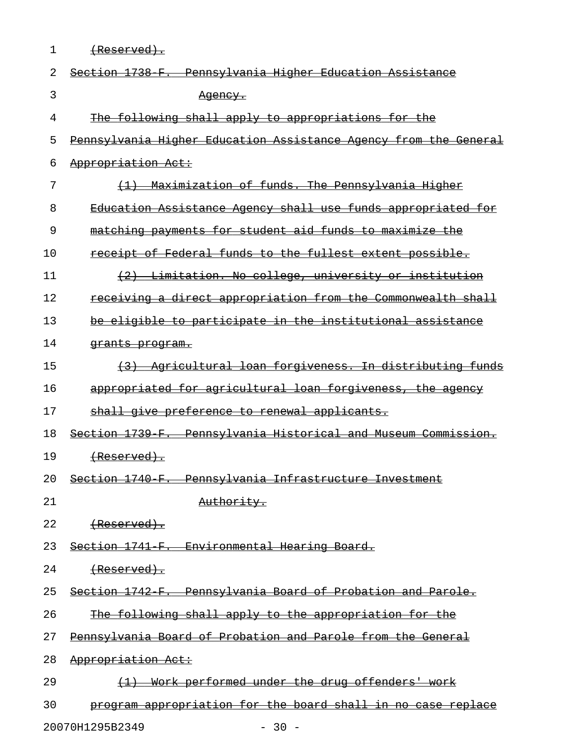| 1  | <del>(Reserved).</del>                                                   |
|----|--------------------------------------------------------------------------|
| 2  | Section 1738 F.<br>Pennsylvania Higher Education Assistance              |
| 3  | <del>Aqency.</del>                                                       |
| 4  | The following shall apply to appropriations for the                      |
| 5  | Pennsylvania Higher Education Assistance Agency from the General         |
| 6  | Appropriation Act:                                                       |
| 7  | Maximization of funds. The Pennsylvania Higher                           |
| 8  | Education Assistance Agency shall use funds appropriated for             |
| 9  | matching payments for student aid funds to maximize the                  |
| 10 | receipt of Federal funds to the fullest extent possible.                 |
| 11 | (2) Limitation. No college, university or institution                    |
| 12 | receiving a direct appropriation from the Commonwealth shall             |
| 13 | be eligible to participate in the institutional assistance               |
| 14 | <del>grants program.</del>                                               |
| 15 | Agricultural loan forgiveness. In distributing funds<br>$\left(3\right)$ |
| 16 | appropriated for agricultural loan forgiveness, the agency               |
| 17 | shall give preference to renewal applicants.                             |
| 18 | Section 1739 F. Pennsylvania Historical and Museum Commission.           |
| 19 | <del>(Reserved).</del>                                                   |
| 20 | Section 1740 F. Pennsylvania Infrastructure Investment                   |
| 21 | Authority.                                                               |
| 22 | <del>(Reserved).</del>                                                   |
| 23 | Section 1741 F. Environmental Hearing Board.                             |
| 24 |                                                                          |
| 25 | Section 1742 F. Pennsylvania Board of Probation and Parole.              |
| 26 | The following shall apply to the appropriation for the                   |
| 27 | Pennsylvania Board of Probation and Parole from the General              |
| 28 | Appropriation Act:                                                       |
| 29 | (1) Work performed under the drug offenders' work                        |
| 30 | program appropriation for the board shall in no case replace             |

20070H1295B2349 - 30 -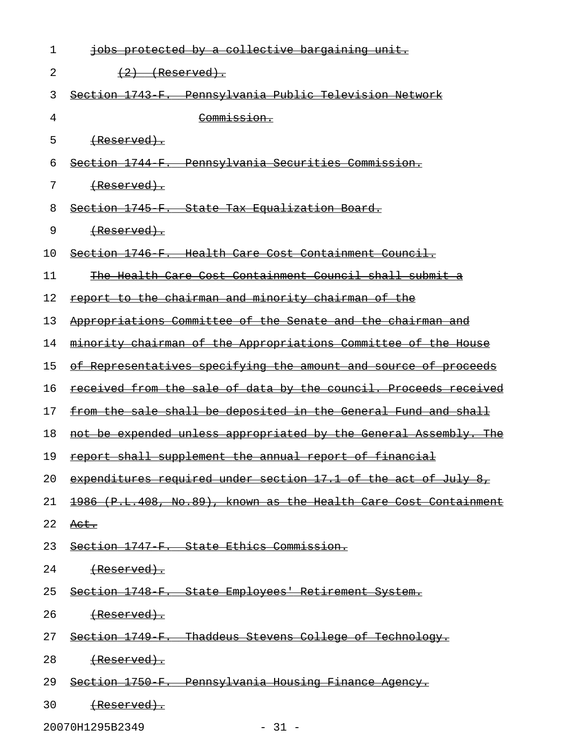| 1  | jobs protected by a collective bargaining unit.                         |
|----|-------------------------------------------------------------------------|
| 2  | $(2)$ (Reserved).                                                       |
| 3  | Section 1743 F. Pennsylvania Public Television Network                  |
| 4  | Commission.                                                             |
| 5  | (Reserved).                                                             |
| 6  | Section 1744 F. Pennsylvania Securities Commission.                     |
| 7  | <del>(Reserved).</del>                                                  |
| 8  | Section 1745 F. State Tax Equalization Board.                           |
| 9  | <del>(Reserved).</del>                                                  |
| 10 | Section 1746 F. Health Care Cost Containment Council.                   |
| 11 | The Health Care Cost Containment Council shall submit a                 |
| 12 | report to the chairman and minority chairman of the                     |
| 13 | Appropriations Committee of the Senate and the chairman and             |
| 14 | minority chairman of the Appropriations Committee of the House          |
| 15 | of Representatives specifying the amount and source of proceeds         |
| 16 | <u>received from the sale of data by the council. Proceeds received</u> |
| 17 | from the sale shall be deposited in the General Fund and shall          |
| 18 | not be expended unless appropriated by the General Assembly. The        |
| 19 | <u>report shall supplement the annual report of financial</u>           |
| 20 | expenditures required under section 17.1 of the act of July 8,          |
| 21 | 1986 (P.L.408, No.89), known as the Health Care Cost Containment        |
| 22 | <del>Act.</del>                                                         |
| 23 | Section 1747 F. State Ethics Commission.                                |
| 24 | <del>(Reserved).</del>                                                  |
| 25 | Section 1748 F. State Employees' Retirement System.                     |
| 26 | <del>(Reserved).</del>                                                  |
| 27 | Section 1749 F. Thaddeus Stevens College of Technology.                 |
| 28 | <del>(Reserved).</del>                                                  |
| 29 | Section 1750 F. Pennsylvania Housing Finance Agency.                    |
| 30 | <del>(Reserved).</del>                                                  |

20070H1295B2349 - 31 -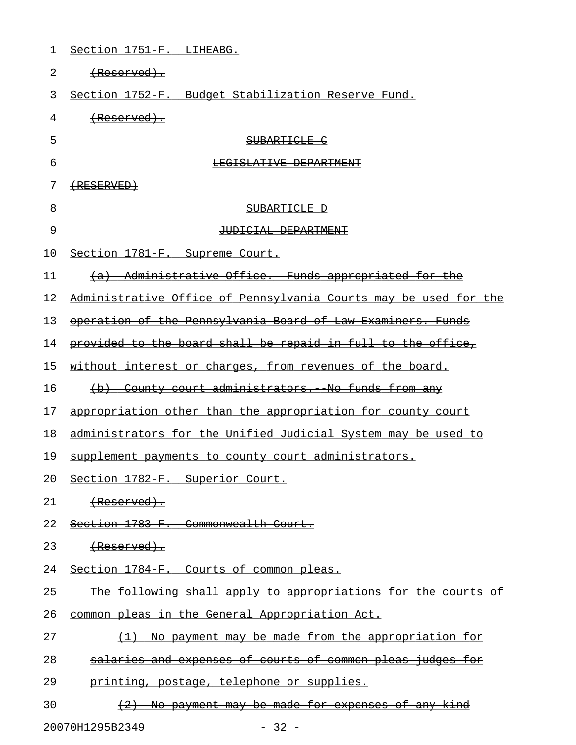| 1  | Section 1751 F. LIHEABG.                                         |
|----|------------------------------------------------------------------|
| 2  | (Reserved).                                                      |
| 3  | Section 1752 F. Budget Stabilization Reserve Fund.               |
| 4  | (Reserved).                                                      |
| 5  | SUBARTICLE C                                                     |
| 6  | LEGISLATIVE DEPARTMENT                                           |
| 7  | $\left(\text{RESERVED}\right)$                                   |
| 8  | SUBARTICLE D                                                     |
| 9  | JUDICIAL DEPARTMENT                                              |
| 10 | Section 1781 F. Supreme Court.                                   |
| 11 | (a) Administrative Office. Funds appropriated for the            |
| 12 | Administrative Office of Pennsylvania Courts may be used for the |
| 13 | operation of the Pennsylvania Board of Law Examiners. Funds      |
| 14 | provided to the board shall be repaid in full to the office,     |
| 15 | without interest or charges, from revenues of the board.         |
| 16 | (b) County court administrators. No funds from any               |
| 17 | appropriation other than the appropriation for county court      |
| 18 | administrators for the Unified Judicial System may be used to    |
| 19 | supplement payments to county court administrators.              |
| 20 | Section 1782 F. Superior Court.                                  |
| 21 | <del>(Reserved).</del>                                           |
| 22 | Section 1783 F. Commonwealth Court.                              |
| 23 |                                                                  |
| 24 | Section 1784 F. Courts of common pleas.                          |
| 25 | The following shall apply to appropriations for the courts of    |
| 26 | common pleas in the General Appropriation Act.                   |
| 27 | (1) No payment may be made from the appropriation for            |
| 28 | salaries and expenses of courts of common pleas judges for       |
| 29 | printing, postage, telephone or supplies.                        |
| 30 | (2) No payment may be made for expenses of any kind              |
|    | 20070H1295B2349<br>$-32 -$                                       |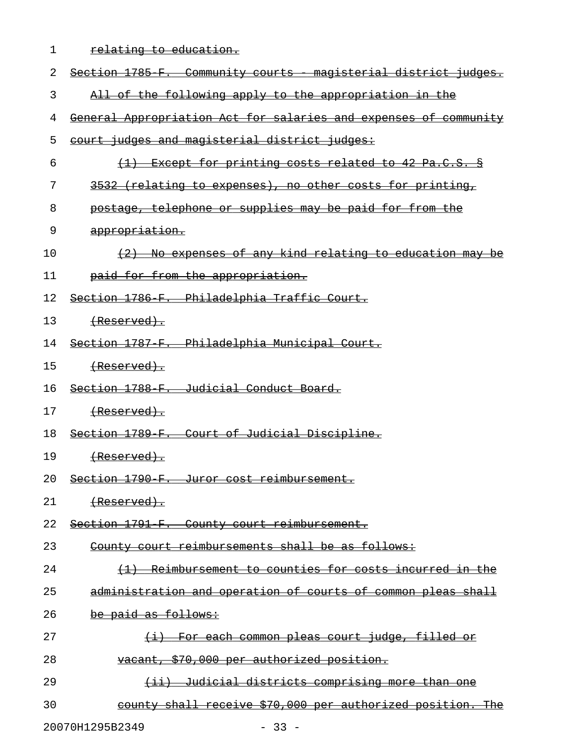1 relating to education.

| 2  | Section 1785 F. Community courts magisterial district judges.         |
|----|-----------------------------------------------------------------------|
| 3  | All of the following apply to the appropriation in the                |
|    | General Appropriation Act for salaries and expenses of community      |
| 4  |                                                                       |
| 5  | court judges and magisterial district judges:                         |
| 6  | (1) Except for printing costs related to 42 Pa.C.S. §                 |
| 7  | 3532 (relating to expenses), no other costs for printing,             |
| 8  | postage, telephone or supplies may be paid for from the               |
| 9  | appropriation.                                                        |
| 10 | (2) No expenses of any kind relating to education may be              |
| 11 | paid for from the appropriation.                                      |
| 12 | Section 1786 F. Philadelphia Traffic Court.                           |
| 13 |                                                                       |
| 14 | Section 1787 F. Philadelphia Municipal Court.                         |
| 15 | <del>(Reserved).</del>                                                |
| 16 | Section 1788 F. Judicial Conduct Board.                               |
| 17 | <del>(Reserved).</del>                                                |
| 18 | Section 1789 F. Court of Judicial Discipline.                         |
| 19 |                                                                       |
| 20 | Section 1790 F. Juror cost reimbursement.                             |
| 21 | (Reserved).                                                           |
| 22 | Section 1791 F. County court reimbursement.                           |
| 23 | County court reimbursements shall be as follows:                      |
| 24 | (1) Reimbursement to counties for costs incurred in the               |
| 25 | administration and operation of courts of common pleas shall          |
| 26 | be paid as follows:                                                   |
| 27 | <u>For each common pleas court judge, filled or</u><br>$\overline{+}$ |
| 28 | vacant, \$70,000 per authorized position.                             |
| 29 | (ii) Judicial districts comprising more than one                      |
| 30 | county shall receive \$70,000 per authorized position. The            |

20070H1295B2349 - 33 -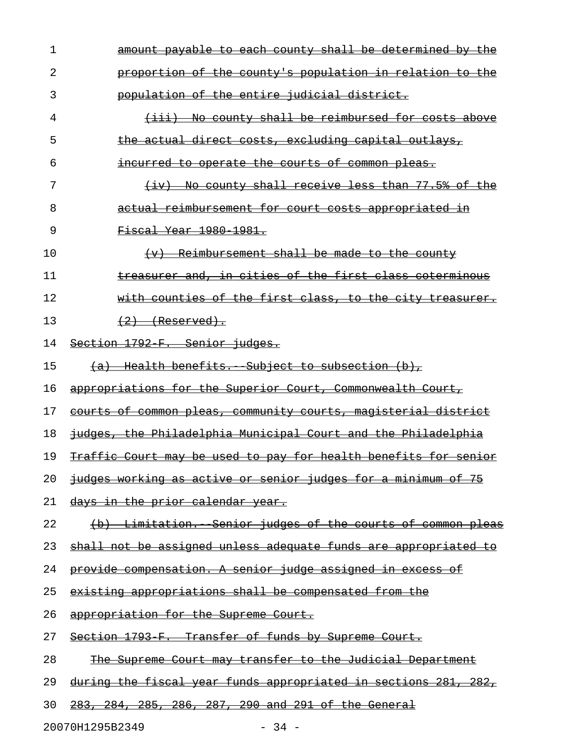| 1  | amount payable to each county shall be determined by the           |
|----|--------------------------------------------------------------------|
| 2  | proportion of the county's population in relation to the           |
| 3  | population of the entire judicial district.                        |
| 4  | (iii) No county shall be reimbursed for costs above                |
| 5  | the actual direct costs, excluding capital outlays,                |
| 6  | incurred to operate the courts of common pleas.                    |
| 7  | (iv) No county shall receive less than 77.5% of the                |
| 8  | <u>actual reimbursement for court costs appropriated in</u>        |
| 9  | <del>Fiscal Year 1980 1981.</del>                                  |
| 10 | (v) Reimbursement shall be made to the county                      |
| 11 | treasurer and, in cities of the first class coterminous            |
| 12 | with counties of the first class, to the city treasurer.           |
| 13 | $(2)$ (Reserved).                                                  |
| 14 | Section 1792 F. Senior judges.                                     |
| 15 | (a) Health benefits. Subject to subsection (b),                    |
| 16 | appropriations for the Superior Court, Commonwealth Court,         |
| 17 | courts of common pleas, community courts, magisterial district     |
| 18 | judges, the Philadelphia Municipal Court and the Philadelphia      |
| 19 | Traffic Court may be used to pay for health benefits for senior    |
| 20 | judges working as active or senior judges for a minimum of 75      |
| 21 | <u>days in the prior calendar year.</u>                            |
| 22 | (b) Limitation. Senior judges of the courts of common pleas        |
| 23 | shall not be assigned unless adequate funds are appropriated to    |
| 24 | <u>provide compensation. A senior judge assigned in excess of </u> |
| 25 | existing appropriations shall be compensated from the              |
| 26 | appropriation for the Supreme Court.                               |
| 27 | Section 1793 F. Transfer of funds by Supreme Court.                |
| 28 | The Supreme Court may transfer to the Judicial Department          |
| 29 | during the fiscal year funds appropriated in sections 281, 282,    |
| 30 | 283, 284, 285, 286, 287, 290 and 291 of the General                |

20070H1295B2349 - 34 -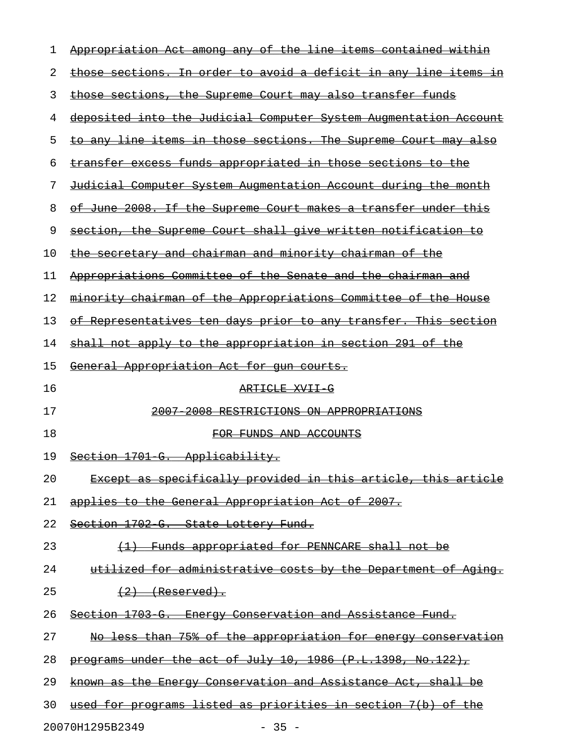| 1  | Appropriation Act among any of the line items contained within          |
|----|-------------------------------------------------------------------------|
| 2  | <u>those sections. In order to avoid a deficit in any line items in</u> |
| 3  | those sections, the Supreme Court may also transfer funds               |
| 4  | <u>deposited into the Judicial Computer System Augmentation Account</u> |
| 5  | <u>to any line items in those sections. The Supreme Court may also</u>  |
| 6  | transfer excess funds appropriated in those sections to the             |
| 7  | <u>Judicial Computer System Augmentation Account during the month</u>   |
| 8  | <u>of June 2008. If the Supreme Court makes a transfer under this </u>  |
| 9  | section, the Supreme Court shall give written notification to           |
| 10 | <u>the secretary and chairman and minority chairman of the</u>          |
| 11 | Appropriations Committee of the Senate and the chairman and             |
| 12 | <u>minority chairman of the Appropriations Committee of the House</u>   |
| 13 | <u>of Representatives ten days prior to any transfer. This section</u>  |
| 14 | <u>shall not apply to the appropriation in section 291 of the</u>       |
| 15 | <u>General Appropriation Act for gun courts.</u>                        |
| 16 | ARTICLE XVII G                                                          |
| 17 | 2007 2008 RESTRICTIONS ON APPROPRIATIONS                                |
| 18 | FOR FUNDS AND ACCOUNTS                                                  |
| 19 | Section 1701 G. Applicability.                                          |
| 20 | Except as specifically provided in this article, this article           |
| 21 | <u>applies to the General Appropriation Act of 2007.</u>                |
| 22 | Section 1702 G. State Lottery Fund.                                     |
| 23 | (1) Funds appropriated for PENNCARE shall not be                        |
| 24 | utilized for administrative costs by the Department of Aging.           |
| 25 | $(2)$ (Reserved).                                                       |
| 26 | Section 1703 G. Energy Conservation and Assistance Fund.                |
| 27 | No less than 75% of the appropriation for energy conservation           |
| 28 | programs under the act of July 10, 1986 (P.L.1398, No.122),             |
| 29 | known as the Energy Conservation and Assistance Act, shall be           |
| 30 | used for programs listed as priorities in section 7(b) of the           |
|    |                                                                         |

20070H1295B2349 - 35 -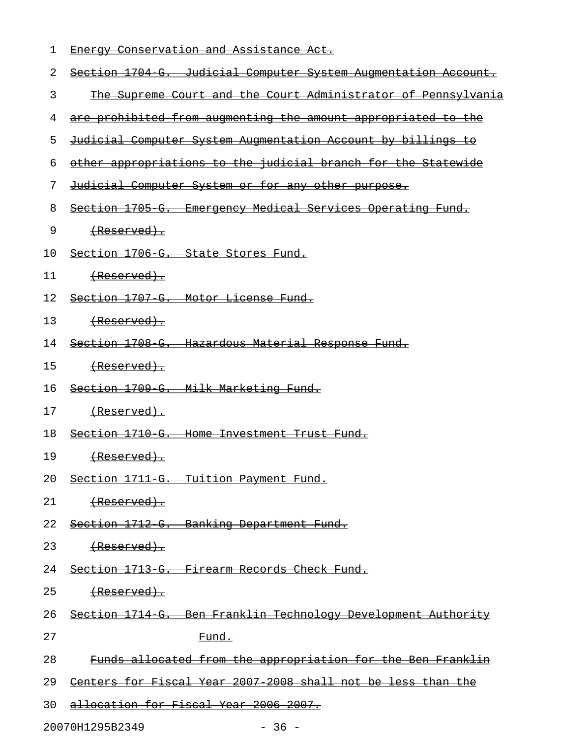| ı  | Energy Conservation and Assistance Act.                             |
|----|---------------------------------------------------------------------|
| 2  | Section 1704 G. Judicial Computer System Augmentation Account.      |
| 3  | The Supreme Court and the Court Administrator of Pennsylvania       |
| 4  | are prohibited from augmenting the amount appropriated to the       |
| 5  | <u>Judicial Computer System Augmentation Account by billings to</u> |
| 6  | other appropriations to the judicial branch for the Statewide       |
| 7  | <u>Judicial Computer System or for any other purpose.</u>           |
| 8  | Section 1705 G. Emergency Medical Services Operating Fund.          |
| 9  | <del>(Reserved).</del>                                              |
| 10 | Section 1706 G. State Stores Fund.                                  |
| 11 |                                                                     |
| 12 | Section 1707 G. Motor License Fund.                                 |
| 13 | <del>(Reserved).</del>                                              |
| 14 | Section 1708 G. Hazardous Material Response Fund.                   |
| 15 | <del>(Reserved).</del>                                              |
| 16 | Section 1709 G. Milk Marketing Fund.                                |
| 17 |                                                                     |
| 18 | Section 1710 G. Home Investment Trust Fund.                         |
| 19 | <del>(Reserved).</del>                                              |
| 20 | Section 1711 G. Tuition Payment Fund.                               |
| 21 | <del>(Reserved).</del>                                              |
| 22 | Section 1712 G. Banking Department Fund.                            |
| 23 | <del>(Reserved).</del>                                              |
| 24 | Section 1713 G. Firearm Records Check Fund.                         |
| 25 | <del>(Reserved).</del>                                              |
| 26 | Section 1714 G. Ben Franklin Technology Development Authority       |
| 27 | <del>Fund.</del>                                                    |
| 28 | Funds allocated from the appropriation for the Ben Franklin         |
| 29 | Centers for Fiscal Year 2007 2008 shall not be less than the        |
| 30 | allocation for Fiscal Year 2006 2007.                               |
|    |                                                                     |

20070H1295B2349 - 36 -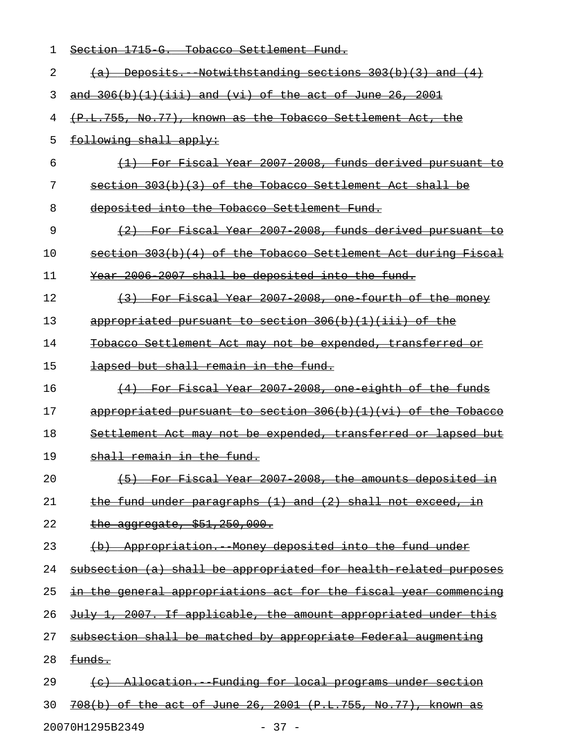| 1  | Section 1715 G. Tobacco Settlement Fund.                         |
|----|------------------------------------------------------------------|
| 2  | $(a)$ Deposits. Notwithstanding sections $303(b)(3)$ and $(4)$   |
| 3  | and $306(b)(1)(iii)$ and (vi) of the act of June 26, 2001        |
| 4  | (P.L.755, No.77), known as the Tobacco Settlement Act, the       |
| 5  | following shall apply:                                           |
| 6  | (1) For Fiscal Year 2007 2008, funds derived pursuant to         |
| 7  | section 303(b)(3) of the Tobacco Settlement Act shall be         |
| 8  | deposited into the Tobacco Settlement Fund.                      |
| 9  | (2) For Fiscal Year 2007 2008, funds derived pursuant to         |
| 10 | section 303(b)(4) of the Tobacco Settlement Act during Fiscal    |
| 11 | Year 2006 2007 shall be deposited into the fund.                 |
| 12 | (3) For Fiscal Year 2007 2008, one fourth of the money           |
| 13 | appropriated pursuant to section 306(b)(1)(iii) of the           |
| 14 | Tobacco Settlement Act may not be expended, transferred or       |
| 15 | lapsed but shall remain in the fund.                             |
| 16 | (4) For Fiscal Year 2007 2008, one eighth of the funds           |
| 17 | appropriated pursuant to section $306(b)(1)(vi)$ of the Tobacco  |
| 18 | Settlement Act may not be expended, transferred or lapsed but    |
| 19 | shall remain in the fund.                                        |
| 20 | (5) For Fiscal Year 2007 2008, the amounts deposited in          |
| 21 | the fund under paragraphs (1) and (2) shall not exceed, in       |
| 22 | the aggregate, $$51,250,000.$                                    |
| 23 | (b) Appropriation. Money deposited into the fund under           |
| 24 | subsection (a) shall be appropriated for health related purposes |
| 25 | in the general appropriations act for the fiscal year commencing |
| 26 | July 1, 2007. If applicable, the amount appropriated under this  |
| 27 | subsection shall be matched by appropriate Federal augmenting    |
| 28 | funds.                                                           |
| 29 | (c) Allocation. Funding for local programs under section         |
| 30 | 708(b) of the act of June 26, 2001 (P.L.755, No.77), known as    |
|    | 20070H1295B2349<br>$-37 -$                                       |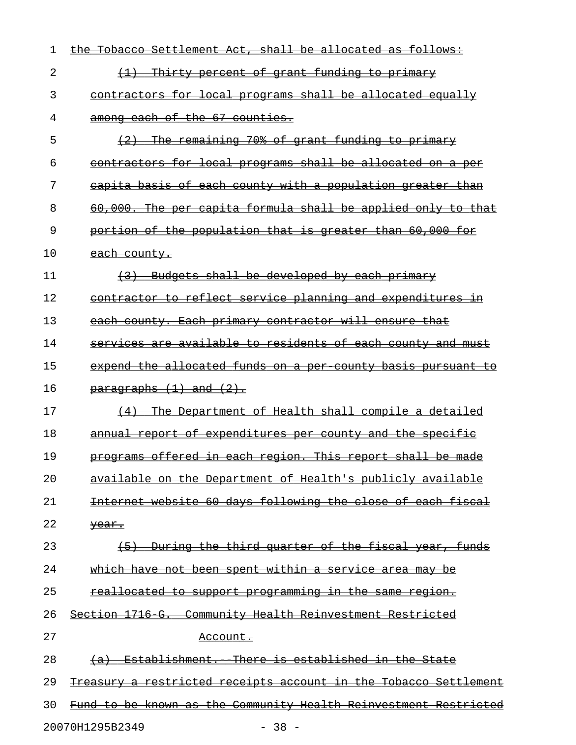| 1  | the Tobacco Settlement Act, shall be allocated as follows:       |
|----|------------------------------------------------------------------|
| 2  | (1) Thirty percent of grant funding to primary                   |
| 3  | contractors for local programs shall be allocated equally        |
| 4  | among each of the 67 counties.                                   |
| 5  | (2) The remaining 70% of grant funding to primary                |
| 6  | contractors for local programs shall be allocated on a per       |
| 7  | capita basis of each county with a population greater than       |
| 8  | 60,000. The per capita formula shall be applied only to that     |
| 9  | portion of the population that is greater than 60,000 for        |
| 10 | each county.                                                     |
| 11 | (3) Budgets shall be developed by each primary                   |
| 12 | contractor to reflect service planning and expenditures in       |
| 13 | each county. Each primary contractor will ensure that            |
| 14 | services are available to residents of each county and must      |
| 15 | expend the allocated funds on a per county basis pursuant to     |
| 16 | $\frac{1}{\text{parameters}}$ (1) and (2).                       |
| 17 | (4) The Department of Health shall compile a detailed            |
| 18 | annual report of expenditures per county and the specific        |
| 19 | programs offered in each region. This report shall be made       |
| 20 | available on the Department of Health's publicly available       |
| 21 | Internet website 60 days following the close of each fiscal      |
| 22 | year.                                                            |
| 23 | (5) During the third quarter of the fiscal year, funds           |
| 24 | which have not been spent within a service area may be           |
| 25 | reallocated to support programming in the same region.           |
| 26 | Section 1716 G. Community Health Reinvestment Restricted         |
| 27 | <del>Account.</del>                                              |
| 28 | (a) Establishment. There is established in the State             |
| 29 | Treasury a restricted receipts account in the Tobacco Settlement |
| 30 | Fund to be known as the Community Health Reinvestment Restricted |
|    | 20070H1295B2349<br>$-38 -$                                       |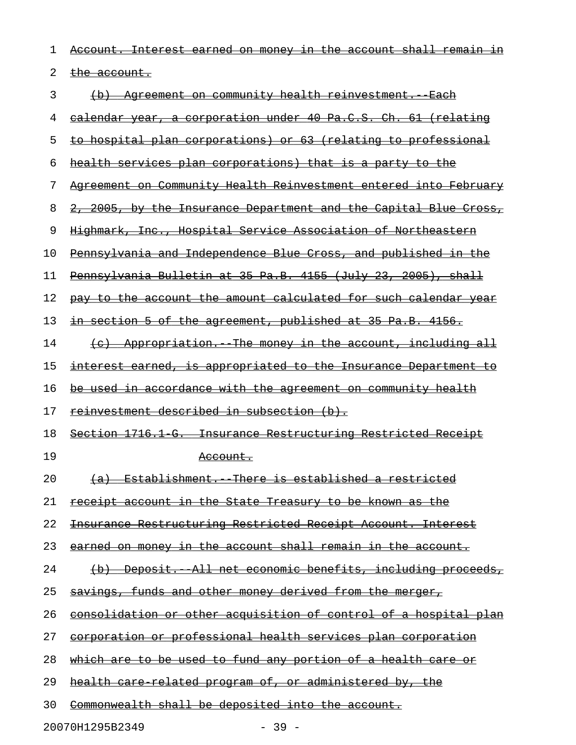| 1  | Account. Interest earned on money in the account shall remain in        |
|----|-------------------------------------------------------------------------|
| 2  | <del>the account.</del>                                                 |
| 3  | Agreement on community health reinvestment. Each<br>$\leftrightarrow$   |
| 4  | ealendar year, a corporation under 40 Pa.C.S. Ch. 61 (relating          |
| 5  | to hospital plan corporations) or 63 (relating to professional          |
| 6  | <u>health services plan corporations) that is a party to the </u>       |
| 7  | Agreement on Community Health Reinvestment entered into February        |
| 8  | 2, 2005, by the Insurance Department and the Capital Blue Cross,        |
| 9  | Highmark, Inc., Hospital Service Association of Northeastern            |
| 10 | Pennsylvania and Independence Blue Cross, and published in the          |
| 11 | Pennsylvania Bulletin at 35 Pa.B. 4155 (July 23, 2005), shall           |
| 12 | pay to the account the amount calculated for such calendar year         |
| 13 | in section 5 of the agreement, published at 35 Pa.B. 4156.              |
| 14 | (c) Appropriation. The money in the account, including all              |
| 15 | interest earned, is appropriated to the Insurance Department to         |
| 16 | be used in accordance with the agreement on community health            |
| 17 | reinvestment described in subsection (b).                               |
| 18 | Section 1716.1 G. Insurance Restructuring Restricted Receipt            |
| 19 | <del>Account.</del>                                                     |
| 20 | (a) Establishment. There is established a restricted                    |
| 21 | receipt account in the State Treasury to be known as the                |
| 22 | <u>Insurance Restructuring Restricted Receipt Account. Interest</u>     |
| 23 | <u>earned on money in the account shall remain in the account.</u>      |
| 24 | (b) Deposit. All net economic benefits, including proceeds,             |
| 25 | <u>savings, funds and other money derived from the merger,</u>          |
| 26 | <u>consolidation or other acquisition of control of a hospital plan</u> |
| 27 | corporation or professional health services plan corporation            |
| 28 | which are to be used to fund any portion of a health care or            |
| 29 | <u>health care related program of, or administered by, the</u>          |
| 30 | Commonwealth shall be deposited into the account.                       |

20070H1295B2349 - 39 -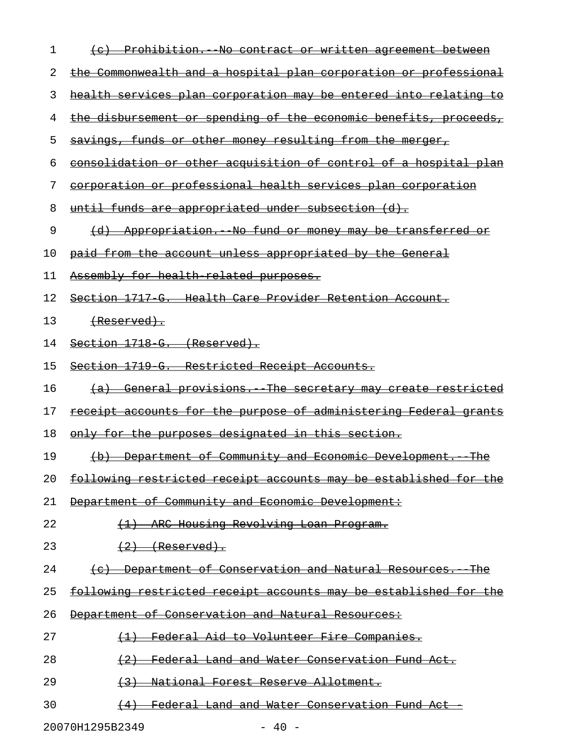| 1  | (c) Prohibition. No contract or written agreement between               |
|----|-------------------------------------------------------------------------|
| 2  | <u>the Commonwealth and a hospital plan corporation or professional</u> |
| 3  | <u>health services plan corporation may be entered into relating to</u> |
| 4  | <u>the disbursement or spending of the economic benefits, proceeds,</u> |
| 5  | <u>savings, funds or other money resulting from the merger,</u>         |
| 6  | <u>consolidation or other acquisition of control of a hospital plan</u> |
| 7  | corporation or professional health services plan corporation            |
| 8  | <u>until funds are appropriated under subsection (d).</u>               |
| 9  | (d) Appropriation. No fund or money may be transferred or               |
| 10 | <u>paid from the account unless appropriated by the General</u>         |
| 11 | Assembly for health related purposes.                                   |
| 12 | <u>Section 1717 G. Health Care Provider Retention Account.</u>          |
| 13 | <del>(Reserved).</del>                                                  |
| 14 | Section 1718 G. (Reserved).                                             |
| 15 | Section 1719 G. Restricted Receipt Accounts.                            |
| 16 | <u>(a) General provisions. The secretary may create restricted</u>      |
| 17 | <u>receipt accounts for the purpose of administering Federal grants</u> |
| 18 | <u>only for the purposes designated in this section.</u>                |
| 19 | <u>(b) Department of Community and Economic Development. The</u>        |
| 20 | following restricted receipt accounts may be established for the        |
| 21 | Department of Community and Economic Development:                       |
| 22 | (1) ARC Housing Revolving Loan Program.                                 |
| 23 | $(2)$ (Reserved).                                                       |
| 24 | (c) Department of Conservation and Natural Resources. The               |
| 25 | following restricted receipt accounts may be established for the        |
| 26 | Department of Conservation and Natural Resources:                       |
| 27 | (1) Federal Aid to Volunteer Fire Companies.                            |
| 28 | (2) Federal Land and Water Conservation Fund Act.                       |
| 29 | (3) National Forest Reserve Allotment.                                  |
| 30 | (4) Federal Land and Water Conservation Fund Act                        |

20070H1295B2349 - 40 -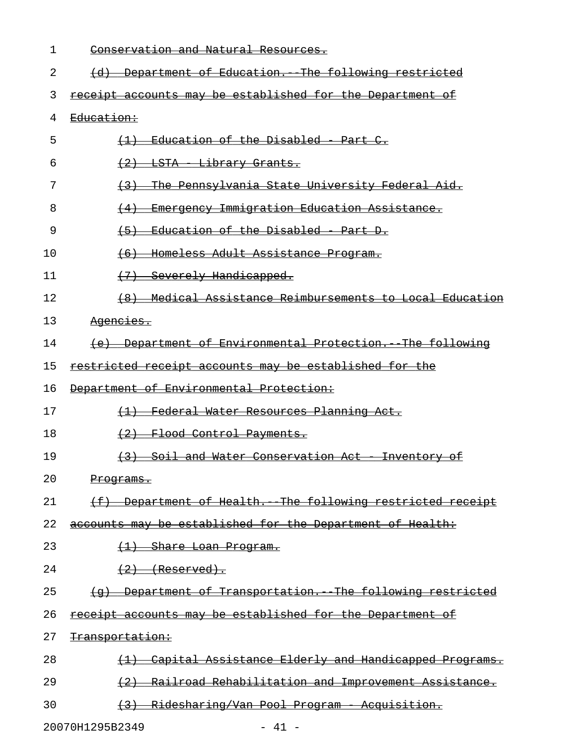| 1  | Conservation and Natural Resources.                                       |
|----|---------------------------------------------------------------------------|
| 2  | (d) Department of Education. The following restricted                     |
| 3  | receipt accounts may be established for the Department of                 |
| 4  | Education:                                                                |
| 5  | (1) Education of the Disabled - Part C.                                   |
| 6  | (2) LSTA Library Grants.                                                  |
| 7  | <u>The Pennsylvania State University Federal Aid.</u><br>(3)              |
| 8  | Emergency Immigration Education Assistance.<br>(4)                        |
| 9  | Education of the Disabled - Part D.<br>$\left( -5 \right)$                |
| 10 | <del>- Homeless Adult Assistance Program.</del><br>(6)                    |
| 11 | (7) Severely Handicapped.                                                 |
| 12 | (8) Medical Assistance Reimbursements to Local Education                  |
| 13 | Agencies.                                                                 |
| 14 | (e) Department of Environmental Protection. The following                 |
| 15 | restricted receipt accounts may be established for the                    |
| 16 | Department of Environmental Protection:                                   |
| 17 | (1) Federal Water Resources Planning Act.                                 |
| 18 | (2) Flood Control Payments.                                               |
| 19 | (3) Soil and Water Conservation Act Inventory of                          |
| 20 | <del>Programs.</del>                                                      |
| 21 | (f) Department of Health. The following restricted receipt                |
| 22 | accounts may be established for the Department of Health:                 |
| 23 | (1) Share Loan Program.                                                   |
| 24 | $(2)$ (Reserved).                                                         |
| 25 | (g) Department of Transportation. The following restricted                |
| 26 | receipt accounts may be established for the Department of                 |
| 27 | <del>Transportation:</del>                                                |
| 28 | Capital Assistance Elderly and Handicapped Programs.<br>$\leftrightarrow$ |
| 29 | (2) Railroad Rehabilitation and Improvement Assistance.                   |
|    |                                                                           |

30 (3) Ridesharing/Van Pool Program - Acquisition.

20070H1295B2349 - 41 -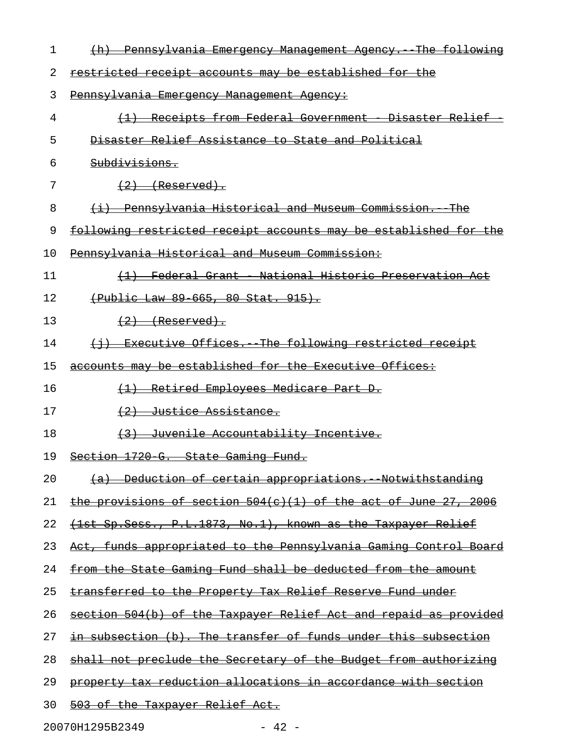| 1  | <u> Pennsylvania Emergency Management Agency. The following</u>   |
|----|-------------------------------------------------------------------|
| 2  | restricted receipt accounts may be established for the            |
| 3  | Pennsylvania Emergency Management Agency:                         |
| 4  | Receipts from Federal Government - Disaster Relief                |
| 5  | Disaster Relief Assistance to State and Political                 |
| 6  | <del>Subdivisions.</del>                                          |
| 7  | $(2)$ (Reserved).                                                 |
| 8  | (i) Pennsylvania Historical and Museum Commission. The            |
| 9  | following restricted receipt accounts may be established for the  |
| 10 | Pennsvlvania Historical and Museum Commission:                    |
| 11 | Federal Grant - National Historic Preservation Act                |
| 12 | (Public Law 89 665, 80 Stat, 915).                                |
| 13 | $(2)$ (Reserved).                                                 |
| 14 | (i) Executive Offices. The following restricted receipt           |
| 15 | accounts may be established for the Executive Offices:            |
| 16 | (1) Retired Employees Medicare Part D.                            |
| 17 | (2) Justice Assistance.                                           |
| 18 | Juvenile Accountability Incentive.                                |
| 19 | Section 1720 G. State Gaming Fund.                                |
| 20 | (a) Deduction of certain appropriations. Notwithstanding          |
| 21 | the provisions of section $504(c)(1)$ of the act of June 27, 2006 |
| 22 | (1st Sp. Sess., P.L. 1873, No. 1), known as the Taxpayer Relief   |
| 23 | Act, funds appropriated to the Pennsylvania Gaming Control Board  |
| 24 | from the State Gaming Fund shall be deducted from the amount      |
| 25 | transferred to the Property Tax Relief Reserve Fund under         |
| 26 | section 504(b) of the Taxpayer Relief Act and repaid as provided  |
| 27 | in subsection (b). The transfer of funds under this subsection    |
| 28 | shall not preclude the Secretary of the Budget from authorizing   |
| 29 | property tax reduction allocations in accordance with section     |
| 30 | 503 of the Taxpayer Relief Act.                                   |

20070H1295B2349 - 42 -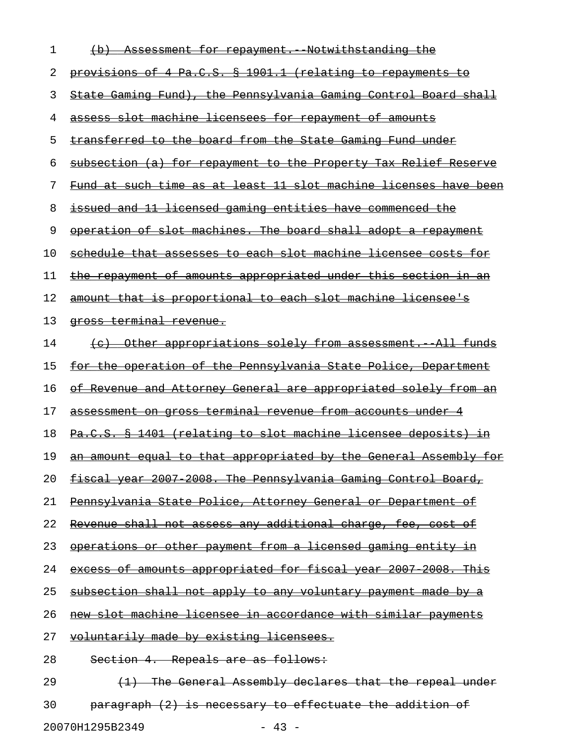| 1  | Assessment for repayment. Notwithstanding the                          |
|----|------------------------------------------------------------------------|
| 2  | provisions of 4 Pa.C.S. § 1901.1 (relating to repayments to            |
| 3  | State Gaming Fund), the Pennsylvania Gaming Control Board shall        |
| 4  | assess slot machine licensees for repayment of amounts                 |
| 5  | transferred to the board from the State Gaming Fund under              |
| 6  | subsection (a) for repayment to the Property Tax Relief Reserve        |
| 7  | Fund at such time as at least 11 slot machine licenses have been       |
| 8  | issued and 11 licensed gaming entities have commenced the              |
| 9  | operation of slot machines. The board shall adopt a repayment          |
| 10 | schedule that assesses to each slot machine licensee costs for         |
| 11 | the repayment of amounts appropriated under this section in an         |
| 12 | amount that is proportional to each slot machine licensee's            |
| 13 | <del>qross terminal revenue.</del>                                     |
| 14 | (c) Other appropriations solely from assessment. All funds             |
| 15 | for the operation of the Pennsylvania State Police, Department         |
| 16 | <u>of Revenue and Attorney General are appropriated solely from an</u> |
| 17 | assessment on gross terminal revenue from accounts under 4             |
| 18 | Pa.C.S. § 1401 (relating to slot machine licensee deposits) in         |
| 19 | an amount equal to that appropriated by the General Assembly for       |
| 20 | fiscal year 2007 2008. The Pennsylvania Gaming Control Board,          |
| 21 | Pennsylvania State Police, Attorney General or Department of           |
| 22 | Revenue shall not assess any additional charge, fee, cost of           |
| 23 | operations or other payment from a licensed gaming entity in           |
| 24 | excess of amounts appropriated for fiscal year 2007 2008. This         |
| 25 | subsection shall not apply to any voluntary payment made by a          |
| 26 | new slot machine licensee in accordance with similar payments          |
| 27 | voluntarily made by existing licensees.                                |
| 28 | Section 4. Repeals are as follows:                                     |
| 29 | (1) The General Assembly declares that the repeal under                |
| 30 | paragraph (2) is necessary to effectuate the addition of               |

20070H1295B2349 - 43 -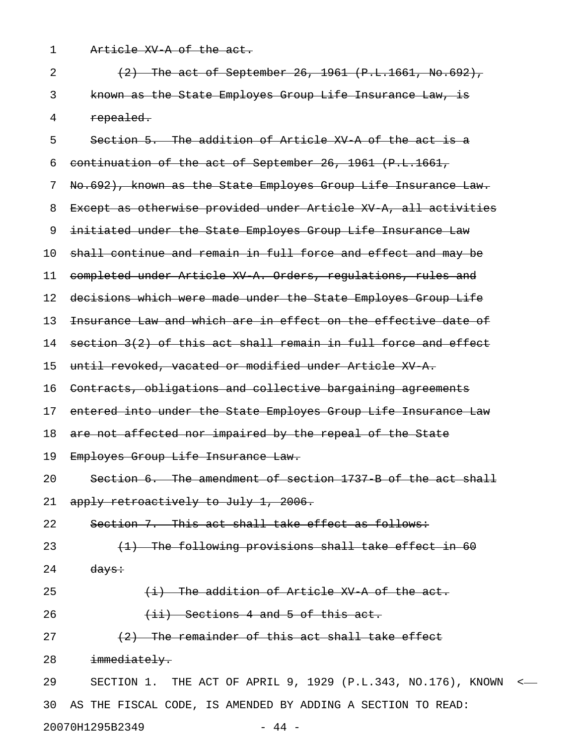1 Article XV A of the act.

| $\overline{2}$ | $(2)$ The act of September 26, 1961 $(P.L.1661, No.692)$ ,      |
|----------------|-----------------------------------------------------------------|
| 3              | known as the State Employes Group Life Insurance Law, is        |
| 4              | repealed.                                                       |
| 5              | Section 5. The addition of Article XV A of the act is a         |
| 6              | continuation of the act of September 26, 1961 (P.L.1661,        |
| 7              | No.692), known as the State Employes Group Life Insurance Law.  |
| 8              | Except as otherwise provided under Article XV A, all activities |
| 9              | initiated under the State Employes Group Life Insurance Law     |
| 10             | shall continue and remain in full force and effect and may be   |
| 11             | completed under Article XV A. Orders, regulations, rules and    |
| 12             | decisions which were made under the State Employes Group Life   |
| 13             | Insurance Law and which are in effect on the effective date of  |
| 14             | section 3(2) of this act shall remain in full force and effect  |
| 15             | until revoked, vacated or modified under Article XV A.          |
| 16             | Contracts, obligations and collective bargaining agreements     |
| 17             | entered into under the State Employes Group Life Insurance Law  |
| 18             | are not affected nor impaired by the repeal of the State        |
| 19             | Employes Group Life Insurance Law.                              |
| 20             | Section 6. The amendment of section 1737 B of the act shall     |
|                | 21 apply retroactively to July 1, 2006.                         |
| 22             | Section 7. This act shall take effect as follows:               |
| 23             | (1) The following provisions shall take effect in 60            |
| 24             | <del>days:</del>                                                |
| 25             | (i) The addition of Article XV A of the act.                    |
| 26             | $(iii)$ Sections 4 and 5 of this act.                           |
| 27             | (2) The remainder of this act shall take effect                 |
| 28             | immediately.                                                    |
| 29             | SECTION 1. THE ACT OF APRIL 9, 1929 (P.L.343, NO.176), KNOWN <  |
| 30             | AS THE FISCAL CODE, IS AMENDED BY ADDING A SECTION TO READ:     |

20070H1295B2349 - 44 -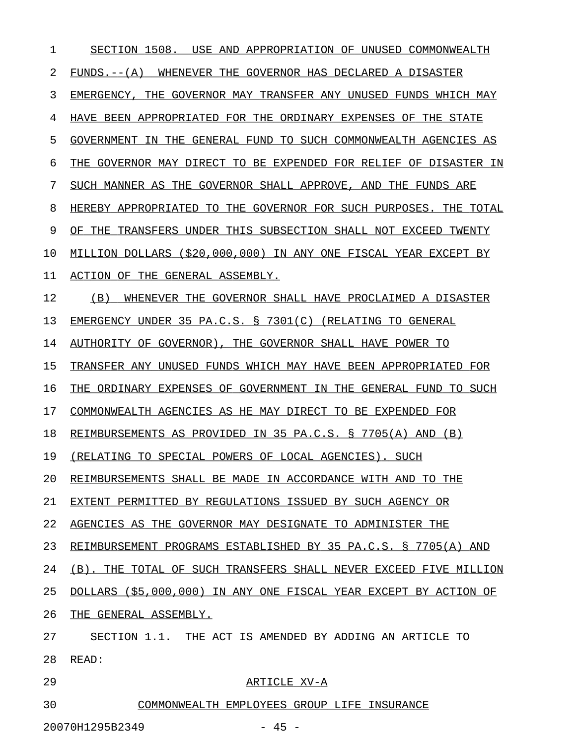| 1  | SECTION 1508.<br>USE AND<br>APPROPRIATION OF UNUSED COMMONWEALTH    |
|----|---------------------------------------------------------------------|
| 2  | WHENEVER THE GOVERNOR HAS DECLARED A DISASTER<br>$FUNDS. -- (A)$    |
| 3  | EMERGENCY.<br>THE GOVERNOR MAY TRANSFER ANY UNUSED FUNDS WHICH MAY  |
| 4  | HAVE BEEN APPROPRIATED FOR THE ORDINARY EXPENSES OF THE STATE       |
| 5  | GOVERNMENT IN THE GENERAL FUND TO SUCH COMMONWEALTH AGENCIES AS     |
| 6  | GOVERNOR MAY DIRECT TO BE EXPENDED FOR RELIEF OF DISASTER IN<br>THE |
| 7  | SUCH MANNER AS THE GOVERNOR SHALL APPROVE, AND THE FUNDS ARE        |
| 8  | HEREBY APPROPRIATED TO THE GOVERNOR FOR SUCH PURPOSES. THE TOTAL    |
| 9  | OF THE TRANSFERS UNDER THIS SUBSECTION SHALL NOT EXCEED TWENTY      |
| 10 | MILLION DOLLARS (\$20,000,000) IN ANY ONE FISCAL YEAR EXCEPT BY     |
| 11 | ACTION OF THE GENERAL ASSEMBLY.                                     |
| 12 | (B)<br>WHENEVER THE GOVERNOR SHALL HAVE PROCLAIMED A DISASTER       |
| 13 | EMERGENCY UNDER 35 PA.C.S. § 7301(C) (RELATING TO GENERAL           |
| 14 | AUTHORITY OF GOVERNOR), THE GOVERNOR SHALL HAVE POWER TO            |
| 15 | TRANSFER ANY UNUSED FUNDS WHICH MAY HAVE BEEN APPROPRIATED FOR      |
| 16 | ORDINARY EXPENSES OF GOVERNMENT IN THE GENERAL FUND TO SUCH<br>THE  |
| 17 | COMMONWEALTH AGENCIES AS HE MAY DIRECT TO BE EXPENDED FOR           |
| 18 | REIMBURSEMENTS AS PROVIDED IN 35 PA.C.S. § 7705(A) AND (B)          |
| 19 | (RELATING TO SPECIAL POWERS OF LOCAL AGENCIES). SUCH                |
| 20 | REIMBURSEMENTS SHALL BE MADE IN ACCORDANCE WITH AND TO THE          |
| 21 | EXTENT PERMITTED BY REGULATIONS ISSUED BY SUCH AGENCY OR            |
| 22 | AGENCIES AS THE GOVERNOR MAY DESIGNATE TO ADMINISTER THE            |
| 23 | REIMBURSEMENT PROGRAMS ESTABLISHED BY 35 PA.C.S. § 7705(A) AND      |
| 24 | (B). THE TOTAL OF SUCH TRANSFERS SHALL NEVER EXCEED FIVE MILLION    |
| 25 | DOLLARS (\$5,000,000) IN ANY ONE FISCAL YEAR EXCEPT BY ACTION OF    |
| 26 | THE GENERAL ASSEMBLY.                                               |
| 27 | SECTION 1.1. THE ACT IS AMENDED BY ADDING AN ARTICLE TO             |
| 28 | READ:                                                               |
| 29 | ARTICLE XV-A                                                        |
| 30 | COMMONWEALTH EMPLOYEES GROUP LIFE INSURANCE                         |

20070H1295B2349 - 45 -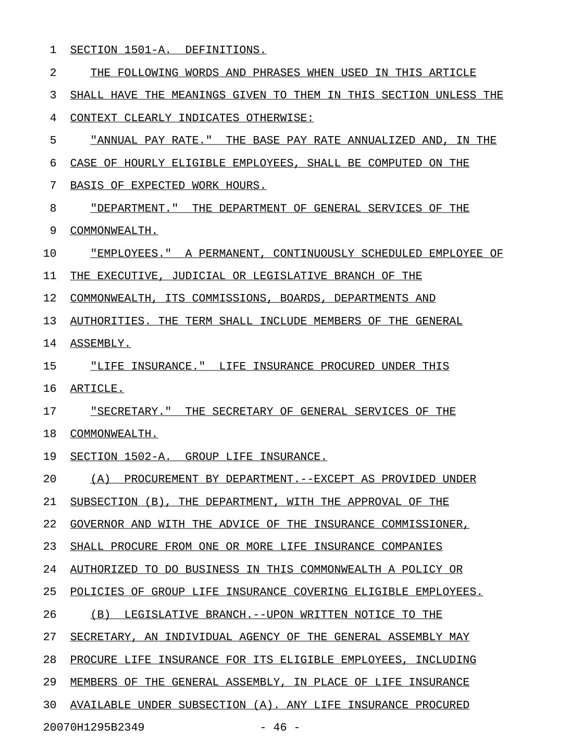| SECTION 1501-A.<br>DEFINITIONS. |
|---------------------------------|
|---------------------------------|

| 2  | THE FOLLOWING WORDS AND PHRASES WHEN USED IN THIS ARTICLE        |
|----|------------------------------------------------------------------|
| 3  | SHALL HAVE THE MEANINGS GIVEN TO THEM IN THIS SECTION UNLESS THE |
| 4  | CONTEXT CLEARLY INDICATES OTHERWISE:                             |
| 5  | "ANNUAL PAY RATE." THE BASE PAY RATE ANNUALIZED AND, IN THE      |
| 6  | CASE OF HOURLY ELIGIBLE EMPLOYEES, SHALL BE COMPUTED ON THE      |
| 7  | BASIS OF EXPECTED WORK HOURS.                                    |
| 8  | "DEPARTMENT." THE DEPARTMENT OF GENERAL SERVICES OF THE          |
| 9  | COMMONWEALTH.                                                    |
| 10 | "EMPLOYEES." A PERMANENT, CONTINUOUSLY SCHEDULED EMPLOYEE OF     |
| 11 | THE EXECUTIVE, JUDICIAL OR LEGISLATIVE BRANCH OF THE             |
| 12 | COMMONWEALTH, ITS COMMISSIONS, BOARDS, DEPARTMENTS AND           |
| 13 | AUTHORITIES. THE TERM SHALL INCLUDE MEMBERS OF THE GENERAL       |
| 14 | ASSEMBLY.                                                        |
| 15 | "LIFE INSURANCE." LIFE INSURANCE PROCURED UNDER THIS             |
| 16 | ARTICLE.                                                         |
| 17 | "SECRETARY." THE SECRETARY OF GENERAL SERVICES OF THE            |
| 18 | COMMONWEALTH.                                                    |
| 19 | SECTION 1502-A. GROUP LIFE INSURANCE.                            |
| 20 | PROCUREMENT BY DEPARTMENT. -- EXCEPT AS PROVIDED UNDER<br>(A)    |
| 21 | SUBSECTION (B), THE DEPARTMENT, WITH THE APPROVAL OF THE         |
| 22 | GOVERNOR AND WITH THE ADVICE OF THE INSURANCE COMMISSIONER,      |
| 23 | SHALL PROCURE FROM ONE OR MORE LIFE INSURANCE COMPANIES          |
| 24 | AUTHORIZED TO DO BUSINESS IN THIS COMMONWEALTH A POLICY OR       |
| 25 | POLICIES OF GROUP LIFE INSURANCE COVERING ELIGIBLE EMPLOYEES.    |
| 26 | (B)<br>LEGISLATIVE BRANCH.--UPON WRITTEN NOTICE TO THE           |
| 27 | SECRETARY, AN INDIVIDUAL AGENCY OF THE GENERAL ASSEMBLY MAY      |
| 28 | PROCURE LIFE INSURANCE FOR ITS ELIGIBLE EMPLOYEES, INCLUDING     |
| 29 | MEMBERS OF THE GENERAL ASSEMBLY, IN PLACE OF LIFE INSURANCE      |
| 30 | AVAILABLE UNDER SUBSECTION (A). ANY LIFE INSURANCE PROCURED      |
|    | 20070H1295B2349<br>$-46 -$                                       |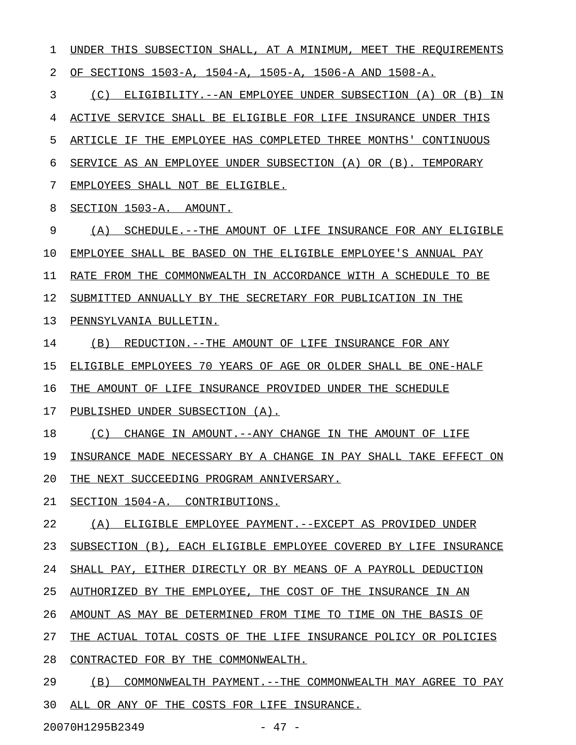1 UNDER THIS SUBSECTION SHALL, AT A MINIMUM, MEET THE REQUIREMENTS 2 OF SECTIONS 1503-A, 1504-A, 1505-A, 1506-A AND 1508-A. 3 (C) ELIGIBILITY.--AN EMPLOYEE UNDER SUBSECTION (A) OR (B) IN 4 ACTIVE SERVICE SHALL BE ELIGIBLE FOR LIFE INSURANCE UNDER THIS

5 ARTICLE IF THE EMPLOYEE HAS COMPLETED THREE MONTHS' CONTINUOUS 6 SERVICE AS AN EMPLOYEE UNDER SUBSECTION (A) OR (B). TEMPORARY

7 EMPLOYEES SHALL NOT BE ELIGIBLE.

8 SECTION 1503-A. AMOUNT.

9 (A) SCHEDULE.--THE AMOUNT OF LIFE INSURANCE FOR ANY ELIGIBLE

10 EMPLOYEE SHALL BE BASED ON THE ELIGIBLE EMPLOYEE'S ANNUAL PAY

11 RATE FROM THE COMMONWEALTH IN ACCORDANCE WITH A SCHEDULE TO BE

12 SUBMITTED ANNUALLY BY THE SECRETARY FOR PUBLICATION IN THE

13 PENNSYLVANIA BULLETIN.

14 (B) REDUCTION.--THE AMOUNT OF LIFE INSURANCE FOR ANY

15 ELIGIBLE EMPLOYEES 70 YEARS OF AGE OR OLDER SHALL BE ONE-HALF

16 THE AMOUNT OF LIFE INSURANCE PROVIDED UNDER THE SCHEDULE

17 PUBLISHED UNDER SUBSECTION (A).

18 (C) CHANGE IN AMOUNT.--ANY CHANGE IN THE AMOUNT OF LIFE

19 INSURANCE MADE NECESSARY BY A CHANGE IN PAY SHALL TAKE EFFECT ON

20 THE NEXT SUCCEEDING PROGRAM ANNIVERSARY.

21 SECTION 1504-A. CONTRIBUTIONS.

22 (A) ELIGIBLE EMPLOYEE PAYMENT. --EXCEPT AS PROVIDED UNDER

23 SUBSECTION (B), EACH ELIGIBLE EMPLOYEE COVERED BY LIFE INSURANCE

24 SHALL PAY, EITHER DIRECTLY OR BY MEANS OF A PAYROLL DEDUCTION

25 AUTHORIZED BY THE EMPLOYEE, THE COST OF THE INSURANCE IN AN

26 AMOUNT AS MAY BE DETERMINED FROM TIME TO TIME ON THE BASIS OF

27 THE ACTUAL TOTAL COSTS OF THE LIFE INSURANCE POLICY OR POLICIES

28 CONTRACTED FOR BY THE COMMONWEALTH.

29 (B) COMMONWEALTH PAYMENT. --THE COMMONWEALTH MAY AGREE TO PAY 30 ALL OR ANY OF THE COSTS FOR LIFE INSURANCE.

20070H1295B2349 - 47 -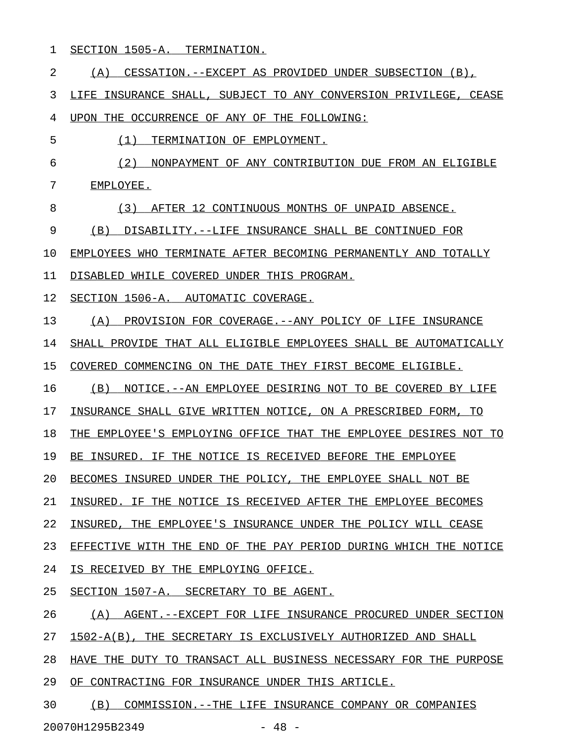1 SECTION 1505-A. TERMINATION.

| $\overline{2}$ | CESSATION.--EXCEPT AS PROVIDED UNDER SUBSECTION (B),<br>(A)      |
|----------------|------------------------------------------------------------------|
| 3              | LIFE INSURANCE SHALL, SUBJECT TO ANY CONVERSION PRIVILEGE, CEASE |
| 4              | UPON THE OCCURRENCE OF ANY OF THE FOLLOWING:                     |
| 5              | TERMINATION OF EMPLOYMENT.<br>(1)                                |
| 6              | (2)<br>NONPAYMENT OF ANY CONTRIBUTION DUE FROM AN ELIGIBLE       |
| 7              | EMPLOYEE.                                                        |
| 8              | (3)<br>AFTER 12 CONTINUOUS MONTHS OF UNPAID ABSENCE.             |
| 9              | DISABILITY.--LIFE INSURANCE SHALL BE CONTINUED FOR<br>(B)        |
| 10             | EMPLOYEES WHO TERMINATE AFTER BECOMING PERMANENTLY AND TOTALLY   |
| 11             | DISABLED WHILE COVERED UNDER THIS PROGRAM.                       |
| 12             | SECTION 1506-A. AUTOMATIC COVERAGE.                              |
| 13             | (A)<br>PROVISION FOR COVERAGE. -- ANY POLICY OF LIFE INSURANCE   |
| 14             | SHALL PROVIDE THAT ALL ELIGIBLE EMPLOYEES SHALL BE AUTOMATICALLY |
| 15             | COVERED COMMENCING ON THE DATE THEY FIRST BECOME ELIGIBLE.       |
| 16             | (B)<br>NOTICE. -- AN EMPLOYEE DESIRING NOT TO BE COVERED BY LIFE |
| 17             | INSURANCE SHALL GIVE WRITTEN NOTICE, ON A PRESCRIBED FORM, TO    |
| 18             | THE EMPLOYEE'S EMPLOYING OFFICE THAT THE EMPLOYEE DESIRES NOT TO |
| 19             | BE INSURED. IF THE NOTICE IS RECEIVED BEFORE THE EMPLOYEE        |
| 20             | BECOMES INSURED UNDER THE POLICY, THE EMPLOYEE SHALL NOT BE      |
| 21             | INSURED. IF THE NOTICE IS RECEIVED AFTER THE EMPLOYEE BECOMES    |
| 22             | INSURED, THE EMPLOYEE'S INSURANCE UNDER THE POLICY WILL CEASE    |
| 23             | EFFECTIVE WITH THE END OF THE PAY PERIOD DURING WHICH THE NOTICE |
| 24             | IS RECEIVED BY THE EMPLOYING OFFICE.                             |
| 25             | SECTION 1507-A. SECRETARY TO BE AGENT.                           |
| 26             | (A)<br>AGENT.--EXCEPT FOR LIFE INSURANCE PROCURED UNDER SECTION  |
| 27             | 1502-A(B), THE SECRETARY IS EXCLUSIVELY AUTHORIZED AND SHALL     |
| 28             | HAVE THE DUTY TO TRANSACT ALL BUSINESS NECESSARY FOR THE PURPOSE |
| 29             | OF CONTRACTING FOR INSURANCE UNDER THIS ARTICLE.                 |
| 30             | (B)<br>COMMISSION.--THE LIFE INSURANCE COMPANY OR COMPANIES      |

20070H1295B2349 - 48 -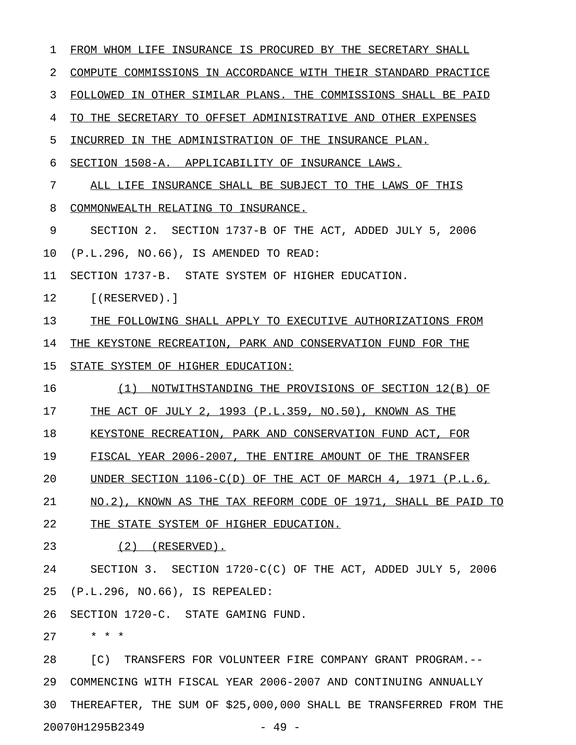| 1  | FROM WHOM LIFE INSURANCE IS PROCURED BY THE SECRETARY SHALL       |  |  |
|----|-------------------------------------------------------------------|--|--|
| 2  | COMPUTE COMMISSIONS IN ACCORDANCE WITH THEIR STANDARD PRACTICE    |  |  |
| 3  | FOLLOWED IN OTHER SIMILAR PLANS. THE COMMISSIONS SHALL BE PAID    |  |  |
| 4  | TO THE SECRETARY TO OFFSET ADMINISTRATIVE AND OTHER EXPENSES      |  |  |
| 5  | INCURRED IN THE ADMINISTRATION OF THE INSURANCE PLAN.             |  |  |
| 6  | SECTION 1508-A. APPLICABILITY OF INSURANCE LAWS.                  |  |  |
| 7  | ALL LIFE INSURANCE SHALL BE SUBJECT TO THE LAWS OF THIS           |  |  |
| 8  | COMMONWEALTH RELATING TO INSURANCE.                               |  |  |
| 9  | SECTION 2. SECTION 1737-B OF THE ACT, ADDED JULY 5, 2006          |  |  |
| 10 | (P.L.296, NO.66), IS AMENDED TO READ:                             |  |  |
| 11 | SECTION 1737-B. STATE SYSTEM OF HIGHER EDUCATION.                 |  |  |
| 12 | $[$ (RESERVED).]                                                  |  |  |
| 13 | THE FOLLOWING SHALL APPLY TO EXECUTIVE AUTHORIZATIONS FROM        |  |  |
| 14 | THE KEYSTONE RECREATION, PARK AND CONSERVATION FUND FOR THE       |  |  |
| 15 | STATE SYSTEM OF HIGHER EDUCATION:                                 |  |  |
| 16 | (1)<br>NOTWITHSTANDING THE PROVISIONS OF SECTION 12(B) OF         |  |  |
| 17 | THE ACT OF JULY 2, 1993 (P.L.359, NO.50), KNOWN AS THE            |  |  |
| 18 | KEYSTONE RECREATION, PARK AND CONSERVATION FUND ACT, FOR          |  |  |
| 19 | FISCAL YEAR 2006-2007, THE ENTIRE AMOUNT OF THE TRANSFER          |  |  |
| 20 | UNDER SECTION $1106-C(D)$ OF THE ACT OF MARCH 4, 1971 (P.L.6,     |  |  |
| 21 | NO.2), KNOWN AS THE TAX REFORM CODE OF 1971, SHALL BE PAID TO     |  |  |
| 22 | THE STATE SYSTEM OF HIGHER EDUCATION.                             |  |  |
| 23 | $(2)$ (RESERVED).                                                 |  |  |
| 24 | SECTION 3. SECTION 1720-C(C) OF THE ACT, ADDED JULY 5, 2006       |  |  |
| 25 | (P.L.296, NO.66), IS REPEALED:                                    |  |  |
| 26 | SECTION 1720-C. STATE GAMING FUND.                                |  |  |
| 27 | $\star$ $\star$ $\star$                                           |  |  |
| 28 | [C) TRANSFERS FOR VOLUNTEER FIRE COMPANY GRANT PROGRAM.--         |  |  |
| 29 | COMMENCING WITH FISCAL YEAR 2006-2007 AND CONTINUING ANNUALLY     |  |  |
| 30 | THEREAFTER, THE SUM OF \$25,000,000 SHALL BE TRANSFERRED FROM THE |  |  |
|    | 20070H1295B2349<br>$-49 -$                                        |  |  |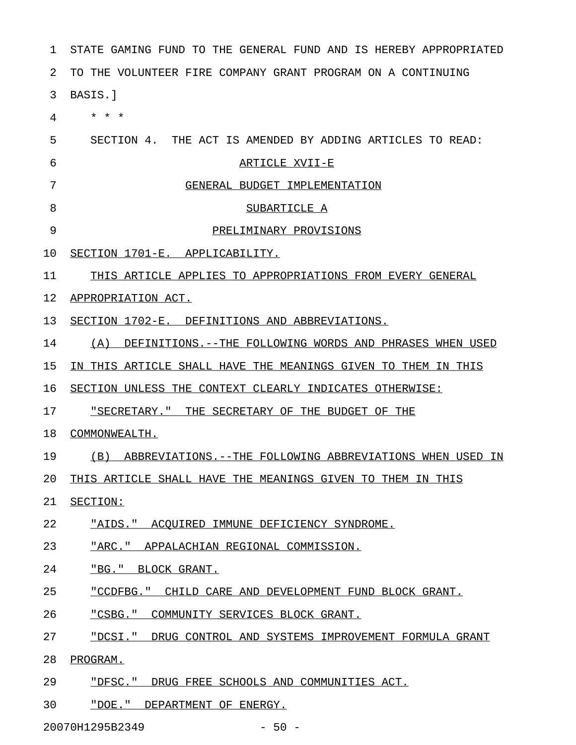| 1  | STATE GAMING FUND TO THE GENERAL FUND AND IS HEREBY APPROPRIATED |  |  |
|----|------------------------------------------------------------------|--|--|
| 2  | TO THE VOLUNTEER FIRE COMPANY GRANT PROGRAM ON A CONTINUING      |  |  |
| 3  | BASIS.]                                                          |  |  |
| 4  | $\star$<br>$\star$<br>$\star$                                    |  |  |
| 5  | SECTION 4. THE ACT IS AMENDED BY ADDING ARTICLES TO READ:        |  |  |
| 6  | ARTICLE XVII-E                                                   |  |  |
| 7  | GENERAL BUDGET IMPLEMENTATION                                    |  |  |
| 8  | SUBARTICLE A                                                     |  |  |
| 9  | PRELIMINARY PROVISIONS                                           |  |  |
| 10 | SECTION 1701-E. APPLICABILITY.                                   |  |  |
| 11 | THIS ARTICLE APPLIES TO APPROPRIATIONS FROM EVERY GENERAL        |  |  |
| 12 | APPROPRIATION ACT.                                               |  |  |
| 13 | SECTION 1702-E. DEFINITIONS AND ABBREVIATIONS.                   |  |  |
| 14 | DEFINITIONS. -- THE FOLLOWING WORDS AND PHRASES WHEN USED<br>(A) |  |  |
| 15 | IN THIS ARTICLE SHALL HAVE THE MEANINGS GIVEN TO THEM IN THIS    |  |  |
| 16 | SECTION UNLESS THE CONTEXT CLEARLY INDICATES OTHERWISE:          |  |  |
| 17 | "SECRETARY." THE SECRETARY OF THE BUDGET OF THE                  |  |  |
| 18 | COMMONWEALTH.                                                    |  |  |
| 19 | (B) ABBREVIATIONS.--THE FOLLOWING ABBREVIATIONS WHEN USED IN     |  |  |
| 20 | THIS ARTICLE SHALL HAVE THE MEANINGS GIVEN TO THEM IN THIS       |  |  |
| 21 | SECTION:                                                         |  |  |
| 22 | "AIDS." ACQUIRED IMMUNE DEFICIENCY SYNDROME.                     |  |  |
| 23 | "ARC." APPALACHIAN REGIONAL COMMISSION.                          |  |  |
| 24 | "BG." BLOCK GRANT.                                               |  |  |
| 25 | "CCDFBG." CHILD CARE AND DEVELOPMENT FUND BLOCK GRANT.           |  |  |
| 26 | "CSBG." COMMUNITY SERVICES BLOCK GRANT.                          |  |  |
| 27 | "DCSI." DRUG CONTROL AND SYSTEMS IMPROVEMENT FORMULA GRANT       |  |  |
| 28 | PROGRAM.                                                         |  |  |
| 29 | "DFSC." DRUG FREE SCHOOLS AND COMMUNITIES ACT.                   |  |  |
| 30 | "DOE." DEPARTMENT OF ENERGY.                                     |  |  |

20070H1295B2349 - 50 -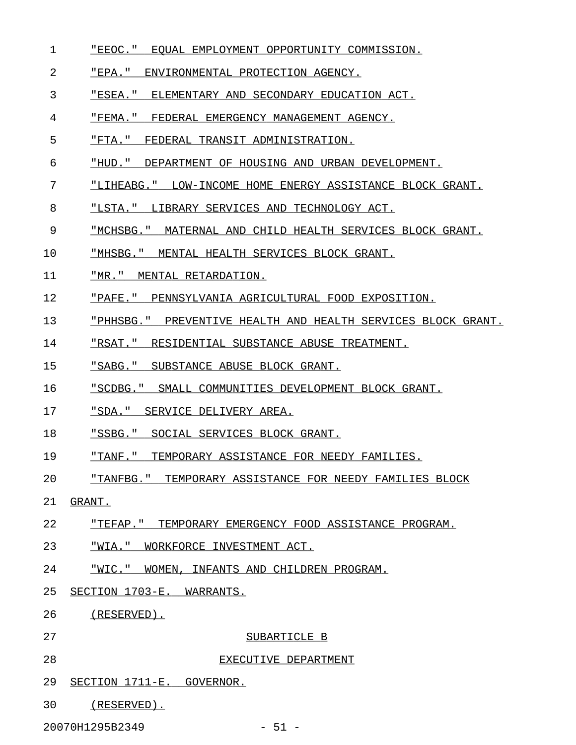- 1 FEEOC." EQUAL EMPLOYMENT OPPORTUNITY COMMISSION.
- 2 FEPA." ENVIRONMENTAL PROTECTION AGENCY.
- 3 "ESEA." ELEMENTARY AND SECONDARY EDUCATION ACT.
- 4 "FEMA." FEDERAL EMERGENCY MANAGEMENT AGENCY.
- 5 "FTA." FEDERAL TRANSIT ADMINISTRATION.
- 6 "HUD." DEPARTMENT OF HOUSING AND URBAN DEVELOPMENT.
- 7 "LIHEABG." LOW-INCOME HOME ENERGY ASSISTANCE BLOCK GRANT.
- 8 "LSTA." LIBRARY SERVICES AND TECHNOLOGY ACT.
- 9 "MCHSBG." MATERNAL AND CHILD HEALTH SERVICES BLOCK GRANT.
- 10 "MHSBG." MENTAL HEALTH SERVICES BLOCK GRANT.
- 11 "MR." MENTAL RETARDATION.
- 12 "PAFE." PENNSYLVANIA AGRICULTURAL FOOD EXPOSITION.
- 13 "PHHSBG." PREVENTIVE HEALTH AND HEALTH SERVICES BLOCK GRANT.
- 14 "RSAT." RESIDENTIAL SUBSTANCE ABUSE TREATMENT.
- 15 "SABG." SUBSTANCE ABUSE BLOCK GRANT.
- 16 "SCDBG." SMALL COMMUNITIES DEVELOPMENT BLOCK GRANT.
- 17 "SDA." SERVICE DELIVERY AREA.
- 18 "SSBG." SOCIAL SERVICES BLOCK GRANT.
- 19 TANF." TEMPORARY ASSISTANCE FOR NEEDY FAMILIES.
- 20 THANFBG." TEMPORARY ASSISTANCE FOR NEEDY FAMILIES BLOCK
- 21 GRANT.
- 22 "TEFAP." TEMPORARY EMERGENCY FOOD ASSISTANCE PROGRAM.
- 23 "WIA." WORKFORCE INVESTMENT ACT.
- 24 "WIC." WOMEN, INFANTS AND CHILDREN PROGRAM.
- 25 SECTION 1703-E. WARRANTS.
- 26 (RESERVED).
- 27 SUBARTICLE B
- 28 EXECUTIVE DEPARTMENT
- 29 SECTION 1711-E. GOVERNOR.
- 30 (RESERVED).

20070H1295B2349 - 51 -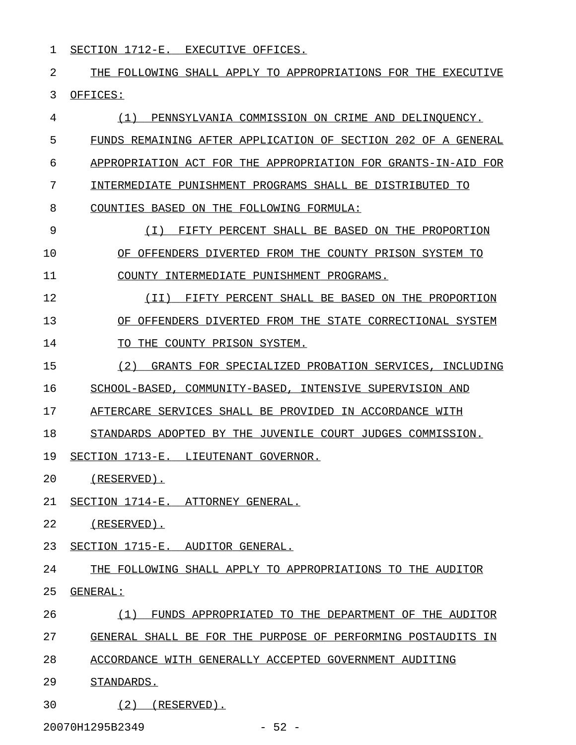1 SECTION 1712-E. EXECUTIVE OFFICES.

2 THE FOLLOWING SHALL APPLY TO APPROPRIATIONS FOR THE EXECUTIVE 3 OFFICES:

4 (1) PENNSYLVANIA COMMISSION ON CRIME AND DELINQUENCY. 5 FUNDS REMAINING AFTER APPLICATION OF SECTION 202 OF A GENERAL 6 APPROPRIATION ACT FOR THE APPROPRIATION FOR GRANTS-IN-AID FOR 7 INTERMEDIATE PUNISHMENT PROGRAMS SHALL BE DISTRIBUTED TO 8 COUNTIES BASED ON THE FOLLOWING FORMULA: 9 (I) FIFTY PERCENT SHALL BE BASED ON THE PROPORTION \_\_\_\_\_\_\_\_\_\_\_\_\_\_\_\_\_\_\_\_\_\_\_\_\_\_\_\_\_\_\_\_\_\_\_\_\_\_\_\_\_\_\_\_\_\_\_\_\_\_\_ 10 OF OFFENDERS DIVERTED FROM THE COUNTY PRISON SYSTEM TO 11 COUNTY INTERMEDIATE PUNISHMENT PROGRAMS. 12 (II) FIFTY PERCENT SHALL BE BASED ON THE PROPORTION \_\_\_\_\_\_\_\_\_\_\_\_\_\_\_\_\_\_\_\_\_\_\_\_\_\_\_\_\_\_\_\_\_\_\_\_\_\_\_\_\_\_\_\_\_\_\_\_\_\_\_\_ 13 OF OFFENDERS DIVERTED FROM THE STATE CORRECTIONAL SYSTEM 14 TO THE COUNTY PRISON SYSTEM. 15 (2) GRANTS FOR SPECIALIZED PROBATION SERVICES, INCLUDING 16 SCHOOL-BASED, COMMUNITY-BASED, INTENSIVE SUPERVISION AND 17 AFTERCARE SERVICES SHALL BE PROVIDED IN ACCORDANCE WITH 18 STANDARDS ADOPTED BY THE JUVENILE COURT JUDGES COMMISSION. 19 SECTION 1713-E. LIEUTENANT GOVERNOR. 20 (RESERVED). 21 SECTION 1714-E. ATTORNEY GENERAL. 22 (RESERVED). 23 SECTION 1715-E. AUDITOR GENERAL. 24 THE FOLLOWING SHALL APPLY TO APPROPRIATIONS TO THE AUDITOR 25 GENERAL: \_\_\_\_\_\_\_\_ 26 (1) FUNDS APPROPRIATED TO THE DEPARTMENT OF THE AUDITOR 27 GENERAL SHALL BE FOR THE PURPOSE OF PERFORMING POSTAUDITS IN 28 ACCORDANCE WITH GENERALLY ACCEPTED GOVERNMENT AUDITING 29 STANDARDS. 30 (2) (RESERVED).

20070H1295B2349 - 52 -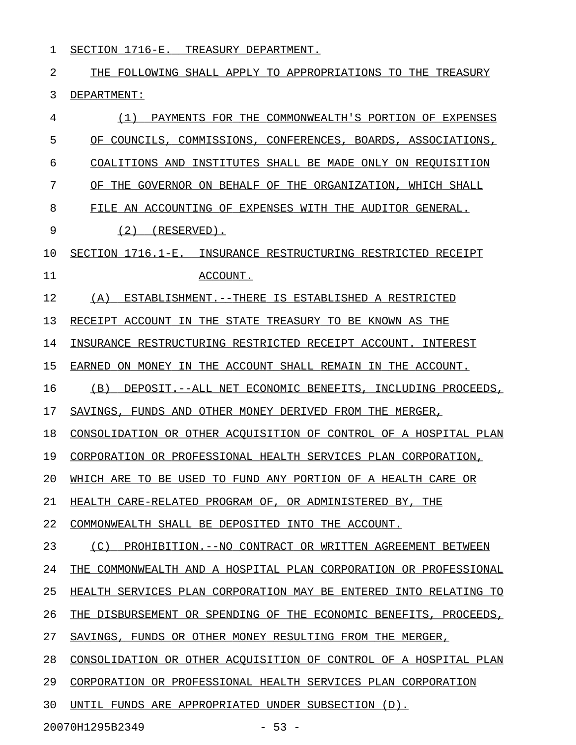1 SECTION 1716-E. TREASURY DEPARTMENT.

2 THE FOLLOWING SHALL APPLY TO APPROPRIATIONS TO THE TREASURY 3 DEPARTMENT:

| 4  | (1)<br>PAYMENTS FOR THE<br>COMMONWEALTH'S PORTION OF EXPENSES    |
|----|------------------------------------------------------------------|
| 5  | OF COUNCILS, COMMISSIONS, CONFERENCES, BOARDS, ASSOCIATIONS,     |
| 6  | INSTITUTES SHALL BE MADE ONLY ON REOUISITION<br>COALITIONS AND   |
| 7  | THE GOVERNOR ON BEHALF OF THE ORGANIZATION, WHICH SHALL<br>OF    |
| 8  | FILE AN ACCOUNTING OF EXPENSES WITH THE AUDITOR GENERAL.         |
| 9  | (2)<br>$(RESERVED)$ .                                            |
| 10 | SECTION 1716.1-E. INSURANCE RESTRUCTURING RESTRICTED RECEIPT     |
| 11 | ACCOUNT.                                                         |
| 12 | (A)<br>ESTABLISHMENT. --THERE IS ESTABLISHED A RESTRICTED        |
| 13 | RECEIPT ACCOUNT IN THE STATE TREASURY TO BE KNOWN AS THE         |
| 14 | INSURANCE RESTRUCTURING RESTRICTED RECEIPT ACCOUNT.<br>INTEREST  |
| 15 | EARNED ON MONEY IN THE ACCOUNT SHALL REMAIN IN THE ACCOUNT.      |
| 16 | (B)<br>DEPOSIT.--ALL NET ECONOMIC BENEFITS, INCLUDING PROCEEDS,  |
| 17 | SAVINGS, FUNDS AND OTHER MONEY DERIVED FROM THE MERGER,          |
| 18 | CONSOLIDATION OR OTHER ACOUISITION OF CONTROL OF A HOSPITAL PLAN |
| 19 | CORPORATION OR PROFESSIONAL HEALTH SERVICES PLAN CORPORATION,    |
| 20 | WHICH ARE TO BE USED TO FUND ANY PORTION OF A HEALTH CARE OR     |
| 21 | HEALTH CARE-RELATED PROGRAM OF, OR ADMINISTERED BY,<br>THE       |
| 22 | COMMONWEALTH SHALL BE DEPOSITED INTO THE ACCOUNT.                |
| 23 | (C) PROHIBITION. -- NO CONTRACT OR WRITTEN AGREEMENT BETWEEN     |
| 24 | THE COMMONWEALTH AND A HOSPITAL PLAN CORPORATION OR PROFESSIONAL |
| 25 | HEALTH SERVICES PLAN CORPORATION MAY BE ENTERED INTO RELATING TO |
| 26 | THE DISBURSEMENT OR SPENDING OF THE ECONOMIC BENEFITS, PROCEEDS, |
| 27 | SAVINGS, FUNDS OR OTHER MONEY RESULTING FROM THE MERGER,         |
| 28 | CONSOLIDATION OR OTHER ACOUISITION OF CONTROL OF A HOSPITAL PLAN |
| 29 | CORPORATION OR PROFESSIONAL HEALTH SERVICES PLAN CORPORATION     |
| 30 | UNTIL FUNDS ARE APPROPRIATED UNDER SUBSECTION (D).               |
|    |                                                                  |

20070H1295B2349 - 53 -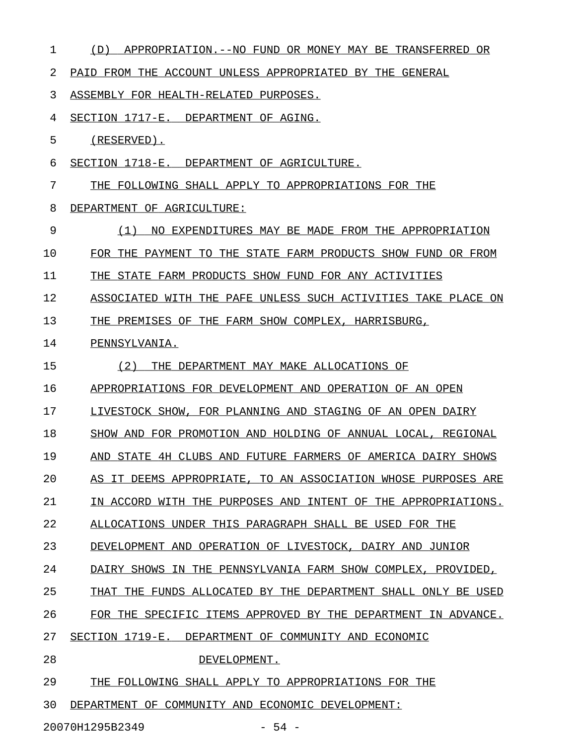| 1  | (D)<br>APPROPRIATION.--NO FUND OR MONEY MAY BE TRANSFERRED OR |
|----|---------------------------------------------------------------|
| 2  | PAID FROM THE ACCOUNT UNLESS APPROPRIATED BY THE GENERAL      |
| 3  | ASSEMBLY FOR HEALTH-RELATED PURPOSES.                         |
| 4  | SECTION 1717-E. DEPARTMENT OF AGING.                          |
| 5  | $(RESERVED)$ .                                                |
| 6  | SECTION 1718-E. DEPARTMENT OF AGRICULTURE.                    |
| 7  | THE FOLLOWING SHALL APPLY TO APPROPRIATIONS FOR THE           |
| 8  | DEPARTMENT OF AGRICULTURE:                                    |
| 9  | NO EXPENDITURES MAY BE MADE FROM THE APPROPRIATION<br>(1)     |
| 10 | FOR THE PAYMENT TO THE STATE FARM PRODUCTS SHOW FUND OR FROM  |
| 11 | THE STATE FARM PRODUCTS SHOW FUND FOR ANY ACTIVITIES          |
| 12 | ASSOCIATED WITH THE PAFE UNLESS SUCH ACTIVITIES TAKE PLACE ON |
| 13 | THE PREMISES OF THE FARM SHOW COMPLEX, HARRISBURG,            |
| 14 | PENNSYLVANIA.                                                 |
| 15 | (2)<br>THE DEPARTMENT MAY MAKE ALLOCATIONS OF                 |
| 16 | APPROPRIATIONS FOR DEVELOPMENT AND OPERATION OF AN OPEN       |
| 17 | LIVESTOCK SHOW, FOR PLANNING AND STAGING OF AN OPEN DAIRY     |
| 18 | SHOW AND FOR PROMOTION AND HOLDING OF ANNUAL LOCAL, REGIONAL  |
| 19 | AND STATE 4H CLUBS AND FUTURE FARMERS OF AMERICA DAIRY SHOWS  |
| 20 | AS IT DEEMS APPROPRIATE, TO AN ASSOCIATION WHOSE PURPOSES ARE |
| 21 | IN ACCORD WITH THE PURPOSES AND INTENT OF THE APPROPRIATIONS. |
| 22 | ALLOCATIONS UNDER THIS PARAGRAPH SHALL BE USED FOR THE        |
| 23 | DEVELOPMENT AND OPERATION OF LIVESTOCK, DAIRY AND JUNIOR      |
| 24 | DAIRY SHOWS IN THE PENNSYLVANIA FARM SHOW COMPLEX, PROVIDED,  |
| 25 | THAT THE FUNDS ALLOCATED BY THE DEPARTMENT SHALL ONLY BE USED |
| 26 | FOR THE SPECIFIC ITEMS APPROVED BY THE DEPARTMENT IN ADVANCE. |
| 27 | SECTION 1719-E. DEPARTMENT OF COMMUNITY AND ECONOMIC          |
| 28 | DEVELOPMENT.                                                  |
| 29 | THE FOLLOWING SHALL APPLY TO APPROPRIATIONS FOR THE           |
| 30 | DEPARTMENT OF COMMUNITY AND ECONOMIC DEVELOPMENT:             |
|    | $-54 -$<br>20070H1295B2349                                    |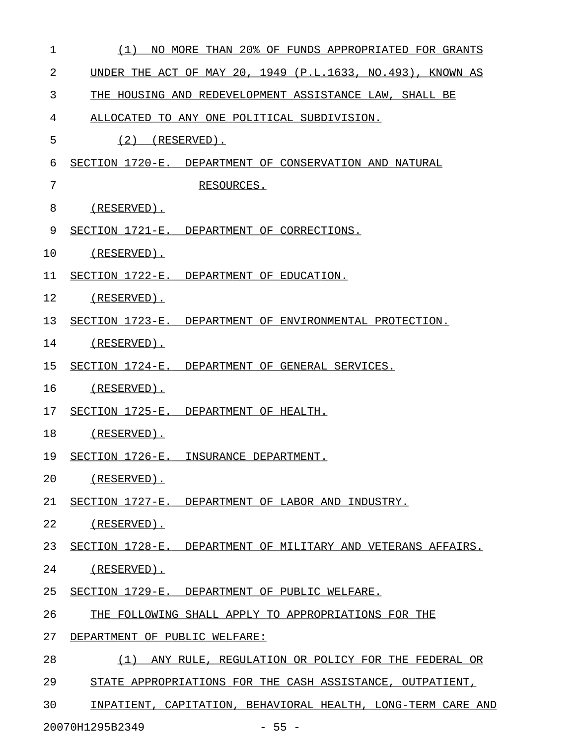| 1  | (1)<br>NO MORE THAN 20% OF FUNDS APPROPRIATED FOR GRANTS     |
|----|--------------------------------------------------------------|
| 2  | UNDER THE ACT OF MAY 20, 1949 (P.L.1633, NO.493), KNOWN AS   |
| 3  | THE HOUSING AND REDEVELOPMENT ASSISTANCE LAW, SHALL BE       |
| 4  | ALLOCATED TO ANY ONE POLITICAL SUBDIVISION.                  |
| 5  | $(2)$ (RESERVED).                                            |
| 6  | SECTION 1720-E. DEPARTMENT OF CONSERVATION AND NATURAL       |
| 7  | RESOURCES.                                                   |
| 8  | (RESERVED).                                                  |
| 9  | SECTION 1721-E. DEPARTMENT OF CORRECTIONS.                   |
| 10 | (RESERVED).                                                  |
| 11 | SECTION 1722-E. DEPARTMENT OF EDUCATION.                     |
| 12 | (RESERVED).                                                  |
| 13 | SECTION 1723-E. DEPARTMENT OF ENVIRONMENTAL PROTECTION.      |
| 14 | (RESERVED).                                                  |
| 15 | SECTION 1724-E. DEPARTMENT OF GENERAL SERVICES.              |
| 16 | (RESERVED).                                                  |
| 17 | SECTION 1725-E. DEPARTMENT OF HEALTH.                        |
| 18 | (RESERVED).                                                  |
| 19 | SECTION 1726-E. INSURANCE DEPARTMENT.                        |
| 20 | (RESERVED).                                                  |
| 21 | SECTION 1727-E. DEPARTMENT OF LABOR AND INDUSTRY.            |
| 22 | (RESERVED).                                                  |
| 23 | SECTION 1728-E. DEPARTMENT OF MILITARY AND VETERANS AFFAIRS. |
| 24 | (RESERVED).                                                  |
| 25 | SECTION 1729-E. DEPARTMENT OF PUBLIC WELFARE.                |
| 26 | THE FOLLOWING SHALL APPLY TO APPROPRIATIONS FOR THE          |
| 27 | DEPARTMENT OF PUBLIC WELFARE:                                |
| 28 | (1) ANY RULE, REGULATION OR POLICY FOR THE FEDERAL OR        |
| 29 | STATE APPROPRIATIONS FOR THE CASH ASSISTANCE, OUTPATIENT,    |
| 30 | INPATIENT, CAPITATION, BEHAVIORAL HEALTH, LONG-TERM CARE AND |

20070H1295B2349 - 55 -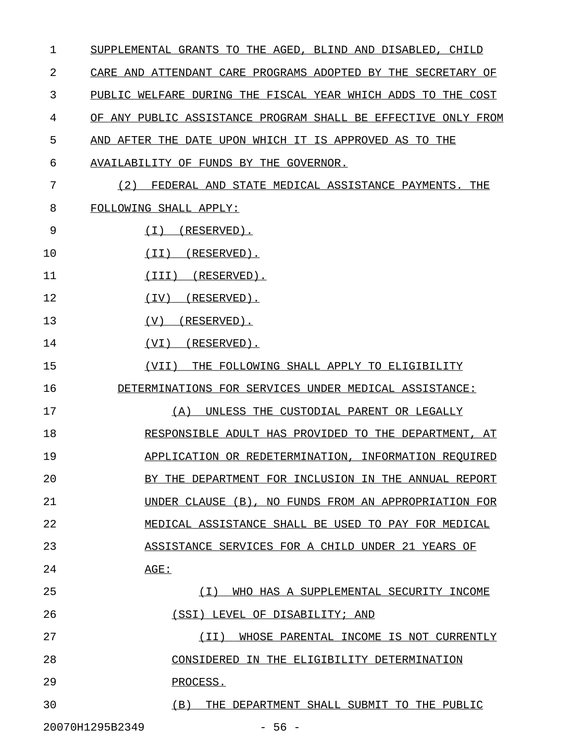| $\mathbf 1$                | SUPPLEMENTAL GRANTS TO THE AGED, BLIND AND DISABLED, CHILD    |
|----------------------------|---------------------------------------------------------------|
| 2                          | CARE AND ATTENDANT CARE PROGRAMS ADOPTED BY THE SECRETARY OF  |
| 3                          | PUBLIC WELFARE DURING THE FISCAL YEAR WHICH ADDS TO THE COST  |
| 4                          | OF ANY PUBLIC ASSISTANCE PROGRAM SHALL BE EFFECTIVE ONLY FROM |
| 5                          | AND AFTER THE DATE UPON WHICH IT IS APPROVED AS TO THE        |
| 6                          | AVAILABILITY OF FUNDS BY THE GOVERNOR.                        |
| 7                          | (2)<br>FEDERAL AND STATE MEDICAL ASSISTANCE PAYMENTS. THE     |
| 8                          | FOLLOWING SHALL APPLY:                                        |
| 9                          | (1)<br>$(RESERVED)$ .                                         |
| 10                         | (RESERVED).<br>(TT)                                           |
| 11                         | $(III)$ $(RESERVED)$ .                                        |
| 12                         | (RESERVED).<br>(TV)                                           |
| 13                         | (V)<br>$(RESERVED)$ .                                         |
| 14                         | (RESERVED).<br>(VI)                                           |
| 15                         | (VII)<br>THE FOLLOWING SHALL APPLY TO ELIGIBILITY             |
| 16                         | DETERMINATIONS FOR SERVICES UNDER MEDICAL ASSISTANCE:         |
| 17                         | (A)<br>UNLESS THE CUSTODIAL PARENT OR LEGALLY                 |
| 18                         | RESPONSIBLE ADULT HAS PROVIDED TO THE DEPARTMENT, AT          |
| 19                         | APPLICATION OR REDETERMINATION, INFORMATION REQUIRED          |
| 20                         | BY THE DEPARTMENT FOR INCLUSION IN THE ANNUAL REPORT          |
| 21                         | UNDER CLAUSE<br>(B)<br>NO FUNDS FROM AN APPROPRIATION FOR     |
| 22                         | MEDICAL ASSISTANCE SHALL BE USED<br>TO PAY FOR MEDICAL        |
| 23                         | ASSISTANCE SERVICES FOR A CHILD UNDER<br>-21<br>YEARS<br>ΟF   |
| 24                         | AGE:                                                          |
| 25                         | (T)<br>WHO HAS A SUPPLEMENTAL SECURITY INCOME                 |
| 26                         | (SSI)<br>LEVEL OF DISABILITY; AND                             |
| 27                         | (TT)<br>WHOSE PARENTAL INCOME<br>IS NOT CURRENTLY             |
| 28                         | CONSIDERED<br>IN THE ELIGIBILITY DETERMINATION                |
| 29                         | PROCESS.                                                      |
| 30                         | (B)<br>THE DEPARTMENT SHALL SUBMIT TO THE PUBLIC              |
| 20070H1295B2349<br>$-56 -$ |                                                               |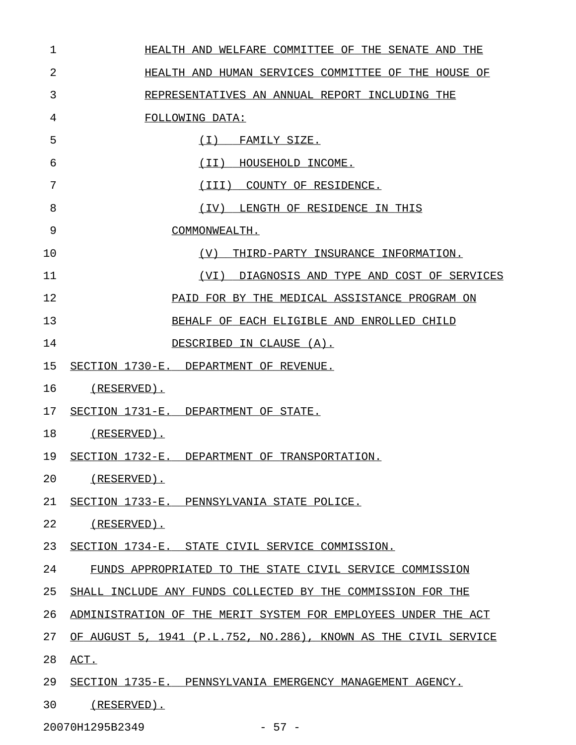| 1  | HEALTH AND WELFARE COMMITTEE OF THE SENATE AND THE              |
|----|-----------------------------------------------------------------|
| 2  | HEALTH AND HUMAN SERVICES COMMITTEE OF THE HOUSE OF             |
| 3  | REPRESENTATIVES AN ANNUAL REPORT INCLUDING THE                  |
| 4  | FOLLOWING DATA:                                                 |
| 5  | (I) FAMILY SIZE.                                                |
| 6  | (II)<br>HOUSEHOLD INCOME.                                       |
| 7  | (III) COUNTY OF RESIDENCE.                                      |
| 8  | LENGTH OF RESIDENCE IN THIS<br>(IV)                             |
| 9  | COMMONWEALTH.                                                   |
| 10 | (V)<br>THIRD-PARTY INSURANCE INFORMATION.                       |
| 11 | DIAGNOSIS AND TYPE AND COST OF SERVICES<br>(VI)                 |
| 12 | PAID FOR BY THE MEDICAL ASSISTANCE PROGRAM ON                   |
| 13 | BEHALF OF EACH ELIGIBLE AND ENROLLED CHILD                      |
| 14 | DESCRIBED IN CLAUSE (A).                                        |
| 15 | SECTION 1730-E. DEPARTMENT OF REVENUE.                          |
| 16 | (RESERVED).                                                     |
| 17 | SECTION 1731-E. DEPARTMENT OF STATE.                            |
| 18 | (RESERVED).                                                     |
| 19 | SECTION 1732-E. DEPARTMENT OF TRANSPORTATION.                   |
| 20 | (RESERVED).                                                     |
| 21 | SECTION 1733-E. PENNSYLVANIA STATE POLICE.                      |
| 22 | (RESERVED).                                                     |
| 23 | SECTION 1734-E. STATE CIVIL SERVICE COMMISSION.                 |
| 24 | FUNDS APPROPRIATED TO THE STATE CIVIL SERVICE COMMISSION        |
| 25 | SHALL INCLUDE ANY FUNDS COLLECTED BY THE COMMISSION FOR THE     |
| 26 | ADMINISTRATION OF THE MERIT SYSTEM FOR EMPLOYEES UNDER THE ACT  |
| 27 | OF AUGUST 5, 1941 (P.L.752, NO.286), KNOWN AS THE CIVIL SERVICE |
| 28 | ACT.                                                            |
| 29 | SECTION 1735-E. PENNSYLVANIA EMERGENCY MANAGEMENT AGENCY.       |
| 30 | $(RESERVED)$ .                                                  |

20070H1295B2349 - 57 -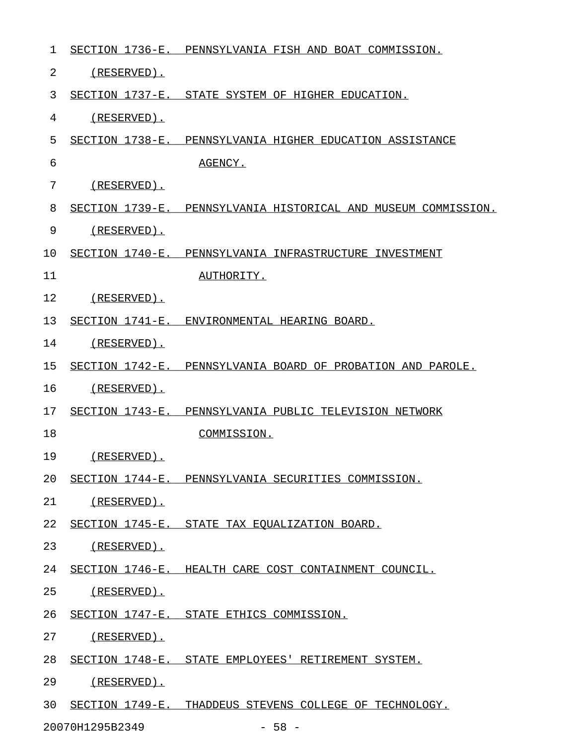| 1  |                    | SECTION 1736-E. PENNSYLVANIA FISH AND BOAT COMMISSION.         |
|----|--------------------|----------------------------------------------------------------|
| 2  | $(RESERVED)$ .     |                                                                |
| 3  |                    | SECTION 1737-E. STATE SYSTEM OF HIGHER EDUCATION.              |
| 4  | $(RESERVED)$ .     |                                                                |
| 5  |                    | SECTION 1738-E. PENNSYLVANIA HIGHER EDUCATION ASSISTANCE       |
| 6  |                    | AGENCY.                                                        |
| 7  | $(RESERVED)$ .     |                                                                |
| 8  |                    | SECTION 1739-E. PENNSYLVANIA HISTORICAL AND MUSEUM COMMISSION. |
| 9  | $(RESERVED)$ .     |                                                                |
| 10 |                    | SECTION 1740-E. PENNSYLVANIA INFRASTRUCTURE INVESTMENT         |
| 11 |                    | AUTHORITY.                                                     |
| 12 | (RESERVED).        |                                                                |
| 13 |                    | SECTION 1741-E. ENVIRONMENTAL HEARING BOARD.                   |
| 14 | $(RESERVED)$ .     |                                                                |
| 15 |                    | SECTION 1742-E. PENNSYLVANIA BOARD OF PROBATION AND PAROLE.    |
| 16 | (RESERVED).        |                                                                |
| 17 |                    | SECTION 1743-E. PENNSYLVANIA PUBLIC TELEVISION NETWORK         |
| 18 |                    | COMMISSION.                                                    |
| 19 | $(RESERVED)$ .     |                                                                |
| 20 |                    | SECTION 1744-E. PENNSYLVANIA SECURITIES COMMISSION.            |
| 21 | (RESERVED).        |                                                                |
| 22 |                    | SECTION 1745-E. STATE TAX EQUALIZATION BOARD.                  |
| 23 | <u>(RESERVED).</u> |                                                                |
| 24 |                    | SECTION 1746-E. HEALTH CARE COST CONTAINMENT COUNCIL.          |
| 25 | <u>(RESERVED).</u> |                                                                |
| 26 |                    | SECTION 1747-E. STATE ETHICS COMMISSION.                       |
| 27 | <u>(RESERVED).</u> |                                                                |
| 28 |                    | SECTION 1748-E. STATE EMPLOYEES' RETIREMENT SYSTEM.            |
| 29 | <u>(RESERVED).</u> |                                                                |
| 30 |                    | SECTION 1749-E. THADDEUS STEVENS COLLEGE OF TECHNOLOGY.        |
|    | 20070H1295B2349    | $-58 -$                                                        |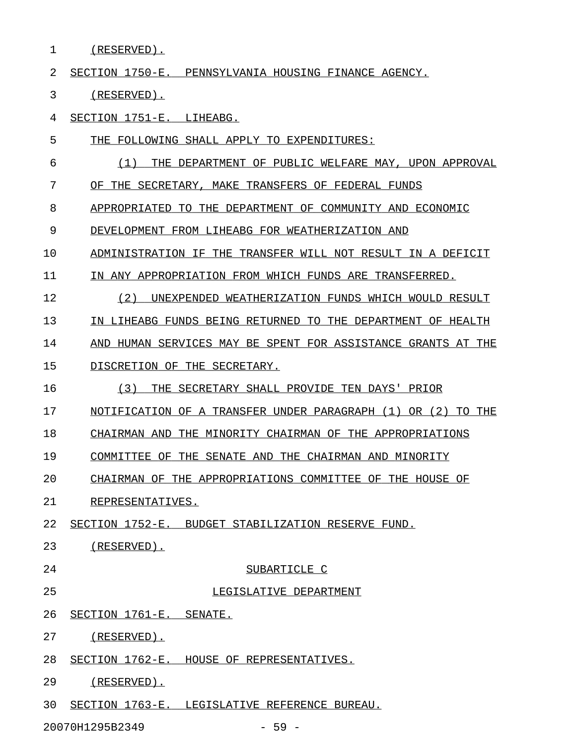1 (RESERVED).

2 SECTION 1750-E. PENNSYLVANIA HOUSING FINANCE AGENCY.

3 (RESERVED).

4 SECTION 1751-E. LIHEABG.

- 5 THE FOLLOWING SHALL APPLY TO EXPENDITURES:
- 6  $(1)$  THE DEPARTMENT OF PUBLIC WELFARE MAY, UPON APPROVAL

7 OF THE SECRETARY, MAKE TRANSFERS OF FEDERAL FUNDS

8 APPROPRIATED TO THE DEPARTMENT OF COMMUNITY AND ECONOMIC

9 DEVELOPMENT FROM LIHEABG FOR WEATHERIZATION AND

10 ADMINISTRATION IF THE TRANSFER WILL NOT RESULT IN A DEFICIT

11 IN ANY APPROPRIATION FROM WHICH FUNDS ARE TRANSFERRED.

- 12 (2) UNEXPENDED WEATHERIZATION FUNDS WHICH WOULD RESULT 13 IN LIHEABG FUNDS BEING RETURNED TO THE DEPARTMENT OF HEALTH 14 AND HUMAN SERVICES MAY BE SPENT FOR ASSISTANCE GRANTS AT THE
- 15 DISCRETION OF THE SECRETARY.
- 16 (3) THE SECRETARY SHALL PROVIDE TEN DAYS' PRIOR
- 17 NOTIFICATION OF A TRANSFER UNDER PARAGRAPH (1) OR (2) TO THE

18 CHAIRMAN AND THE MINORITY CHAIRMAN OF THE APPROPRIATIONS

19 COMMITTEE OF THE SENATE AND THE CHAIRMAN AND MINORITY

20 CHAIRMAN OF THE APPROPRIATIONS COMMITTEE OF THE HOUSE OF

- 21 REPRESENTATIVES.
- 22 SECTION 1752-E. BUDGET STABILIZATION RESERVE FUND.
- 23 (RESERVED).
- 

## 24 SUBARTICLE C

25 LEGISLATIVE DEPARTMENT

26 SECTION 1761-E. SENATE.

27 (RESERVED).

- 28 SECTION 1762-E. HOUSE OF REPRESENTATIVES.
- 29 (RESERVED).

30 SECTION 1763-E. LEGISLATIVE REFERENCE BUREAU.

20070H1295B2349 - 59 -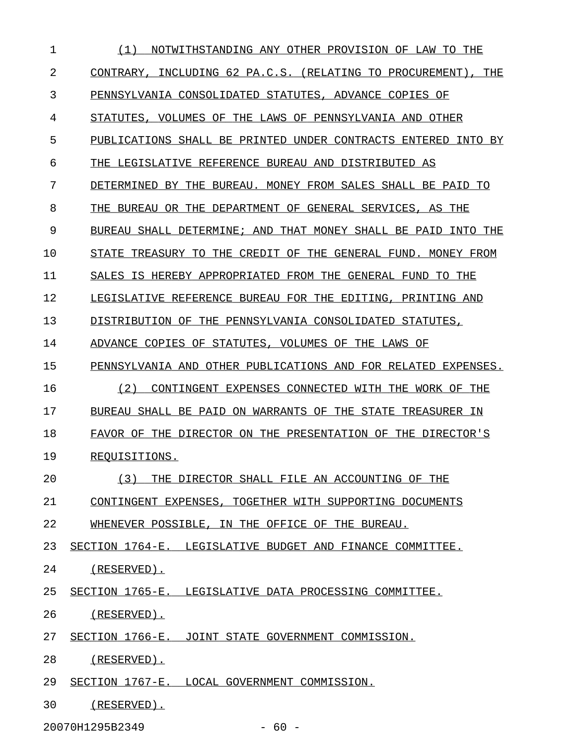| 1  | (1)<br>NOTWITHSTANDING ANY OTHER PROVISION OF LAW TO THE      |  |  |
|----|---------------------------------------------------------------|--|--|
| 2  | CONTRARY, INCLUDING 62 PA.C.S. (RELATING TO PROCUREMENT), THE |  |  |
| 3  | PENNSYLVANIA CONSOLIDATED STATUTES, ADVANCE COPIES OF         |  |  |
| 4  | STATUTES, VOLUMES OF THE LAWS OF PENNSYLVANIA AND OTHER       |  |  |
| 5  | PUBLICATIONS SHALL BE PRINTED UNDER CONTRACTS ENTERED INTO BY |  |  |
| 6  | THE LEGISLATIVE REFERENCE BUREAU AND DISTRIBUTED AS           |  |  |
| 7  | DETERMINED BY THE BUREAU. MONEY FROM SALES SHALL BE PAID TO   |  |  |
| 8  | THE BUREAU OR THE DEPARTMENT OF GENERAL SERVICES, AS THE      |  |  |
| 9  | BUREAU SHALL DETERMINE; AND THAT MONEY SHALL BE PAID INTO THE |  |  |
| 10 | STATE TREASURY TO THE CREDIT OF THE GENERAL FUND. MONEY FROM  |  |  |
| 11 | SALES IS HEREBY APPROPRIATED FROM THE GENERAL FUND TO THE     |  |  |
| 12 | LEGISLATIVE REFERENCE BUREAU FOR THE EDITING, PRINTING AND    |  |  |
| 13 | DISTRIBUTION OF THE PENNSYLVANIA CONSOLIDATED STATUTES,       |  |  |
| 14 | ADVANCE COPIES OF STATUTES, VOLUMES OF THE LAWS OF            |  |  |
| 15 | PENNSYLVANIA AND OTHER PUBLICATIONS AND FOR RELATED EXPENSES. |  |  |
| 16 | CONTINGENT EXPENSES CONNECTED WITH THE WORK OF THE<br>(2)     |  |  |
| 17 | BUREAU SHALL BE PAID ON WARRANTS OF THE STATE TREASURER IN    |  |  |
| 18 | FAVOR OF THE DIRECTOR ON THE PRESENTATION OF THE DIRECTOR'S   |  |  |
| 19 | REOUISITIONS.                                                 |  |  |
| 20 | (3)<br>THE DIRECTOR SHALL FILE AN ACCOUNTING OF THE           |  |  |
| 21 | CONTINGENT EXPENSES, TOGETHER WITH SUPPORTING DOCUMENTS       |  |  |
| 22 | WHENEVER POSSIBLE, IN THE OFFICE OF THE BUREAU.               |  |  |
| 23 | SECTION 1764-E. LEGISLATIVE BUDGET AND FINANCE COMMITTEE.     |  |  |
| 24 | (RESERVED).                                                   |  |  |
| 25 | SECTION 1765-E. LEGISLATIVE DATA PROCESSING COMMITTEE.        |  |  |
| 26 | (RESERVED).                                                   |  |  |
| 27 | SECTION 1766-E. JOINT STATE GOVERNMENT COMMISSION.            |  |  |
| 28 | $(RESERVED)$ .                                                |  |  |
| 29 | SECTION 1767-E. LOCAL GOVERNMENT COMMISSION.                  |  |  |
| 30 | $(RESERVED)$ .                                                |  |  |

20070H1295B2349 - 60 -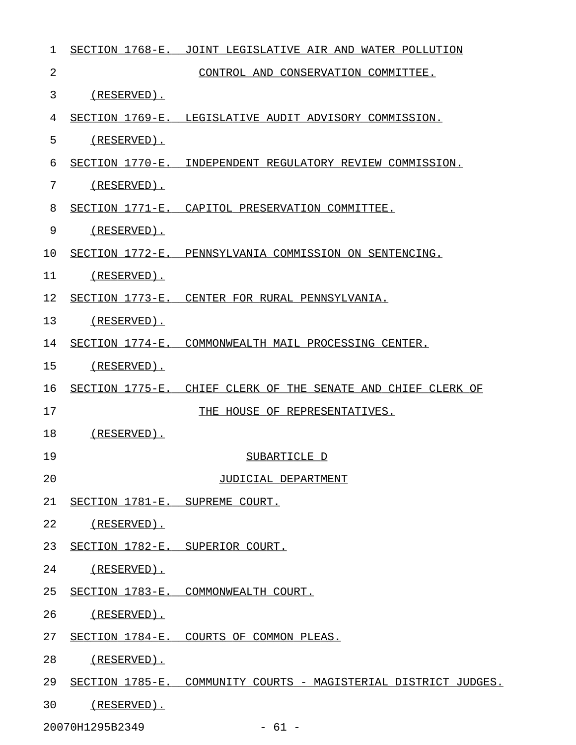| 1  |                                | SECTION 1768-E. JOINT LEGISLATIVE AIR AND WATER POLLUTION       |
|----|--------------------------------|-----------------------------------------------------------------|
| 2  |                                | CONTROL AND CONSERVATION COMMITTEE.                             |
| 3  | $(RESERVED)$ .                 |                                                                 |
| 4  |                                | SECTION 1769-E. LEGISLATIVE AUDIT ADVISORY COMMISSION.          |
| 5  | $(RESERVED)$ .                 |                                                                 |
| 6  |                                | SECTION 1770-E. INDEPENDENT REGULATORY REVIEW COMMISSION.       |
| 7  | $(RESERVED)$ .                 |                                                                 |
| 8  |                                | SECTION 1771-E. CAPITOL PRESERVATION COMMITTEE.                 |
| 9  | $(RESERVED)$ .                 |                                                                 |
| 10 |                                | SECTION 1772-E. PENNSYLVANIA COMMISSION ON SENTENCING.          |
| 11 | (RESERVED).                    |                                                                 |
| 12 |                                | SECTION 1773-E. CENTER FOR RURAL PENNSYLVANIA.                  |
| 13 | (RESERVED).                    |                                                                 |
| 14 |                                | SECTION 1774-E. COMMONWEALTH MAIL PROCESSING CENTER.            |
| 15 | (RESERVED).                    |                                                                 |
| 16 |                                | SECTION 1775-E. CHIEF CLERK OF THE SENATE AND CHIEF CLERK OF    |
| 17 |                                | THE HOUSE OF REPRESENTATIVES.                                   |
| 18 | (RESERVED).                    |                                                                 |
| 19 |                                | SUBARTICLE D                                                    |
| 20 |                                | JUDICIAL DEPARTMENT                                             |
| 21 | SECTION 1781-E. SUPREME COURT. |                                                                 |
| 22 | (RESERVED).                    |                                                                 |
| 23 |                                | SECTION 1782-E. SUPERIOR COURT.                                 |
| 24 | (RESERVED).                    |                                                                 |
| 25 |                                | SECTION 1783-E. COMMONWEALTH COURT.                             |
| 26 | (RESERVED).                    |                                                                 |
| 27 |                                | SECTION 1784-E. COURTS OF COMMON PLEAS.                         |
| 28 | (RESERVED).                    |                                                                 |
| 29 |                                | SECTION 1785-E. COMMUNITY COURTS - MAGISTERIAL DISTRICT JUDGES. |
| 30 | (RESERVED).                    |                                                                 |
|    |                                |                                                                 |

20070H1295B2349 - 61 -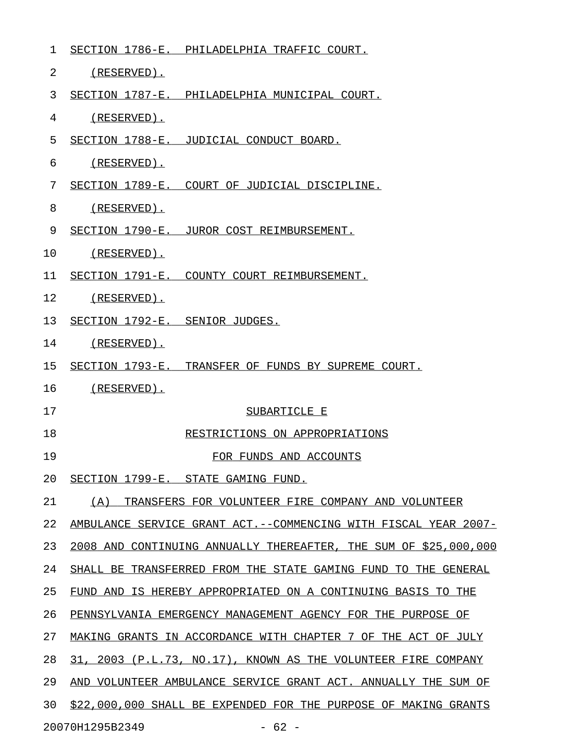| 1  |                                    | SECTION 1786-E. PHILADELPHIA TRAFFIC COURT.                       |
|----|------------------------------------|-------------------------------------------------------------------|
| 2  | (RESERVED).                        |                                                                   |
| 3  |                                    | SECTION 1787-E. PHILADELPHIA MUNICIPAL COURT.                     |
| 4  | (RESERVED).                        |                                                                   |
| 5  |                                    | SECTION 1788-E. JUDICIAL CONDUCT BOARD.                           |
| 6  | (RESERVED).                        |                                                                   |
| 7  |                                    | SECTION 1789-E. COURT OF JUDICIAL DISCIPLINE.                     |
| 8  | (RESERVED).                        |                                                                   |
| 9  |                                    | SECTION 1790-E. JUROR COST REIMBURSEMENT.                         |
| 10 | (RESERVED).                        |                                                                   |
| 11 |                                    | SECTION 1791-E. COUNTY COURT REIMBURSEMENT.                       |
| 12 | (RESERVED).                        |                                                                   |
| 13 | SECTION 1792-E. SENIOR JUDGES.     |                                                                   |
| 14 | (RESERVED).                        |                                                                   |
| 15 |                                    | SECTION 1793-E. TRANSFER OF FUNDS BY SUPREME COURT.               |
| 16 | (RESERVED).                        |                                                                   |
| 17 |                                    | SUBARTICLE E                                                      |
| 18 |                                    | RESTRICTIONS ON APPROPRIATIONS                                    |
| 19 |                                    | FOR FUNDS AND ACCOUNTS                                            |
| 20 | SECTION 1799-E. STATE GAMING FUND. |                                                                   |
| 21 | (A)                                | TRANSFERS FOR VOLUNTEER FIRE COMPANY AND VOLUNTEER                |
| 22 |                                    | AMBULANCE SERVICE GRANT ACT. -- COMMENCING WITH FISCAL YEAR 2007- |
| 23 |                                    | 2008 AND CONTINUING ANNUALLY THEREAFTER, THE SUM OF \$25,000,000  |
| 24 |                                    | SHALL BE TRANSFERRED FROM THE STATE GAMING FUND TO THE GENERAL    |
| 25 |                                    | FUND AND IS HEREBY APPROPRIATED ON A CONTINUING BASIS TO THE      |
| 26 |                                    | PENNSYLVANIA EMERGENCY MANAGEMENT AGENCY FOR THE PURPOSE OF       |
| 27 |                                    | MAKING GRANTS IN ACCORDANCE WITH CHAPTER 7 OF THE ACT OF JULY     |
| 28 |                                    | 31, 2003 (P.L.73, NO.17), KNOWN AS THE VOLUNTEER FIRE COMPANY     |
| 29 |                                    | AND VOLUNTEER AMBULANCE SERVICE GRANT ACT. ANNUALLY THE SUM OF    |
| 30 |                                    | \$22,000,000 SHALL BE EXPENDED FOR THE PURPOSE OF MAKING GRANTS   |
|    | 20070H1295B2349                    | $-62 -$                                                           |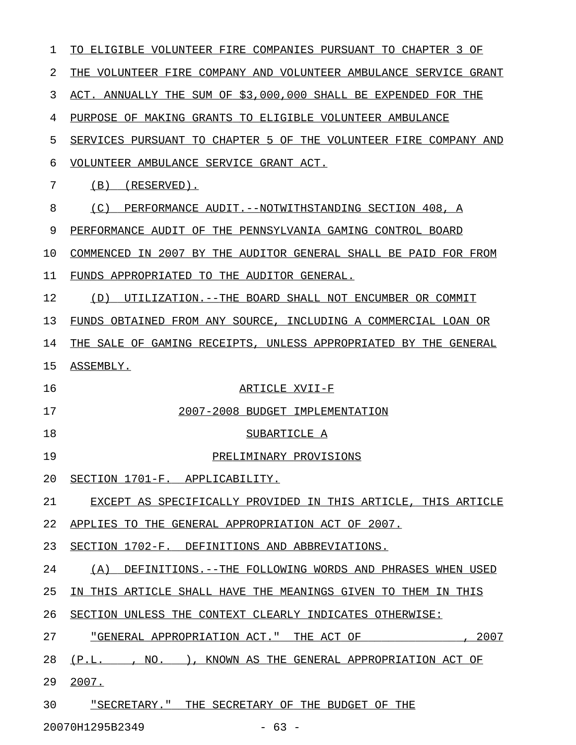| 1  | ELIGIBLE VOLUNTEER FIRE COMPANIES PURSUANT TO CHAPTER 3 OF<br>TO. |
|----|-------------------------------------------------------------------|
| 2  | THE VOLUNTEER FIRE COMPANY AND VOLUNTEER AMBULANCE SERVICE GRANT  |
| 3  | ACT. ANNUALLY THE SUM OF \$3,000,000 SHALL BE EXPENDED FOR THE    |
| 4  | PURPOSE OF MAKING GRANTS TO ELIGIBLE VOLUNTEER AMBULANCE          |
| 5  | SERVICES PURSUANT TO CHAPTER 5 OF THE VOLUNTEER FIRE COMPANY AND  |
| 6  | VOLUNTEER AMBULANCE SERVICE GRANT ACT.                            |
| 7  | (B)<br>(RESERVED).                                                |
| 8  | (C)<br>PERFORMANCE AUDIT.--NOTWITHSTANDING SECTION 408, A         |
| 9  | PERFORMANCE AUDIT OF THE PENNSYLVANIA GAMING CONTROL BOARD        |
| 10 | COMMENCED IN 2007 BY THE AUDITOR GENERAL SHALL BE PAID FOR FROM   |
| 11 | FUNDS APPROPRIATED TO THE AUDITOR GENERAL.                        |
| 12 | (D)<br>UTILIZATION.--THE BOARD SHALL NOT ENCUMBER OR COMMIT       |
| 13 | FUNDS OBTAINED FROM ANY SOURCE, INCLUDING A COMMERCIAL LOAN OR    |
| 14 | THE SALE OF GAMING RECEIPTS, UNLESS APPROPRIATED BY THE GENERAL   |
| 15 | ASSEMBLY.                                                         |
| 16 | ARTICLE XVII-F                                                    |
| 17 | 2007-2008 BUDGET IMPLEMENTATION                                   |
| 18 | SUBARTICLE A                                                      |
| 19 | PRELIMINARY PROVISIONS                                            |
| 20 | SECTION 1701-F. APPLICABILITY.                                    |
| 21 | EXCEPT AS SPECIFICALLY PROVIDED IN THIS ARTICLE, THIS ARTICLE     |
| 22 | APPLIES TO THE GENERAL APPROPRIATION ACT OF 2007.                 |
| 23 | SECTION 1702-F. DEFINITIONS AND ABBREVIATIONS.                    |
| 24 | (A) DEFINITIONS. -- THE FOLLOWING WORDS AND PHRASES WHEN USED     |
| 25 | IN THIS ARTICLE SHALL HAVE THE MEANINGS GIVEN TO THEM IN THIS     |
| 26 | SECTION UNLESS THE CONTEXT CLEARLY INDICATES OTHERWISE:           |
| 27 |                                                                   |
| 28 | (P.L. , NO. ), KNOWN AS THE GENERAL APPROPRIATION ACT OF          |
| 29 | 2007.                                                             |
| 30 | "SECRETARY." THE SECRETARY OF THE BUDGET OF THE                   |
|    | 20070H1295B2349<br>$-63 -$                                        |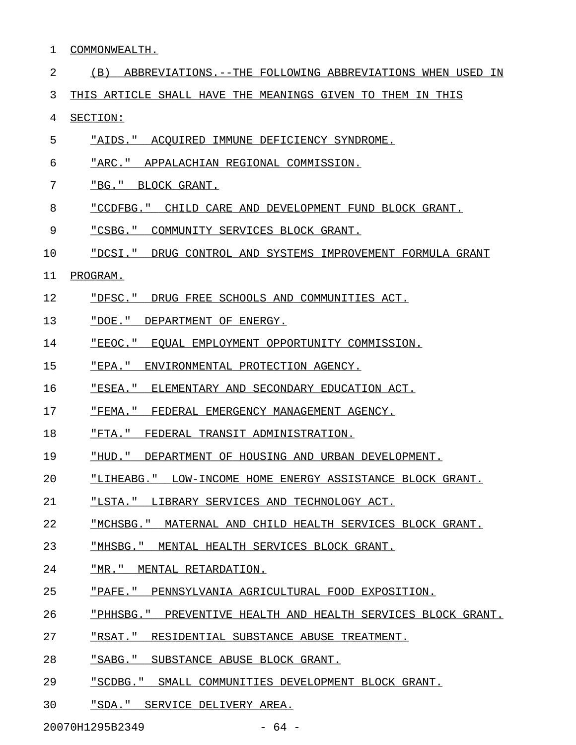- 1 COMMONWEALTH.
- 2 (B) ABBREVIATIONS.--THE FOLLOWING ABBREVIATIONS WHEN USED IN
- 3 THIS ARTICLE SHALL HAVE THE MEANINGS GIVEN TO THEM IN THIS

4 SECTION:

- 5 "AIDS." ACQUIRED IMMUNE DEFICIENCY SYNDROME.
- 6 "ARC." APPALACHIAN REGIONAL COMMISSION.
- 7 "BG." BLOCK GRANT.
- 8 "CCDFBG." CHILD CARE AND DEVELOPMENT FUND BLOCK GRANT.
- 9 "CSBG." COMMUNITY SERVICES BLOCK GRANT.
- 10 "DCSI." DRUG CONTROL AND SYSTEMS IMPROVEMENT FORMULA GRANT
- 11 PROGRAM.
- 12 "DFSC." DRUG FREE SCHOOLS AND COMMUNITIES ACT.
- 13 "DOE." DEPARTMENT OF ENERGY.
- 14 FEEOC." EQUAL EMPLOYMENT OPPORTUNITY COMMISSION.
- 15 "EPA." ENVIRONMENTAL PROTECTION AGENCY.
- 16 FIREA." ELEMENTARY AND SECONDARY EDUCATION ACT.
- 17 FEMA." FEDERAL EMERGENCY MANAGEMENT AGENCY.
- 18 "FTA." FEDERAL TRANSIT ADMINISTRATION.
- 19 "HUD." DEPARTMENT OF HOUSING AND URBAN DEVELOPMENT.
- 20 "LIHEABG." LOW-INCOME HOME ENERGY ASSISTANCE BLOCK GRANT.
- 21 "LSTA." LIBRARY SERVICES AND TECHNOLOGY ACT.
- 22 "MCHSBG." MATERNAL AND CHILD HEALTH SERVICES BLOCK GRANT.
- 23 "MHSBG." MENTAL HEALTH SERVICES BLOCK GRANT.
- 24 "MR." MENTAL RETARDATION.
- 25 "PAFE." PENNSYLVANIA AGRICULTURAL FOOD EXPOSITION.
- 26 "PHHSBG." PREVENTIVE HEALTH AND HEALTH SERVICES BLOCK GRANT.
- 27 "RSAT." RESIDENTIAL SUBSTANCE ABUSE TREATMENT.
- 28 "SABG." SUBSTANCE ABUSE BLOCK GRANT.
- 29 "SCDBG." SMALL COMMUNITIES DEVELOPMENT BLOCK GRANT.
- 30 "SDA." SERVICE DELIVERY AREA.

20070H1295B2349 - 64 -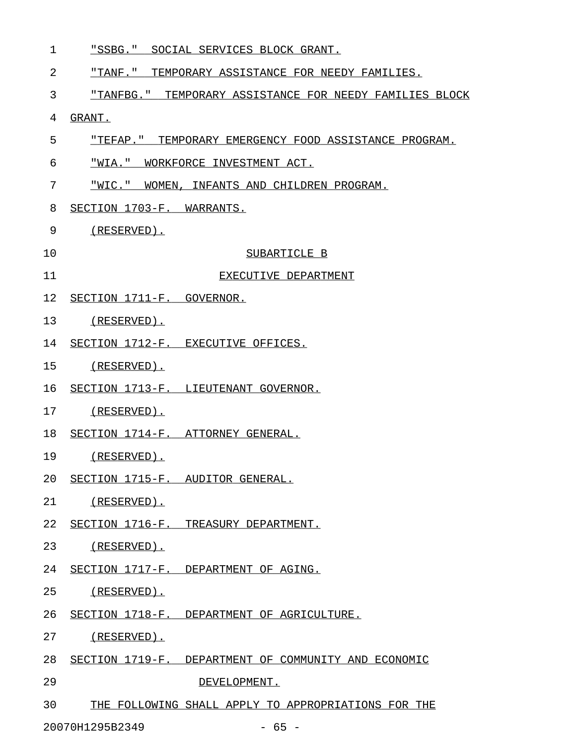1 "SSBG." SOCIAL SERVICES BLOCK GRANT.

2 "TANF." TEMPORARY ASSISTANCE FOR NEEDY FAMILIES. \_\_\_\_\_\_\_\_\_\_\_\_\_\_\_\_\_\_\_\_\_\_\_\_\_\_\_\_\_\_\_\_\_\_\_\_\_\_\_\_\_\_\_\_\_\_\_\_\_

3 "TANFBG." TEMPORARY ASSISTANCE FOR NEEDY FAMILIES BLOCK

- 4 GRANT.
- 5 "TEFAP." TEMPORARY EMERGENCY FOOD ASSISTANCE PROGRAM.
- 6 "WIA." WORKFORCE INVESTMENT ACT.
- 7 "WIC." WOMEN, INFANTS AND CHILDREN PROGRAM.
- 8 SECTION 1703-F. WARRANTS.
- 9 (RESERVED).
- 10 SUBARTICLE B
- 11 EXECUTIVE DEPARTMENT
- 12 SECTION 1711-F. GOVERNOR.
- 13 (RESERVED).
- 14 SECTION 1712-F. EXECUTIVE OFFICES.
- 15 (RESERVED).
- 16 SECTION 1713-F. LIEUTENANT GOVERNOR.
- 17 (RESERVED).
- 18 SECTION 1714-F. ATTORNEY GENERAL.
- 19 (RESERVED).
- 20 SECTION 1715-F. AUDITOR GENERAL.
- 21 (RESERVED).
- 22 SECTION 1716-F. TREASURY DEPARTMENT.
- 23 (RESERVED).
- 24 SECTION 1717-F. DEPARTMENT OF AGING.
- 25 (RESERVED).
- 26 SECTION 1718-F. DEPARTMENT OF AGRICULTURE.
- 27 (RESERVED).
- 28 SECTION 1719-F. DEPARTMENT OF COMMUNITY AND ECONOMIC
- 29 DEVELOPMENT.
- 30 THE FOLLOWING SHALL APPLY TO APPROPRIATIONS FOR THE

20070H1295B2349 - 65 -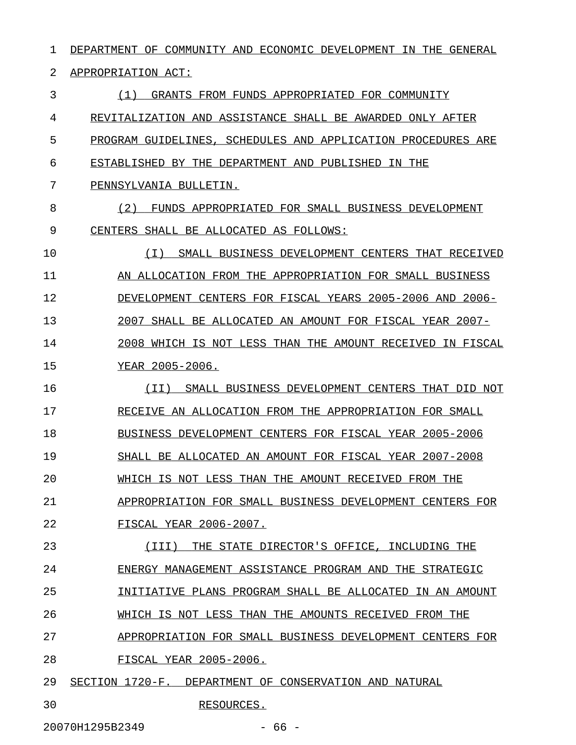1 DEPARTMENT OF COMMUNITY AND ECONOMIC DEVELOPMENT IN THE GENERAL 2 APPROPRIATION ACT: 3 (1) GRANTS FROM FUNDS APPROPRIATED FOR COMMUNITY \_\_\_\_\_\_\_\_\_\_\_\_\_\_\_\_\_\_\_\_\_\_\_\_\_\_\_\_\_\_\_\_\_\_\_\_\_\_\_\_\_\_\_\_\_\_\_\_\_ 4 REVITALIZATION AND ASSISTANCE SHALL BE AWARDED ONLY AFTER 5 PROGRAM GUIDELINES, SCHEDULES AND APPLICATION PROCEDURES ARE 6 ESTABLISHED BY THE DEPARTMENT AND PUBLISHED IN THE 7 PENNSYLVANIA BULLETIN. 8 (2) FUNDS APPROPRIATED FOR SMALL BUSINESS DEVELOPMENT 9 CENTERS SHALL BE ALLOCATED AS FOLLOWS: 10 (I) SMALL BUSINESS DEVELOPMENT CENTERS THAT RECEIVED \_\_\_\_\_\_\_\_\_\_\_\_\_\_\_\_\_\_\_\_\_\_\_\_\_\_\_\_\_\_\_\_\_\_\_\_\_\_\_\_\_\_\_\_\_\_\_\_\_\_\_\_\_ 11 AN ALLOCATION FROM THE APPROPRIATION FOR SMALL BUSINESS 12 DEVELOPMENT CENTERS FOR FISCAL YEARS 2005-2006 AND 2006-13 2007 SHALL BE ALLOCATED AN AMOUNT FOR FISCAL YEAR 2007-14 2008 WHICH IS NOT LESS THAN THE AMOUNT RECEIVED IN FISCAL 15 YEAR 2005-2006. 16 (II) SMALL BUSINESS DEVELOPMENT CENTERS THAT DID NOT 17 RECEIVE AN ALLOCATION FROM THE APPROPRIATION FOR SMALL 18 BUSINESS DEVELOPMENT CENTERS FOR FISCAL YEAR 2005-2006 19 SHALL BE ALLOCATED AN AMOUNT FOR FISCAL YEAR 2007-2008 20 WHICH IS NOT LESS THAN THE AMOUNT RECEIVED FROM THE 21 APPROPRIATION FOR SMALL BUSINESS DEVELOPMENT CENTERS FOR 22 FISCAL YEAR 2006-2007. 23 (III) THE STATE DIRECTOR'S OFFICE, INCLUDING THE \_\_\_\_\_\_\_\_\_\_\_\_\_\_\_\_\_\_\_\_\_\_\_\_\_\_\_\_\_\_\_\_\_\_\_\_\_\_\_\_\_\_\_\_\_\_\_\_\_ 24 ENERGY MANAGEMENT ASSISTANCE PROGRAM AND THE STRATEGIC 25 INITIATIVE PLANS PROGRAM SHALL BE ALLOCATED IN AN AMOUNT 26 WHICH IS NOT LESS THAN THE AMOUNTS RECEIVED FROM THE 27 APPROPRIATION FOR SMALL BUSINESS DEVELOPMENT CENTERS FOR 28 FISCAL YEAR 2005-2006. 29 SECTION 1720-F. DEPARTMENT OF CONSERVATION AND NATURAL 30 RESOURCES.

20070H1295B2349 - 66 -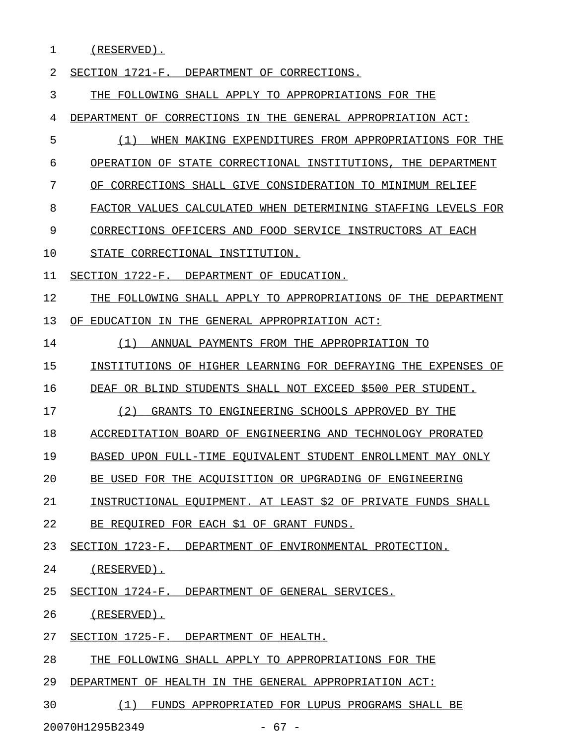1 (RESERVED).

2 SECTION 1721-F. DEPARTMENT OF CORRECTIONS. 3 THE FOLLOWING SHALL APPLY TO APPROPRIATIONS FOR THE 4 DEPARTMENT OF CORRECTIONS IN THE GENERAL APPROPRIATION ACT: 5 (1) WHEN MAKING EXPENDITURES FROM APPROPRIATIONS FOR THE 6 OPERATION OF STATE CORRECTIONAL INSTITUTIONS, THE DEPARTMENT 7 OF CORRECTIONS SHALL GIVE CONSIDERATION TO MINIMUM RELIEF 8 FACTOR VALUES CALCULATED WHEN DETERMINING STAFFING LEVELS FOR 9 CORRECTIONS OFFICERS AND FOOD SERVICE INSTRUCTORS AT EACH 10 STATE CORRECTIONAL INSTITUTION. 11 SECTION 1722-F. DEPARTMENT OF EDUCATION. 12 THE FOLLOWING SHALL APPLY TO APPROPRIATIONS OF THE DEPARTMENT 13 OF EDUCATION IN THE GENERAL APPROPRIATION ACT: 14 (1) ANNUAL PAYMENTS FROM THE APPROPRIATION TO \_\_\_\_\_\_\_\_\_\_\_\_\_\_\_\_\_\_\_\_\_\_\_\_\_\_\_\_\_\_\_\_\_\_\_\_\_\_\_\_\_\_\_\_\_\_ 15 INSTITUTIONS OF HIGHER LEARNING FOR DEFRAYING THE EXPENSES OF 16 DEAF OR BLIND STUDENTS SHALL NOT EXCEED \$500 PER STUDENT. 17 (2) GRANTS TO ENGINEERING SCHOOLS APPROVED BY THE 18 ACCREDITATION BOARD OF ENGINEERING AND TECHNOLOGY PRORATED 19 BASED UPON FULL-TIME EOUIVALENT STUDENT ENROLLMENT MAY ONLY 20 BE USED FOR THE ACOUISITION OR UPGRADING OF ENGINEERING 21 INSTRUCTIONAL EQUIPMENT. AT LEAST \$2 OF PRIVATE FUNDS SHALL 22 BE REQUIRED FOR EACH \$1 OF GRANT FUNDS. 23 SECTION 1723-F. DEPARTMENT OF ENVIRONMENTAL PROTECTION. 24 (RESERVED). 25 SECTION 1724-F. DEPARTMENT OF GENERAL SERVICES. 26 (RESERVED). 27 SECTION 1725-F. DEPARTMENT OF HEALTH. 28 THE FOLLOWING SHALL APPLY TO APPROPRIATIONS FOR THE 29 DEPARTMENT OF HEALTH IN THE GENERAL APPROPRIATION ACT: 30 (1) FUNDS APPROPRIATED FOR LUPUS PROGRAMS SHALL BE \_\_\_\_\_\_\_\_\_\_\_\_\_\_\_\_\_\_\_\_\_\_\_\_\_\_\_\_\_\_\_\_\_\_\_\_\_\_\_\_\_\_\_\_\_\_\_\_\_\_\_

20070H1295B2349 - 67 -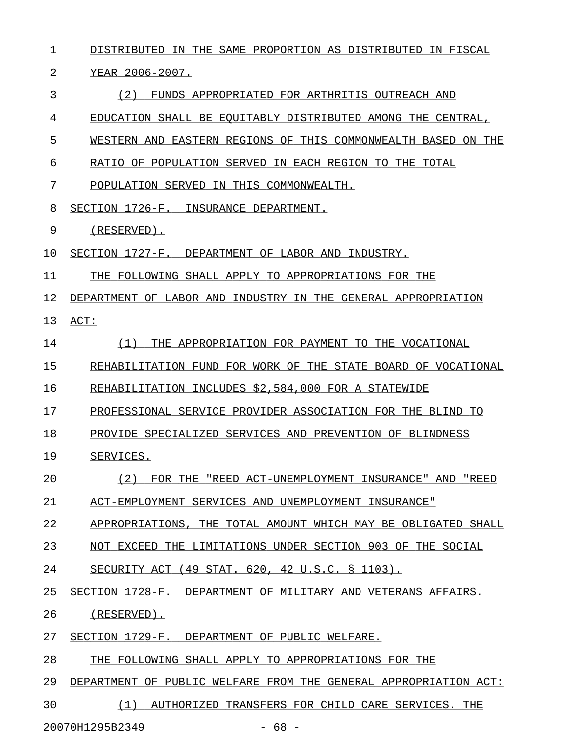| $\mathbf 1$                | DISTRIBUTED IN THE SAME PROPORTION AS DISTRIBUTED IN FISCAL             |
|----------------------------|-------------------------------------------------------------------------|
| 2                          | YEAR 2006-2007.                                                         |
| 3                          | (2)<br>FUNDS APPROPRIATED FOR ARTHRITIS OUTREACH AND                    |
| 4                          | EDUCATION SHALL BE EQUITABLY DISTRIBUTED AMONG THE CENTRAL,             |
| 5                          | WESTERN AND EASTERN REGIONS OF THIS COMMONWEALTH BASED ON THE           |
| 6                          | RATIO OF POPULATION SERVED IN EACH REGION TO THE TOTAL                  |
| 7                          | POPULATION SERVED IN THIS COMMONWEALTH.                                 |
| 8                          | SECTION 1726-F. INSURANCE DEPARTMENT.                                   |
| 9                          | (RESERVED).                                                             |
| 10                         | SECTION 1727-F. DEPARTMENT OF LABOR AND INDUSTRY.                       |
| 11                         | THE FOLLOWING SHALL APPLY TO APPROPRIATIONS FOR THE                     |
| 12                         | DEPARTMENT OF LABOR AND INDUSTRY IN THE GENERAL APPROPRIATION           |
| 13                         | ACT:                                                                    |
| 14                         | (1)<br>THE APPROPRIATION FOR PAYMENT TO THE VOCATIONAL                  |
| 15                         | REHABILITATION FUND FOR WORK OF THE STATE BOARD OF VOCATIONAL           |
| 16                         | REHABILITATION INCLUDES \$2,584,000 FOR A STATEWIDE                     |
| 17                         | PROFESSIONAL SERVICE PROVIDER ASSOCIATION FOR THE BLIND TO              |
| 18                         | PROVIDE SPECIALIZED SERVICES AND PREVENTION OF BLINDNESS                |
| 19                         | SERVICES.                                                               |
| 20                         | (2)<br>FOR THE<br>"REED ACT-UNEMPLOYMENT INSURANCE" AND "REED           |
| 21                         | ACT-EMPLOYMENT SERVICES AND UNEMPLOYMENT INSURANCE"                     |
| 22                         | THE TOTAL AMOUNT WHICH MAY BE OBLIGATED SHALL<br>APPROPRIATIONS.        |
| 23                         | THE LIMITATIONS UNDER SECTION 903 OF THE SOCIAL<br>NOT EXCEED           |
| 24                         | $(49$ STAT. 620, 42 U.S.C. § 1103).<br>SECURITY ACT                     |
| 25                         | SECTION 1728-F. DEPARTMENT OF MILITARY AND VETERANS AFFAIRS.            |
| 26                         | (RESERVED).                                                             |
| 27                         | SECTION 1729-F.<br>DEPARTMENT OF PUBLIC WELFARE.                        |
| 28                         | THE FOLLOWING SHALL APPLY TO APPROPRIATIONS FOR THE                     |
| 29                         | DEPARTMENT<br>OF.<br>PUBLIC WELFARE FROM THE GENERAL APPROPRIATION ACT: |
| 30                         | (1)<br>AUTHORIZED TRANSFERS FOR CHILD CARE SERVICES.<br>THE             |
| 20070H1295B2349<br>$-68 -$ |                                                                         |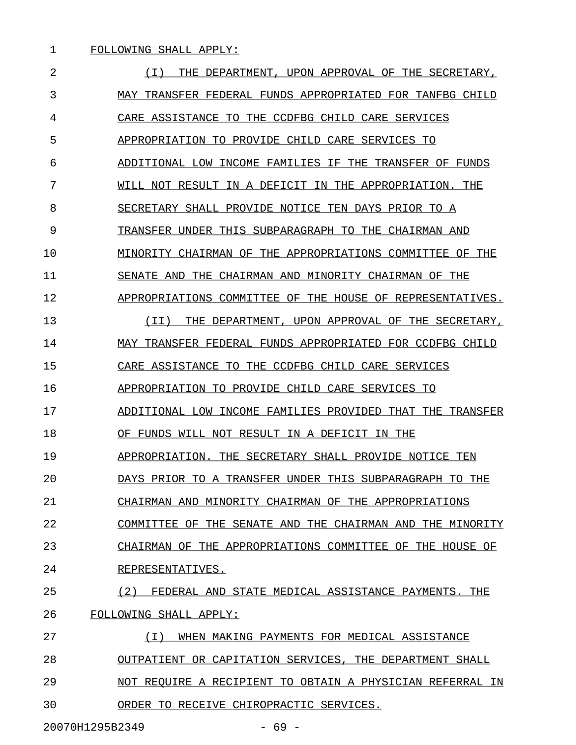2  $(1)$  THE DEPARTMENT, UPON APPROVAL OF THE SECRETARY, 3 MAY TRANSFER FEDERAL FUNDS APPROPRIATED FOR TANFBG CHILD 4 CARE ASSISTANCE TO THE CCDFBG CHILD CARE SERVICES 5 APPROPRIATION TO PROVIDE CHILD CARE SERVICES TO 6 ADDITIONAL LOW INCOME FAMILIES IF THE TRANSFER OF FUNDS 7 WILL NOT RESULT IN A DEFICIT IN THE APPROPRIATION. THE 8 SECRETARY SHALL PROVIDE NOTICE TEN DAYS PRIOR TO A 9 TRANSFER UNDER THIS SUBPARAGRAPH TO THE CHAIRMAN AND 10 MINORITY CHAIRMAN OF THE APPROPRIATIONS COMMITTEE OF THE 11 SENATE AND THE CHAIRMAN AND MINORITY CHAIRMAN OF THE 12 APPROPRIATIONS COMMITTEE OF THE HOUSE OF REPRESENTATIVES. 13 (II) THE DEPARTMENT, UPON APPROVAL OF THE SECRETARY, 14 MAY TRANSFER FEDERAL FUNDS APPROPRIATED FOR CCDFBG CHILD 15 CARE ASSISTANCE TO THE CCDFBG CHILD CARE SERVICES 16 APPROPRIATION TO PROVIDE CHILD CARE SERVICES TO 17 ADDITIONAL LOW INCOME FAMILIES PROVIDED THAT THE TRANSFER 18 OF FUNDS WILL NOT RESULT IN A DEFICIT IN THE 19 APPROPRIATION. THE SECRETARY SHALL PROVIDE NOTICE TEN 20 DAYS PRIOR TO A TRANSFER UNDER THIS SUBPARAGRAPH TO THE 21 CHAIRMAN AND MINORITY CHAIRMAN OF THE APPROPRIATIONS 22 COMMITTEE OF THE SENATE AND THE CHAIRMAN AND THE MINORITY 23 CHAIRMAN OF THE APPROPRIATIONS COMMITTEE OF THE HOUSE OF 24 REPRESENTATIVES. 25 (2) FEDERAL AND STATE MEDICAL ASSISTANCE PAYMENTS. THE 26 FOLLOWING SHALL APPLY: 27 (I) WHEN MAKING PAYMENTS FOR MEDICAL ASSISTANCE \_\_\_\_\_\_\_\_\_\_\_\_\_\_\_\_\_\_\_\_\_\_\_\_\_\_\_\_\_\_\_\_\_\_\_\_\_\_\_\_\_\_\_\_\_\_\_\_ 28 OUTPATIENT OR CAPITATION SERVICES, THE DEPARTMENT SHALL 29 NOT REQUIRE A RECIPIENT TO OBTAIN A PHYSICIAN REFERRAL IN 30 ORDER TO RECEIVE CHIROPRACTIC SERVICES.

20070H1295B2349 - 69 -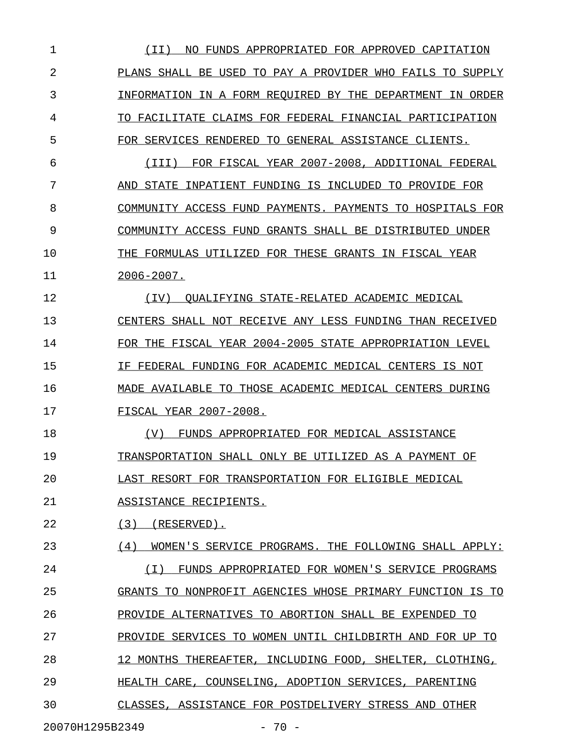1 (II) NO FUNDS APPROPRIATED FOR APPROVED CAPITATION \_\_\_\_\_\_\_\_\_\_\_\_\_\_\_\_\_\_\_\_\_\_\_\_\_\_\_\_\_\_\_\_\_\_\_\_\_\_\_\_\_\_\_\_\_\_\_\_\_\_\_ 2 PLANS SHALL BE USED TO PAY A PROVIDER WHO FAILS TO SUPPLY 3 INFORMATION IN A FORM REQUIRED BY THE DEPARTMENT IN ORDER 4 TO FACILITATE CLAIMS FOR FEDERAL FINANCIAL PARTICIPATION 5 FOR SERVICES RENDERED TO GENERAL ASSISTANCE CLIENTS. 6 (III) FOR FISCAL YEAR 2007-2008, ADDITIONAL FEDERAL 7 AND STATE INPATIENT FUNDING IS INCLUDED TO PROVIDE FOR 8 COMMUNITY ACCESS FUND PAYMENTS. PAYMENTS TO HOSPITALS FOR 9 COMMUNITY ACCESS FUND GRANTS SHALL BE DISTRIBUTED UNDER 10 THE FORMULAS UTILIZED FOR THESE GRANTS IN FISCAL YEAR 11 2006-2007. \_\_\_\_\_\_\_\_\_\_ 12 (IV) QUALIFYING STATE-RELATED ACADEMIC MEDICAL \_\_\_\_\_\_\_\_\_\_\_\_\_\_\_\_\_\_\_\_\_\_\_\_\_\_\_\_\_\_\_\_\_\_\_\_\_\_\_\_\_\_\_\_\_\_\_ 13 CENTERS SHALL NOT RECEIVE ANY LESS FUNDING THAN RECEIVED 14 FOR THE FISCAL YEAR 2004-2005 STATE APPROPRIATION LEVEL 15 IF FEDERAL FUNDING FOR ACADEMIC MEDICAL CENTERS IS NOT 16 MADE AVAILABLE TO THOSE ACADEMIC MEDICAL CENTERS DURING 17 FISCAL YEAR 2007-2008. 18 (V) FUNDS APPROPRIATED FOR MEDICAL ASSISTANCE 19 TRANSPORTATION SHALL ONLY BE UTILIZED AS A PAYMENT OF 20 LAST RESORT FOR TRANSPORTATION FOR ELIGIBLE MEDICAL 21 ASSISTANCE RECIPIENTS. 22 (3) (RESERVED). 23 (4) WOMEN'S SERVICE PROGRAMS. THE FOLLOWING SHALL APPLY: 24 (I) FUNDS APPROPRIATED FOR WOMEN'S SERVICE PROGRAMS \_\_\_\_\_\_\_\_\_\_\_\_\_\_\_\_\_\_\_\_\_\_\_\_\_\_\_\_\_\_\_\_\_\_\_\_\_\_\_\_\_\_\_\_\_\_\_\_\_\_\_\_ 25 GRANTS TO NONPROFIT AGENCIES WHOSE PRIMARY FUNCTION IS TO 26 PROVIDE ALTERNATIVES TO ABORTION SHALL BE EXPENDED TO 27 PROVIDE SERVICES TO WOMEN UNTIL CHILDBIRTH AND FOR UP TO 28 12 MONTHS THEREAFTER, INCLUDING FOOD, SHELTER, CLOTHING, 29 **HEALTH CARE, COUNSELING, ADOPTION SERVICES, PARENTING** 30 CLASSES, ASSISTANCE FOR POSTDELIVERY STRESS AND OTHER 20070H1295B2349 - 70 -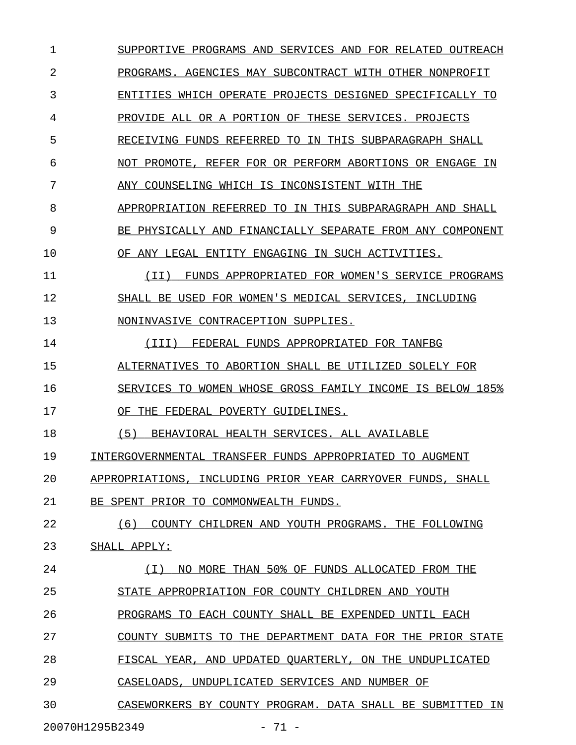1 SUPPORTIVE PROGRAMS AND SERVICES AND FOR RELATED OUTREACH 2 PROGRAMS. AGENCIES MAY SUBCONTRACT WITH OTHER NONPROFIT 3 ENTITIES WHICH OPERATE PROJECTS DESIGNED SPECIFICALLY TO 4 PROVIDE ALL OR A PORTION OF THESE SERVICES. PROJECTS 5 RECEIVING FUNDS REFERRED TO IN THIS SUBPARAGRAPH SHALL 6 NOT PROMOTE, REFER FOR OR PERFORM ABORTIONS OR ENGAGE IN 7 ANY COUNSELING WHICH IS INCONSISTENT WITH THE 8 APPROPRIATION REFERRED TO IN THIS SUBPARAGRAPH AND SHALL 9 BE PHYSICALLY AND FINANCIALLY SEPARATE FROM ANY COMPONENT 10 OF ANY LEGAL ENTITY ENGAGING IN SUCH ACTIVITIES. 11 (II) FUNDS APPROPRIATED FOR WOMEN'S SERVICE PROGRAMS 12 SHALL BE USED FOR WOMEN'S MEDICAL SERVICES, INCLUDING 13 NONINVASIVE CONTRACEPTION SUPPLIES. 14 (III) FEDERAL FUNDS APPROPRIATED FOR TANFBG 15 ALTERNATIVES TO ABORTION SHALL BE UTILIZED SOLELY FOR 16 SERVICES TO WOMEN WHOSE GROSS FAMILY INCOME IS BELOW 185% 17 OF THE FEDERAL POVERTY GUIDELINES. 18 (5) BEHAVIORAL HEALTH SERVICES. ALL AVAILABLE 19 INTERGOVERNMENTAL TRANSFER FUNDS APPROPRIATED TO AUGMENT 20 APPROPRIATIONS, INCLUDING PRIOR YEAR CARRYOVER FUNDS, SHALL 21 BE SPENT PRIOR TO COMMONWEALTH FUNDS. 22 (6) COUNTY CHILDREN AND YOUTH PROGRAMS. THE FOLLOWING 23 SHALL APPLY: 24 (I) NO MORE THAN 50% OF FUNDS ALLOCATED FROM THE \_\_\_\_\_\_\_\_\_\_\_\_\_\_\_\_\_\_\_\_\_\_\_\_\_\_\_\_\_\_\_\_\_\_\_\_\_\_\_\_\_\_\_\_\_\_\_\_\_ 25 STATE APPROPRIATION FOR COUNTY CHILDREN AND YOUTH \_\_\_\_\_\_\_\_\_\_\_\_\_\_\_\_\_\_\_\_\_\_\_\_\_\_\_\_\_\_\_\_\_\_\_\_\_\_\_\_\_\_\_\_\_\_\_\_\_ 26 PROGRAMS TO EACH COUNTY SHALL BE EXPENDED UNTIL EACH 27 COUNTY SUBMITS TO THE DEPARTMENT DATA FOR THE PRIOR STATE 28 FISCAL YEAR, AND UPDATED QUARTERLY, ON THE UNDUPLICATED 29 CASELOADS, UNDUPLICATED SERVICES AND NUMBER OF 30 CASEWORKERS BY COUNTY PROGRAM. DATA SHALL BE SUBMITTED IN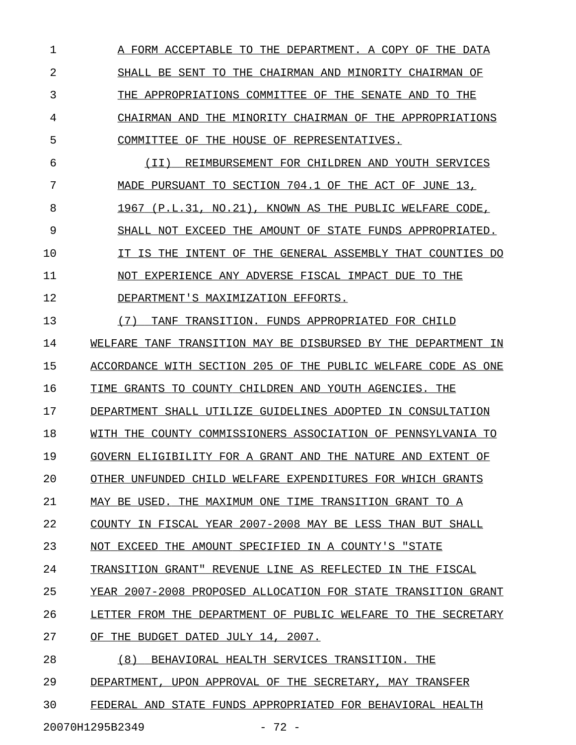1 A FORM ACCEPTABLE TO THE DEPARTMENT. A COPY OF THE DATA 2 SHALL BE SENT TO THE CHAIRMAN AND MINORITY CHAIRMAN OF 3 THE APPROPRIATIONS COMMITTEE OF THE SENATE AND TO THE 4 CHAIRMAN AND THE MINORITY CHAIRMAN OF THE APPROPRIATIONS 5 COMMITTEE OF THE HOUSE OF REPRESENTATIVES. 6 (II) REIMBURSEMENT FOR CHILDREN AND YOUTH SERVICES 7 MADE PURSUANT TO SECTION 704.1 OF THE ACT OF JUNE 13, 8 1967 (P.L.31, NO.21), KNOWN AS THE PUBLIC WELFARE CODE, 9 SHALL NOT EXCEED THE AMOUNT OF STATE FUNDS APPROPRIATED. 10 **IT IS THE INTENT OF THE GENERAL ASSEMBLY THAT COUNTIES DO** 11 NOT EXPERIENCE ANY ADVERSE FISCAL IMPACT DUE TO THE 12 DEPARTMENT'S MAXIMIZATION EFFORTS. 13 (7) TANF TRANSITION. FUNDS APPROPRIATED FOR CHILD 14 WELFARE TANF TRANSITION MAY BE DISBURSED BY THE DEPARTMENT IN 15 ACCORDANCE WITH SECTION 205 OF THE PUBLIC WELFARE CODE AS ONE 16 TIME GRANTS TO COUNTY CHILDREN AND YOUTH AGENCIES. THE 17 DEPARTMENT SHALL UTILIZE GUIDELINES ADOPTED IN CONSULTATION 18 WITH THE COUNTY COMMISSIONERS ASSOCIATION OF PENNSYLVANIA TO 19 GOVERN ELIGIBILITY FOR A GRANT AND THE NATURE AND EXTENT OF 20 OTHER UNFUNDED CHILD WELFARE EXPENDITURES FOR WHICH GRANTS 21 MAY BE USED. THE MAXIMUM ONE TIME TRANSITION GRANT TO A 22 COUNTY IN FISCAL YEAR 2007-2008 MAY BE LESS THAN BUT SHALL 23 NOT EXCEED THE AMOUNT SPECIFIED IN A COUNTY'S "STATE 24 TRANSITION GRANT" REVENUE LINE AS REFLECTED IN THE FISCAL 25 YEAR 2007-2008 PROPOSED ALLOCATION FOR STATE TRANSITION GRANT 26 LETTER FROM THE DEPARTMENT OF PUBLIC WELFARE TO THE SECRETARY 27 OF THE BUDGET DATED JULY 14, 2007. 28 (8) BEHAVIORAL HEALTH SERVICES TRANSITION. THE 29 DEPARTMENT, UPON APPROVAL OF THE SECRETARY, MAY TRANSFER 30 FEDERAL AND STATE FUNDS APPROPRIATED FOR BEHAVIORAL HEALTH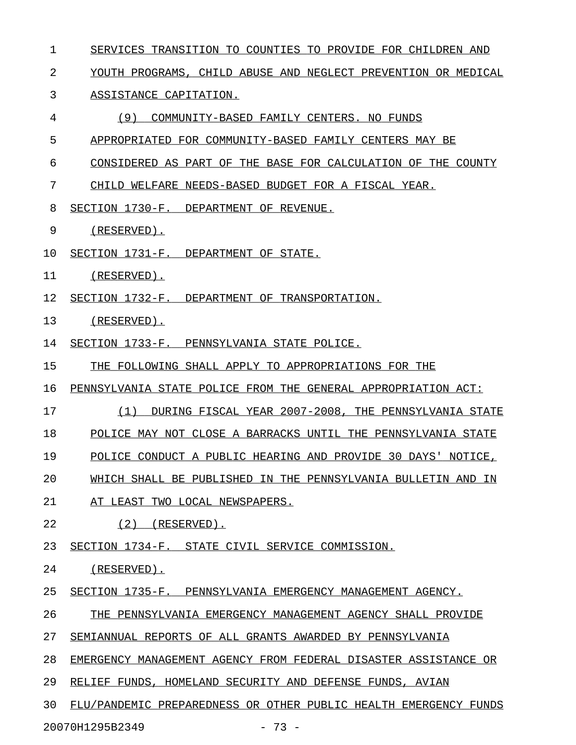- 1 SERVICES TRANSITION TO COUNTIES TO PROVIDE FOR CHILDREN AND
- 2 YOUTH PROGRAMS, CHILD ABUSE AND NEGLECT PREVENTION OR MEDICAL

## 3 ASSISTANCE CAPITATION.

- 4 (9) COMMUNITY-BASED FAMILY CENTERS. NO FUNDS
- 5 APPROPRIATED FOR COMMUNITY-BASED FAMILY CENTERS MAY BE
- 6 CONSIDERED AS PART OF THE BASE FOR CALCULATION OF THE COUNTY
- 7 CHILD WELFARE NEEDS-BASED BUDGET FOR A FISCAL YEAR.
- 8 SECTION 1730-F. DEPARTMENT OF REVENUE.
- 9 (RESERVED).
- 10 SECTION 1731-F. DEPARTMENT OF STATE.
- 11 (RESERVED).
- 12 SECTION 1732-F. DEPARTMENT OF TRANSPORTATION.

## 13 (RESERVED).

- 14 SECTION 1733-F. PENNSYLVANIA STATE POLICE.
- 15 THE FOLLOWING SHALL APPLY TO APPROPRIATIONS FOR THE
- 16 PENNSYLVANIA STATE POLICE FROM THE GENERAL APPROPRIATION ACT:
- 17 (1) DURING FISCAL YEAR 2007-2008, THE PENNSYLVANIA STATE \_\_\_\_\_\_\_\_\_\_\_\_\_\_\_\_\_\_\_\_\_\_\_\_\_\_\_\_\_\_\_\_\_\_\_\_\_\_\_\_\_\_\_\_\_\_\_\_\_\_\_\_\_\_\_\_\_
- 18 POLICE MAY NOT CLOSE A BARRACKS UNTIL THE PENNSYLVANIA STATE
- 19 POLICE CONDUCT A PUBLIC HEARING AND PROVIDE 30 DAYS' NOTICE,
- 20 WHICH SHALL BE PUBLISHED IN THE PENNSYLVANIA BULLETIN AND IN
- 21 AT LEAST TWO LOCAL NEWSPAPERS.
- 22 (2) (RESERVED).
- 23 SECTION 1734-F. STATE CIVIL SERVICE COMMISSION.

## 24 (RESERVED).

- 25 SECTION 1735-F. PENNSYLVANIA EMERGENCY MANAGEMENT AGENCY.
- 26 THE PENNSYLVANIA EMERGENCY MANAGEMENT AGENCY SHALL PROVIDE
- 27 SEMIANNUAL REPORTS OF ALL GRANTS AWARDED BY PENNSYLVANIA
- 28 EMERGENCY MANAGEMENT AGENCY FROM FEDERAL DISASTER ASSISTANCE OR
- 29 RELIEF FUNDS, HOMELAND SECURITY AND DEFENSE FUNDS, AVIAN
- 30 FLU/PANDEMIC PREPAREDNESS OR OTHER PUBLIC HEALTH EMERGENCY FUNDS

20070H1295B2349 - 73 -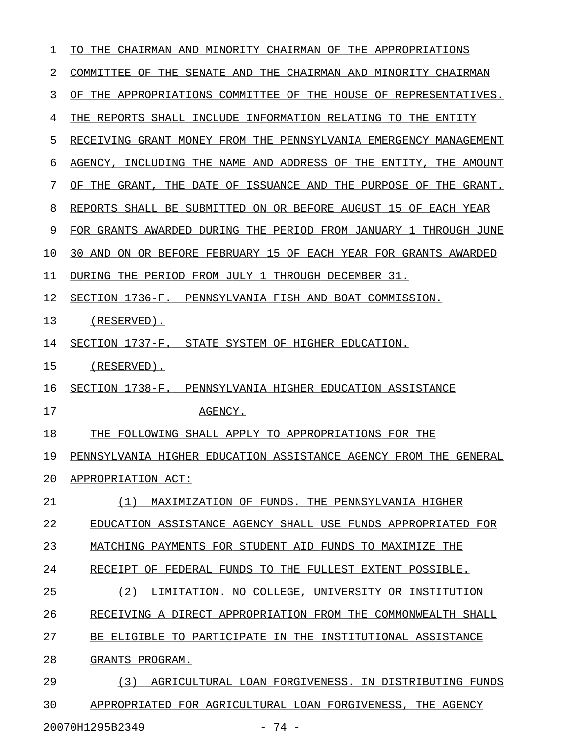| 1  | CHAIRMAN AND MINORITY CHAIRMAN OF THE APPROPRIATIONS<br>TO.<br>THE.            |
|----|--------------------------------------------------------------------------------|
| 2  | COMMITTEE OF THE SENATE AND THE CHAIRMAN AND MINORITY CHAIRMAN                 |
| 3  | APPROPRIATIONS COMMITTEE OF THE HOUSE OF REPRESENTATIVES.<br>OF.<br>THE        |
| 4  | THE<br>REPORTS SHALL INCLUDE INFORMATION RELATING TO THE<br>ENTITY             |
| 5  | RECEIVING GRANT MONEY FROM THE PENNSYLVANIA EMERGENCY MANAGEMENT               |
| 6  | INCLUDING THE NAME AND ADDRESS OF THE<br>AGENCY .<br>ENTITY,<br>THE.<br>AMOUNT |
| 7  | THE DATE OF ISSUANCE AND<br>THE PURPOSE OF<br>OF THE GRANT,<br>THE<br>GRANT.   |
| 8  | REPORTS SHALL BE SUBMITTED ON OR BEFORE AUGUST 15 OF EACH YEAR                 |
| 9  | FOR GRANTS AWARDED DURING THE PERIOD FROM JANUARY 1<br>THROUGH JUNE            |
| 10 | ON OR BEFORE FEBRUARY 15 OF EACH YEAR FOR GRANTS AWARDED<br>30 AND             |
| 11 | DURING THE PERIOD FROM JULY 1<br>THROUGH DECEMBER 31.                          |
| 12 | SECTION 1736-F. PENNSYLVANIA FISH AND BOAT COMMISSION.                         |
| 13 | $(RESERVED)$ .                                                                 |
| 14 | SECTION 1737-F. STATE SYSTEM OF HIGHER EDUCATION.                              |
| 15 | (RESERVED).                                                                    |
| 16 | SECTION 1738-F. PENNSYLVANIA HIGHER EDUCATION ASSISTANCE                       |
| 17 | AGENCY.                                                                        |
| 18 | THE FOLLOWING SHALL APPLY TO APPROPRIATIONS FOR THE                            |
| 19 | PENNSYLVANIA HIGHER EDUCATION ASSISTANCE AGENCY FROM THE GENERAL               |
| 20 | APPROPRIATION ACT:                                                             |
| 21 | MAXIMIZATION OF FUNDS. THE PENNSYLVANIA HIGHER<br>(1)                          |
| 22 | EDUCATION ASSISTANCE AGENCY SHALL USE FUNDS APPROPRIATED FOR                   |
| 23 | MATCHING PAYMENTS FOR STUDENT AID FUNDS TO MAXIMIZE THE                        |
| 24 | RECEIPT OF FEDERAL FUNDS TO THE FULLEST EXTENT POSSIBLE.                       |
| 25 | (2)<br>LIMITATION. NO COLLEGE, UNIVERSITY OR INSTITUTION                       |
| 26 | RECEIVING A DIRECT APPROPRIATION FROM THE COMMONWEALTH SHALL                   |
| 27 | BE ELIGIBLE TO PARTICIPATE IN THE INSTITUTIONAL ASSISTANCE                     |
| 28 |                                                                                |
|    | GRANTS PROGRAM.                                                                |
| 29 | AGRICULTURAL LOAN FORGIVENESS. IN DISTRIBUTING FUNDS<br>(3)                    |

20070H1295B2349 - 74 -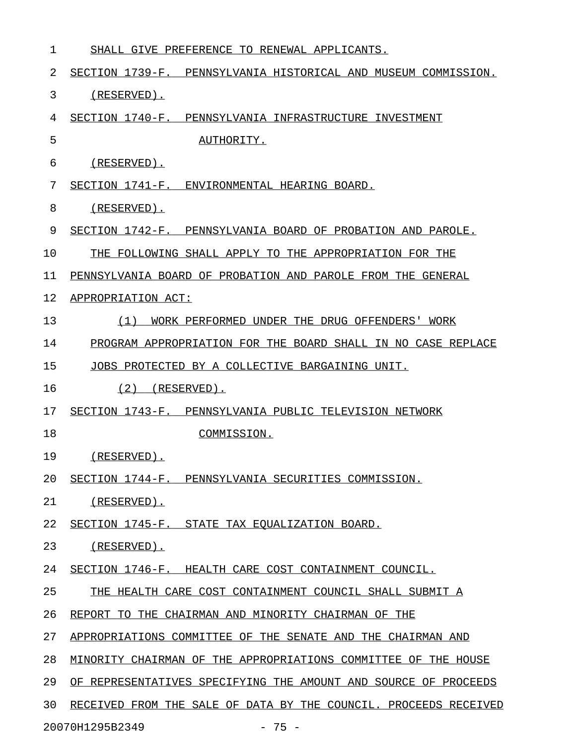| 1  | SHALL GIVE PREFERENCE TO RENEWAL APPLICANTS.                     |
|----|------------------------------------------------------------------|
| 2  | SECTION 1739-F. PENNSYLVANIA HISTORICAL AND MUSEUM COMMISSION.   |
| 3  | (RESERVED).                                                      |
| 4  | SECTION 1740-F. PENNSYLVANIA INFRASTRUCTURE INVESTMENT           |
| 5  | AUTHORITY.                                                       |
| 6  | $(RESERVED)$ .                                                   |
| 7  | SECTION 1741-F. ENVIRONMENTAL HEARING BOARD.                     |
| 8  | (RESERVED).                                                      |
| 9  | SECTION 1742-F. PENNSYLVANIA BOARD OF PROBATION AND PAROLE.      |
| 10 | THE FOLLOWING SHALL APPLY TO THE APPROPRIATION FOR THE           |
| 11 | PENNSYLVANIA BOARD OF PROBATION AND PAROLE FROM THE GENERAL      |
| 12 | APPROPRIATION ACT:                                               |
| 13 | WORK PERFORMED UNDER THE DRUG OFFENDERS' WORK<br>(1)             |
| 14 | PROGRAM APPROPRIATION FOR THE BOARD SHALL IN NO CASE REPLACE     |
| 15 | JOBS PROTECTED BY A COLLECTIVE BARGAINING UNIT.                  |
| 16 | (2)<br>(RESERVED).                                               |
| 17 | SECTION 1743-F. PENNSYLVANIA PUBLIC TELEVISION NETWORK           |
| 18 | COMMISSION.                                                      |
| 19 | (RESERVED).                                                      |
| 20 | SECTION 1744-F. PENNSYLVANIA SECURITIES COMMISSION.              |
| 21 | $(RESERVED)$ .                                                   |
| 22 | SECTION 1745-F. STATE TAX EQUALIZATION BOARD.                    |
| 23 | (RESERVED).                                                      |
| 24 | SECTION 1746-F. HEALTH CARE COST CONTAINMENT COUNCIL.            |
| 25 | THE HEALTH CARE COST CONTAINMENT COUNCIL SHALL SUBMIT A          |
| 26 | REPORT TO THE CHAIRMAN AND MINORITY CHAIRMAN OF THE              |
| 27 | APPROPRIATIONS COMMITTEE OF THE SENATE AND THE CHAIRMAN AND      |
| 28 | MINORITY CHAIRMAN OF THE APPROPRIATIONS COMMITTEE OF THE HOUSE   |
| 29 | OF REPRESENTATIVES SPECIFYING THE AMOUNT AND SOURCE OF PROCEEDS  |
| 30 | RECEIVED FROM THE SALE OF DATA BY THE COUNCIL. PROCEEDS RECEIVED |
|    | $-75 -$<br>20070H1295B2349                                       |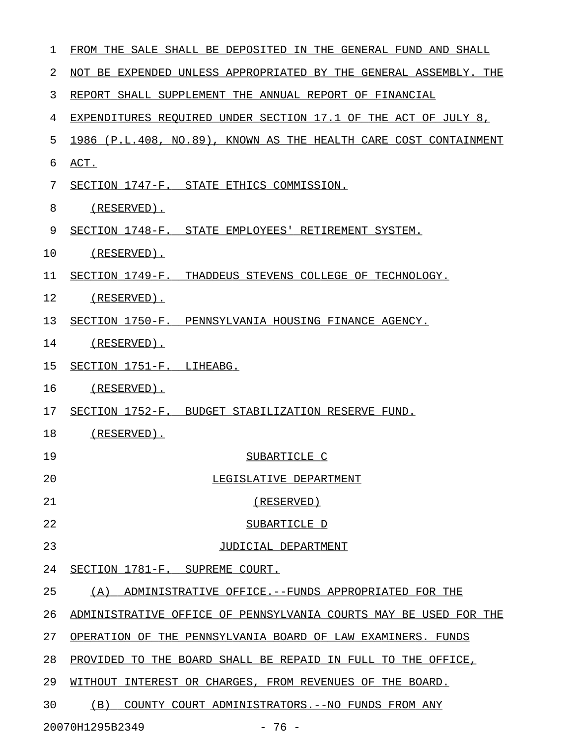| 1  | FROM THE SALE SHALL BE DEPOSITED IN THE GENERAL FUND AND SHALL   |
|----|------------------------------------------------------------------|
| 2  | NOT BE EXPENDED UNLESS APPROPRIATED BY THE GENERAL ASSEMBLY. THE |
| 3  | REPORT SHALL SUPPLEMENT THE ANNUAL REPORT OF FINANCIAL           |
| 4  | EXPENDITURES REQUIRED UNDER SECTION 17.1 OF THE ACT OF JULY 8,   |
| 5  | 1986 (P.L.408, NO.89), KNOWN AS THE HEALTH CARE COST CONTAINMENT |
| 6  | ACT.                                                             |
| 7  | SECTION 1747-F. STATE ETHICS COMMISSION.                         |
| 8  | (RESERVED).                                                      |
| 9  | SECTION 1748-F. STATE EMPLOYEES' RETIREMENT SYSTEM.              |
| 10 | (RESERVED).                                                      |
| 11 | SECTION 1749-F. THADDEUS STEVENS COLLEGE OF TECHNOLOGY.          |
| 12 | (RESERVED).                                                      |
| 13 | SECTION 1750-F. PENNSYLVANIA HOUSING FINANCE AGENCY.             |
| 14 | $(RESERVED)$ .                                                   |
| 15 | SECTION 1751-F. LIHEABG.                                         |
| 16 | (RESERVED).                                                      |
| 17 | SECTION 1752-F. BUDGET STABILIZATION RESERVE FUND.               |
| 18 | (RESERVED).                                                      |
| 19 | SUBARTICLE C                                                     |
| 20 | LEGISLATIVE DEPARTMENT                                           |
| 21 | (RESERVED)                                                       |
| 22 | SUBARTICLE D                                                     |
| 23 | JUDICIAL DEPARTMENT                                              |
| 24 | SECTION 1781-F. SUPREME COURT.                                   |
| 25 | (A) ADMINISTRATIVE OFFICE.--FUNDS APPROPRIATED FOR THE           |
| 26 | ADMINISTRATIVE OFFICE OF PENNSYLVANIA COURTS MAY BE USED FOR THE |
| 27 | OPERATION OF THE PENNSYLVANIA BOARD OF LAW EXAMINERS. FUNDS      |
| 28 | PROVIDED TO THE BOARD SHALL BE REPAID IN FULL TO THE OFFICE,     |
| 29 | WITHOUT INTEREST OR CHARGES, FROM REVENUES OF THE BOARD.         |
| 30 | (B)<br>COUNTY COURT ADMINISTRATORS. -- NO FUNDS FROM ANY         |
|    | 20070H1295B2349<br>$-76 -$                                       |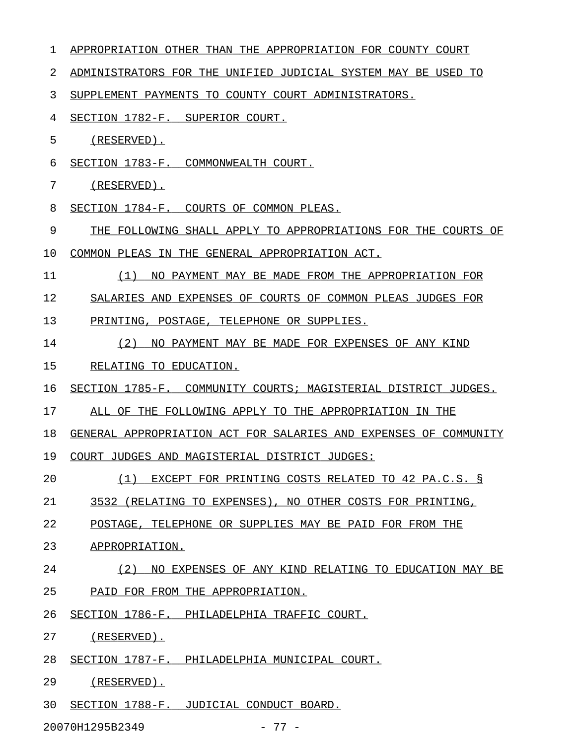| 1  | APPROPRIATION OTHER THAN THE APPROPRIATION FOR COUNTY COURT      |
|----|------------------------------------------------------------------|
| 2  | ADMINISTRATORS FOR THE UNIFIED JUDICIAL SYSTEM MAY BE USED TO    |
| 3  | SUPPLEMENT PAYMENTS TO COUNTY COURT ADMINISTRATORS.              |
| 4  | SECTION 1782-F. SUPERIOR COURT.                                  |
| 5  | $(RESERVED)$ .                                                   |
| 6  | SECTION 1783-F. COMMONWEALTH COURT.                              |
| 7  | $(RESERVED)$ .                                                   |
| 8  | SECTION 1784-F. COURTS OF COMMON PLEAS.                          |
| 9  | THE FOLLOWING SHALL APPLY TO APPROPRIATIONS FOR THE COURTS<br>ΟF |
| 10 | COMMON PLEAS IN THE GENERAL APPROPRIATION ACT.                   |
| 11 | (1)<br>NO PAYMENT MAY BE MADE FROM THE APPROPRIATION FOR         |
| 12 | SALARIES AND EXPENSES OF COURTS OF COMMON PLEAS JUDGES FOR       |
| 13 | PRINTING, POSTAGE, TELEPHONE OR SUPPLIES.                        |
| 14 | (2)<br>NO PAYMENT MAY BE MADE FOR EXPENSES OF ANY KIND           |
| 15 | RELATING TO EDUCATION.                                           |
| 16 | SECTION 1785-F. COMMUNITY COURTS; MAGISTERIAL DISTRICT JUDGES.   |
| 17 | ALL OF THE FOLLOWING APPLY TO THE APPROPRIATION IN<br>THE        |
| 18 | GENERAL APPROPRIATION ACT FOR SALARIES AND EXPENSES OF COMMUNITY |
| 19 | COURT JUDGES AND MAGISTERIAL DISTRICT JUDGES:                    |
| 20 | (1)<br>EXCEPT FOR PRINTING COSTS RELATED TO 42 PA.C.S. §         |
| 21 | 3532 (RELATING TO EXPENSES), NO OTHER COSTS FOR PRINTING,        |
| 22 | POSTAGE, TELEPHONE OR SUPPLIES MAY BE PAID FOR FROM THE          |
| 23 | APPROPRIATION.                                                   |
| 24 | (2)<br>NO EXPENSES OF ANY KIND RELATING TO EDUCATION MAY BE      |
| 25 | PAID FOR FROM THE APPROPRIATION.                                 |
| 26 | SECTION 1786-F. PHILADELPHIA TRAFFIC COURT.                      |
| 27 | (RESERVED).                                                      |
| 28 | SECTION 1787-F. PHILADELPHIA MUNICIPAL COURT.                    |
| 29 | (RESERVED).                                                      |
| 30 | SECTION 1788-F. JUDICIAL CONDUCT BOARD.                          |
|    | $-77-$<br>20070H1295B2349                                        |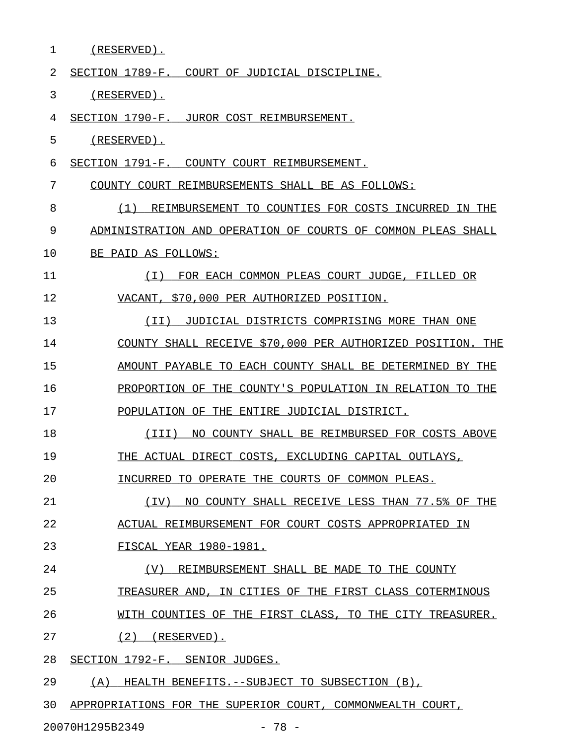| 1  | (RESERVED).                                                   |
|----|---------------------------------------------------------------|
| 2  | SECTION 1789-F.<br>COURT OF JUDICIAL DISCIPLINE.              |
| 3  | $(RESERVED)$ .                                                |
| 4  | SECTION 1790-F. JUROR COST REIMBURSEMENT.                     |
| 5  | $(RESERVED)$ .                                                |
| 6  | SECTION 1791-F.<br>COUNTY COURT REIMBURSEMENT.                |
| 7  | COUNTY COURT REIMBURSEMENTS SHALL BE AS FOLLOWS:              |
| 8  | (1)<br>REIMBURSEMENT TO COUNTIES FOR COSTS INCURRED IN THE    |
| 9  | ADMINISTRATION AND OPERATION OF COURTS OF COMMON PLEAS SHALL  |
| 10 | BE PAID AS FOLLOWS:                                           |
| 11 | ( I )<br>FOR EACH COMMON PLEAS COURT JUDGE, FILLED<br>OR      |
| 12 | VACANT, \$70,000 PER AUTHORIZED POSITION.                     |
| 13 | (TT)<br>JUDICIAL DISTRICTS COMPRISING MORE THAN ONE           |
| 14 | COUNTY SHALL RECEIVE \$70,000 PER AUTHORIZED POSITION.<br>THE |
| 15 | AMOUNT PAYABLE TO EACH COUNTY SHALL BE DETERMINED<br>BY THE   |
| 16 | PROPORTION OF THE COUNTY'S POPULATION IN RELATION TO<br>THE   |
| 17 | POPULATION OF THE<br>ENTIRE JUDICIAL DISTRICT.                |
| 18 | NO COUNTY SHALL BE REIMBURSED FOR COSTS ABOVE<br>(TTT)        |
| 19 | THE ACTUAL DIRECT COSTS, EXCLUDING CAPITAL OUTLAYS,           |
| 20 | INCURRED TO OPERATE THE COURTS OF COMMON PLEAS.               |
| 21 | (IV) NO COUNTY SHALL RECEIVE LESS THAN 77.5% OF THE           |
| 22 | ACTUAL REIMBURSEMENT FOR COURT COSTS APPROPRIATED IN          |
| 23 | FISCAL YEAR 1980-1981.                                        |
| 24 | (V)<br>REIMBURSEMENT SHALL BE MADE TO THE COUNTY              |
| 25 | TREASURER AND, IN CITIES OF THE FIRST CLASS COTERMINOUS       |
| 26 | WITH COUNTIES OF THE FIRST CLASS, TO THE CITY TREASURER.      |
| 27 | $(2)$ (RESERVED).                                             |
| 28 | SECTION 1792-F. SENIOR JUDGES.                                |
| 29 | (A) HEALTH BENEFITS. -- SUBJECT TO SUBSECTION (B),            |
| 30 | APPROPRIATIONS FOR THE SUPERIOR COURT, COMMONWEALTH COURT,    |
|    | 20070H1295B2349<br>$-78 -$                                    |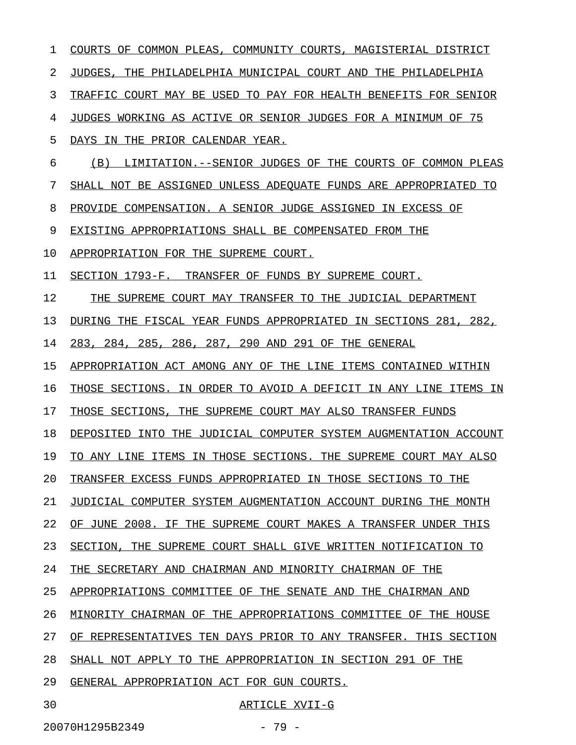| 1  | COURTS OF COMMON PLEAS, COMMUNITY COURTS, MAGISTERIAL DISTRICT    |
|----|-------------------------------------------------------------------|
| 2  | JUDGES, THE PHILADELPHIA MUNICIPAL COURT AND THE PHILADELPHIA     |
| 3  | TRAFFIC COURT MAY BE USED TO PAY FOR HEALTH BENEFITS FOR SENIOR   |
| 4  | JUDGES WORKING AS ACTIVE OR SENIOR JUDGES FOR A MINIMUM OF 75     |
| 5  | DAYS IN THE PRIOR CALENDAR YEAR.                                  |
| 6  | LIMITATION. -- SENIOR JUDGES OF THE COURTS OF COMMON PLEAS<br>(B) |
| 7  | SHALL NOT BE ASSIGNED UNLESS ADEQUATE FUNDS ARE APPROPRIATED TO   |
| 8  | PROVIDE COMPENSATION. A SENIOR JUDGE ASSIGNED IN EXCESS OF        |
| 9  | EXISTING APPROPRIATIONS SHALL BE COMPENSATED FROM THE             |
| 10 | APPROPRIATION FOR THE SUPREME COURT.                              |
| 11 | SECTION 1793-F. TRANSFER OF FUNDS BY SUPREME COURT.               |
| 12 | THE SUPREME COURT MAY TRANSFER TO THE JUDICIAL DEPARTMENT         |
| 13 | DURING THE FISCAL YEAR FUNDS APPROPRIATED IN SECTIONS 281, 282,   |
| 14 | 283, 284, 285, 286, 287, 290 AND 291 OF THE GENERAL               |
| 15 | APPROPRIATION ACT AMONG ANY OF THE LINE ITEMS CONTAINED WITHIN    |
| 16 | THOSE SECTIONS. IN ORDER TO AVOID A DEFICIT IN ANY LINE ITEMS IN  |
| 17 | THOSE SECTIONS, THE SUPREME COURT MAY ALSO TRANSFER FUNDS         |
| 18 | DEPOSITED INTO THE JUDICIAL COMPUTER SYSTEM AUGMENTATION ACCOUNT  |
| 19 | TO ANY LINE ITEMS IN THOSE SECTIONS. THE SUPREME COURT MAY ALSO   |
| 20 | TRANSFER EXCESS FUNDS APPROPRIATED IN THOSE SECTIONS TO THE       |
| 21 | JUDICIAL COMPUTER SYSTEM AUGMENTATION ACCOUNT DURING THE MONTH    |
| 22 | OF JUNE 2008. IF THE SUPREME COURT MAKES A TRANSFER UNDER THIS    |
| 23 | SECTION, THE SUPREME COURT SHALL GIVE WRITTEN NOTIFICATION TO     |
| 24 | THE SECRETARY AND CHAIRMAN AND MINORITY CHAIRMAN OF THE           |
| 25 | APPROPRIATIONS COMMITTEE OF THE SENATE AND THE CHAIRMAN AND       |
| 26 | MINORITY CHAIRMAN OF THE APPROPRIATIONS COMMITTEE OF THE HOUSE    |
| 27 | OF REPRESENTATIVES TEN DAYS PRIOR TO ANY TRANSFER. THIS SECTION   |
| 28 | SHALL NOT APPLY TO THE APPROPRIATION IN SECTION 291 OF THE        |
| 29 | GENERAL APPROPRIATION ACT FOR GUN COURTS.                         |
| 30 | ARTICLE XVII-G                                                    |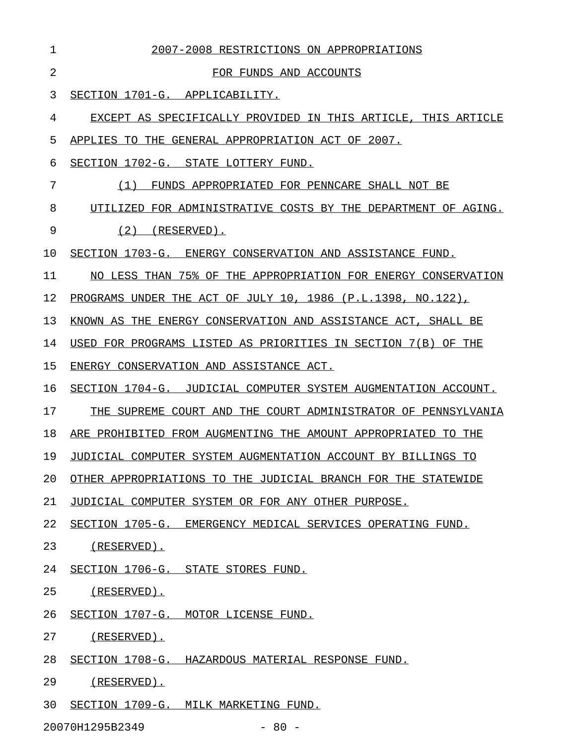| 1  | 2007-2008 RESTRICTIONS ON APPROPRIATIONS                       |
|----|----------------------------------------------------------------|
| 2  | FOR FUNDS AND ACCOUNTS                                         |
| 3  | SECTION 1701-G. APPLICABILITY.                                 |
| 4  | EXCEPT AS SPECIFICALLY PROVIDED IN THIS ARTICLE, THIS ARTICLE  |
| 5  | APPLIES TO THE GENERAL APPROPRIATION ACT OF 2007.              |
| 6  | SECTION 1702-G. STATE LOTTERY FUND.                            |
| 7  | (1)<br>FUNDS APPROPRIATED FOR PENNCARE SHALL NOT BE            |
| 8  | UTILIZED FOR ADMINISTRATIVE COSTS BY THE DEPARTMENT OF AGING.  |
| 9  | (2)<br>(RESERVED).                                             |
| 10 | SECTION 1703-G. ENERGY CONSERVATION AND ASSISTANCE FUND.       |
| 11 | NO LESS THAN 75% OF THE APPROPRIATION FOR ENERGY CONSERVATION  |
| 12 | PROGRAMS UNDER THE ACT OF JULY 10, 1986 (P.L.1398, NO.122),    |
| 13 | KNOWN AS THE ENERGY CONSERVATION AND ASSISTANCE ACT, SHALL BE  |
| 14 | USED FOR PROGRAMS LISTED AS PRIORITIES IN SECTION 7(B) OF THE  |
| 15 | ENERGY CONSERVATION AND ASSISTANCE ACT.                        |
| 16 | SECTION 1704-G. JUDICIAL COMPUTER SYSTEM AUGMENTATION ACCOUNT. |
| 17 | THE SUPREME COURT AND THE COURT ADMINISTRATOR OF PENNSYLVANIA  |
| 18 | ARE PROHIBITED FROM AUGMENTING THE AMOUNT APPROPRIATED TO THE  |
| 19 | JUDICIAL COMPUTER SYSTEM AUGMENTATION ACCOUNT BY BILLINGS TO   |
| 20 | OTHER APPROPRIATIONS TO THE JUDICIAL BRANCH FOR THE STATEWIDE  |
| 21 | JUDICIAL COMPUTER SYSTEM OR FOR ANY OTHER PURPOSE.             |
| 22 | SECTION 1705-G. EMERGENCY MEDICAL SERVICES OPERATING FUND.     |
| 23 | (RESERVED).                                                    |
| 24 | SECTION 1706-G. STATE STORES FUND.                             |
| 25 | (RESERVED).                                                    |
| 26 | SECTION 1707-G. MOTOR LICENSE FUND.                            |
| 27 | (RESERVED).                                                    |
| 28 | SECTION 1708-G. HAZARDOUS MATERIAL RESPONSE FUND.              |
| 29 | (RESERVED).                                                    |
| 30 | SECTION 1709-G. MILK MARKETING FUND.                           |
|    |                                                                |

20070H1295B2349 - 80 -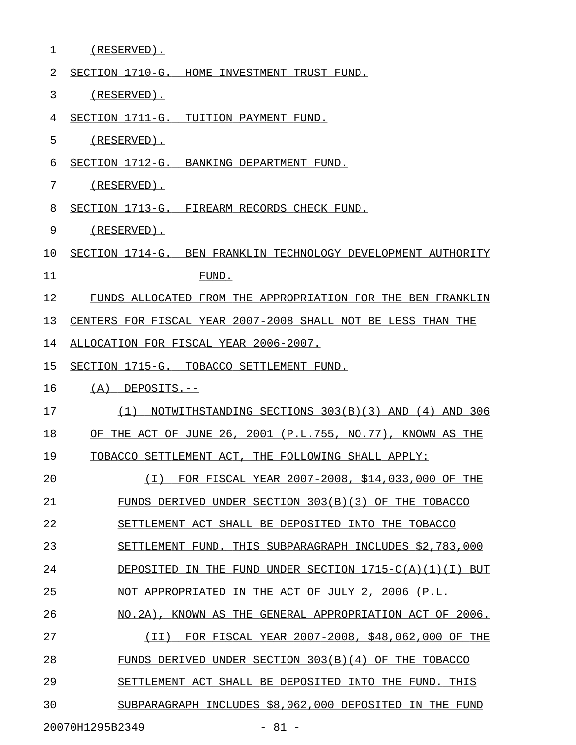| $\mathbf{1}$ | $(RESERVED)$ .                                                |
|--------------|---------------------------------------------------------------|
| 2            | SECTION 1710-G. HOME INVESTMENT TRUST FUND.                   |
| 3            | (RESERVED).                                                   |
| 4            | SECTION 1711-G. TUITION PAYMENT FUND.                         |
| 5            | (RESERVED).                                                   |
| 6            | SECTION 1712-G. BANKING DEPARTMENT FUND.                      |
| 7            | (RESERVED).                                                   |
| 8            | SECTION 1713-G. FIREARM RECORDS CHECK FUND.                   |
| 9            | (RESERVED).                                                   |
| 10           | SECTION 1714-G. BEN FRANKLIN TECHNOLOGY DEVELOPMENT AUTHORITY |
| 11           | FUND.                                                         |
| 12           | FUNDS ALLOCATED FROM THE APPROPRIATION FOR THE BEN FRANKLIN   |
| 13           | CENTERS FOR FISCAL YEAR 2007-2008 SHALL NOT BE LESS THAN THE  |
| 14           | ALLOCATION FOR FISCAL YEAR 2006-2007.                         |
| 15           | SECTION 1715-G. TOBACCO SETTLEMENT FUND.                      |
| 16           | $(A)$ DEPOSITS.--                                             |
| 17           | NOTWITHSTANDING SECTIONS 303(B)(3) AND (4) AND 306<br>(1)     |
| 18           | OF THE ACT OF JUNE 26, 2001 (P.L.755, NO.77), KNOWN AS THE    |
| 19           | TOBACCO SETTLEMENT ACT, THE FOLLOWING SHALL APPLY:            |
| 20           | FOR FISCAL YEAR 2007-2008, \$14,033,000 OF THE<br>(T)         |
| 21           | FUNDS DERIVED UNDER SECTION 303(B)(3) OF THE TOBACCO          |
| 22           | SETTLEMENT ACT SHALL BE DEPOSITED INTO THE TOBACCO            |
| 23           | SETTLEMENT FUND. THIS SUBPARAGRAPH INCLUDES \$2,783,000       |
| 24           | DEPOSITED IN THE FUND UNDER SECTION $1715-C(A)(1)(1)$ BUT     |
| 25           | NOT APPROPRIATED IN THE ACT OF JULY 2, 2006 (P.L.             |
| 26           | NO.2A), KNOWN AS THE GENERAL APPROPRIATION ACT OF 2006.       |
| 27           | FOR FISCAL YEAR 2007-2008, \$48,062,000 OF THE<br>( I I )     |
| 28           | FUNDS DERIVED UNDER SECTION 303(B)(4) OF THE TOBACCO          |
| 29           | SETTLEMENT ACT SHALL BE DEPOSITED INTO THE FUND. THIS         |
| 30           | SUBPARAGRAPH INCLUDES \$8,062,000 DEPOSITED IN THE FUND       |
|              | 20070H1295B2349<br>$-81 -$                                    |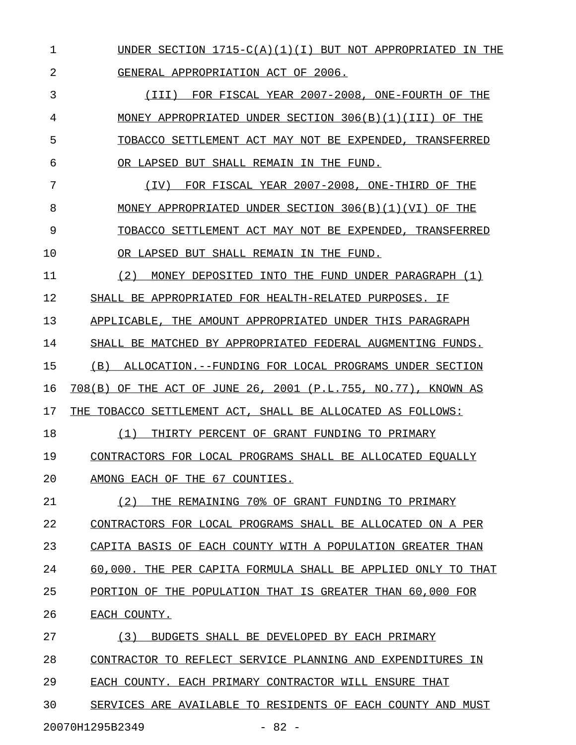1 UNDER SECTION  $1715-C(A)(1)(I)$  BUT NOT APPROPRIATED IN THE 2 GENERAL APPROPRIATION ACT OF 2006.

3 (III) FOR FISCAL YEAR 2007-2008, ONE-FOURTH OF THE 4 MONEY APPROPRIATED UNDER SECTION 306(B)(1)(III) OF THE 5 TOBACCO SETTLEMENT ACT MAY NOT BE EXPENDED, TRANSFERRED 6 OR LAPSED BUT SHALL REMAIN IN THE FUND.

7 (IV) FOR FISCAL YEAR 2007-2008, ONE-THIRD OF THE \_\_\_\_\_\_\_\_\_\_\_\_\_\_\_\_\_\_\_\_\_\_\_\_\_\_\_\_\_\_\_\_\_\_\_\_\_\_\_\_\_\_\_\_\_\_\_\_\_ 8 MONEY APPROPRIATED UNDER SECTION 306(B)(1)(VI) OF THE 9 TOBACCO SETTLEMENT ACT MAY NOT BE EXPENDED, TRANSFERRED 10 OR LAPSED BUT SHALL REMAIN IN THE FUND.

11 (2) MONEY DEPOSITED INTO THE FUND UNDER PARAGRAPH (1) 12 SHALL BE APPROPRIATED FOR HEALTH-RELATED PURPOSES. IF 13 APPLICABLE, THE AMOUNT APPROPRIATED UNDER THIS PARAGRAPH 14 SHALL BE MATCHED BY APPROPRIATED FEDERAL AUGMENTING FUNDS. 15 (B) ALLOCATION.--FUNDING FOR LOCAL PROGRAMS UNDER SECTION

16 708(B) OF THE ACT OF JUNE 26, 2001 (P.L.755, NO.77), KNOWN AS

17 THE TOBACCO SETTLEMENT ACT, SHALL BE ALLOCATED AS FOLLOWS:

18 (1) THIRTY PERCENT OF GRANT FUNDING TO PRIMARY \_\_\_\_\_\_\_\_\_\_\_\_\_\_\_\_\_\_\_\_\_\_\_\_\_\_\_\_\_\_\_\_\_\_\_\_\_\_\_\_\_\_\_\_\_\_\_ 19 CONTRACTORS FOR LOCAL PROGRAMS SHALL BE ALLOCATED EQUALLY

20 AMONG EACH OF THE 67 COUNTIES.

21 (2) THE REMAINING 70% OF GRANT FUNDING TO PRIMARY 22 CONTRACTORS FOR LOCAL PROGRAMS SHALL BE ALLOCATED ON A PER

23 CAPITA BASIS OF EACH COUNTY WITH A POPULATION GREATER THAN

24 60,000. THE PER CAPITA FORMULA SHALL BE APPLIED ONLY TO THAT

25 PORTION OF THE POPULATION THAT IS GREATER THAN 60,000 FOR

26 EACH COUNTY.

27 (3) BUDGETS SHALL BE DEVELOPED BY EACH PRIMARY

28 CONTRACTOR TO REFLECT SERVICE PLANNING AND EXPENDITURES IN

29 EACH COUNTY. EACH PRIMARY CONTRACTOR WILL ENSURE THAT

30 SERVICES ARE AVAILABLE TO RESIDENTS OF EACH COUNTY AND MUST

20070H1295B2349 - 82 -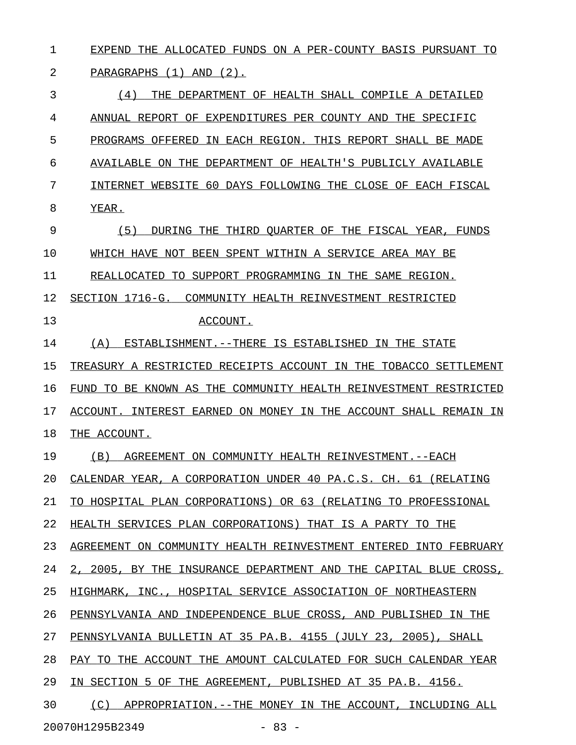1 EXPEND THE ALLOCATED FUNDS ON A PER-COUNTY BASIS PURSUANT TO

2 PARAGRAPHS (1) AND (2).

3 6 (4) THE DEPARTMENT OF HEALTH SHALL COMPILE A DETAILED 4 ANNUAL REPORT OF EXPENDITURES PER COUNTY AND THE SPECIFIC 5 PROGRAMS OFFERED IN EACH REGION. THIS REPORT SHALL BE MADE 6 AVAILABLE ON THE DEPARTMENT OF HEALTH'S PUBLICLY AVAILABLE 7 INTERNET WEBSITE 60 DAYS FOLLOWING THE CLOSE OF EACH FISCAL 8 YEAR.

9 (5) DURING THE THIRD QUARTER OF THE FISCAL YEAR, FUNDS 10 WHICH HAVE NOT BEEN SPENT WITHIN A SERVICE AREA MAY BE

11 REALLOCATED TO SUPPORT PROGRAMMING IN THE SAME REGION.

12 SECTION 1716-G. COMMUNITY HEALTH REINVESTMENT RESTRICTED

13 ACCOUNT.

14 (A) ESTABLISHMENT.--THERE IS ESTABLISHED IN THE STATE

15 TREASURY A RESTRICTED RECEIPTS ACCOUNT IN THE TOBACCO SETTLEMENT 16 FUND TO BE KNOWN AS THE COMMUNITY HEALTH REINVESTMENT RESTRICTED

17 ACCOUNT. INTEREST EARNED ON MONEY IN THE ACCOUNT SHALL REMAIN IN

18 THE ACCOUNT.

19 (B) AGREEMENT ON COMMUNITY HEALTH REINVESTMENT. --EACH

20 CALENDAR YEAR, A CORPORATION UNDER 40 PA.C.S. CH. 61 (RELATING

21 TO HOSPITAL PLAN CORPORATIONS) OR 63 (RELATING TO PROFESSIONAL

22 HEALTH SERVICES PLAN CORPORATIONS) THAT IS A PARTY TO THE

23 AGREEMENT ON COMMUNITY HEALTH REINVESTMENT ENTERED INTO FEBRUARY

24 2, 2005, BY THE INSURANCE DEPARTMENT AND THE CAPITAL BLUE CROSS,

25 HIGHMARK, INC., HOSPITAL SERVICE ASSOCIATION OF NORTHEASTERN

26 PENNSYLVANIA AND INDEPENDENCE BLUE CROSS, AND PUBLISHED IN THE

27 PENNSYLVANIA BULLETIN AT 35 PA.B. 4155 (JULY 23, 2005), SHALL

28 PAY TO THE ACCOUNT THE AMOUNT CALCULATED FOR SUCH CALENDAR YEAR

29 IN SECTION 5 OF THE AGREEMENT, PUBLISHED AT 35 PA.B. 4156.

30 (C) APPROPRIATION.--THE MONEY IN THE ACCOUNT, INCLUDING ALL

20070H1295B2349 - 83 -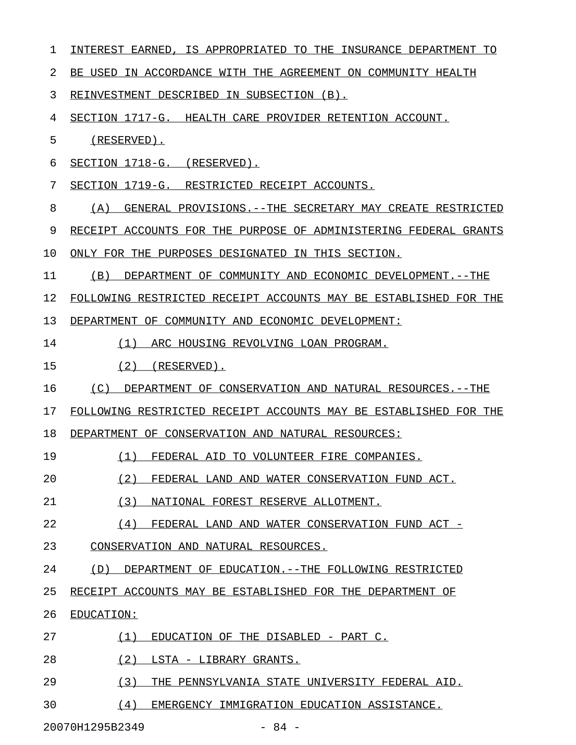| 1  | INTEREST EARNED, IS APPROPRIATED TO THE INSURANCE DEPARTMENT TO   |
|----|-------------------------------------------------------------------|
| 2  | BE USED IN ACCORDANCE WITH THE AGREEMENT ON COMMUNITY HEALTH      |
| 3  | REINVESTMENT DESCRIBED IN SUBSECTION (B).                         |
| 4  | SECTION 1717-G. HEALTH CARE PROVIDER RETENTION ACCOUNT.           |
| 5  | $(RESERVED)$ .                                                    |
| 6  | SECTION 1718-G. (RESERVED).                                       |
| 7  | SECTION 1719-G. RESTRICTED RECEIPT ACCOUNTS.                      |
| 8  | GENERAL PROVISIONS. -- THE SECRETARY MAY CREATE RESTRICTED<br>(A) |
| 9  | RECEIPT ACCOUNTS FOR THE PURPOSE OF ADMINISTERING FEDERAL GRANTS  |
| 10 | ONLY FOR THE PURPOSES DESIGNATED IN THIS SECTION.                 |
| 11 | (B)<br>DEPARTMENT OF COMMUNITY AND ECONOMIC DEVELOPMENT. --THE    |
| 12 | FOLLOWING RESTRICTED RECEIPT ACCOUNTS MAY BE ESTABLISHED FOR THE  |
| 13 | DEPARTMENT OF COMMUNITY AND ECONOMIC DEVELOPMENT:                 |
| 14 | (1) ARC HOUSING REVOLVING LOAN PROGRAM.                           |
| 15 | $(2)$ (RESERVED).                                                 |
| 16 | (C)<br>DEPARTMENT OF CONSERVATION AND NATURAL RESOURCES.--THE     |
| 17 | FOLLOWING RESTRICTED RECEIPT ACCOUNTS MAY BE ESTABLISHED FOR THE  |
| 18 | DEPARTMENT OF CONSERVATION AND NATURAL RESOURCES:                 |
| 19 | (1)<br>FEDERAL AID TO VOLUNTEER FIRE COMPANIES.                   |
| 20 | (2)<br>FEDERAL LAND AND WATER CONSERVATION FUND ACT.              |
| 21 | (3)<br>NATIONAL FOREST RESERVE ALLOTMENT.                         |
| 22 | (4)<br>FEDERAL LAND AND WATER CONSERVATION FUND ACT -             |
| 23 | CONSERVATION AND NATURAL RESOURCES.                               |
| 24 | DEPARTMENT OF EDUCATION. --THE FOLLOWING RESTRICTED<br>(D)        |
| 25 | RECEIPT ACCOUNTS MAY BE ESTABLISHED FOR THE DEPARTMENT OF         |
| 26 | EDUCATION:                                                        |
| 27 | (1)<br>EDUCATION OF THE DISABLED - PART C.                        |
| 28 | (2)<br>LSTA - LIBRARY GRANTS.                                     |
| 29 | (3)<br>THE PENNSYLVANIA STATE UNIVERSITY FEDERAL AID.             |
| 30 | (4)<br>EMERGENCY IMMIGRATION EDUCATION ASSISTANCE.                |

20070H1295B2349 - 84 -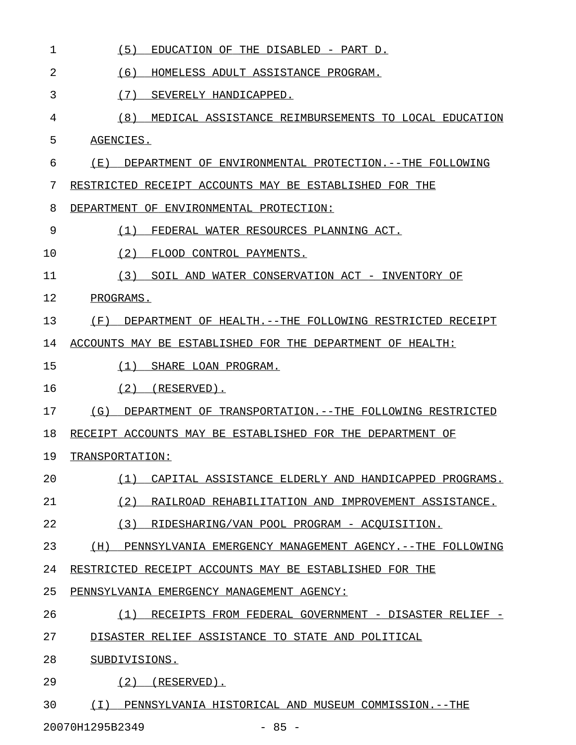| 1  | (5)<br>EDUCATION OF THE DISABLED - PART D.                     |
|----|----------------------------------------------------------------|
| 2  | (6)<br>HOMELESS ADULT ASSISTANCE PROGRAM.                      |
| 3  | (7)<br>SEVERELY HANDICAPPED.                                   |
| 4  | (8)<br>MEDICAL ASSISTANCE REIMBURSEMENTS TO LOCAL EDUCATION    |
| 5  | AGENCIES.                                                      |
| 6  | (E)<br>DEPARTMENT OF ENVIRONMENTAL PROTECTION.--THE FOLLOWING  |
| 7  | RESTRICTED RECEIPT ACCOUNTS MAY BE ESTABLISHED FOR THE         |
| 8  | DEPARTMENT OF ENVIRONMENTAL PROTECTION:                        |
| 9  | (1)<br>FEDERAL WATER RESOURCES PLANNING ACT.                   |
| 10 | (2)<br>FLOOD CONTROL PAYMENTS.                                 |
| 11 | (3)<br>SOIL AND WATER CONSERVATION ACT - INVENTORY OF          |
| 12 | PROGRAMS.                                                      |
| 13 | (F)<br>DEPARTMENT OF HEALTH.--THE FOLLOWING RESTRICTED RECEIPT |
| 14 | ACCOUNTS MAY BE ESTABLISHED FOR THE DEPARTMENT OF HEALTH:      |
| 15 | (1)<br>SHARE LOAN PROGRAM.                                     |
| 16 | (2)<br>$(RESERVED)$ .                                          |
| 17 | (G)<br>DEPARTMENT OF TRANSPORTATION.--THE FOLLOWING RESTRICTED |
| 18 | RECEIPT ACCOUNTS MAY BE ESTABLISHED FOR THE DEPARTMENT OF      |
| 19 | TRANSPORTATION:                                                |
| 20 | (1)<br>CAPITAL ASSISTANCE ELDERLY AND HANDICAPPED PROGRAMS.    |
| 21 | (2) RAILROAD REHABILITATION AND IMPROVEMENT ASSISTANCE.        |
| 22 | (3)<br>RIDESHARING/VAN POOL PROGRAM - ACQUISITION.             |
| 23 | (H) PENNSYLVANIA EMERGENCY MANAGEMENT AGENCY.--THE FOLLOWING   |
| 24 | RESTRICTED RECEIPT ACCOUNTS MAY BE ESTABLISHED FOR THE         |
| 25 | PENNSYLVANIA EMERGENCY MANAGEMENT AGENCY:                      |
| 26 | RECEIPTS FROM FEDERAL GOVERNMENT - DISASTER RELIEF -<br>(1)    |
| 27 | DISASTER RELIEF ASSISTANCE TO STATE AND POLITICAL              |
| 28 | SUBDIVISIONS.                                                  |
| 29 | $(2)$ (RESERVED).                                              |
| 30 | (I) PENNSYLVANIA HISTORICAL AND MUSEUM COMMISSION. -- THE      |

20070H1295B2349 - 85 -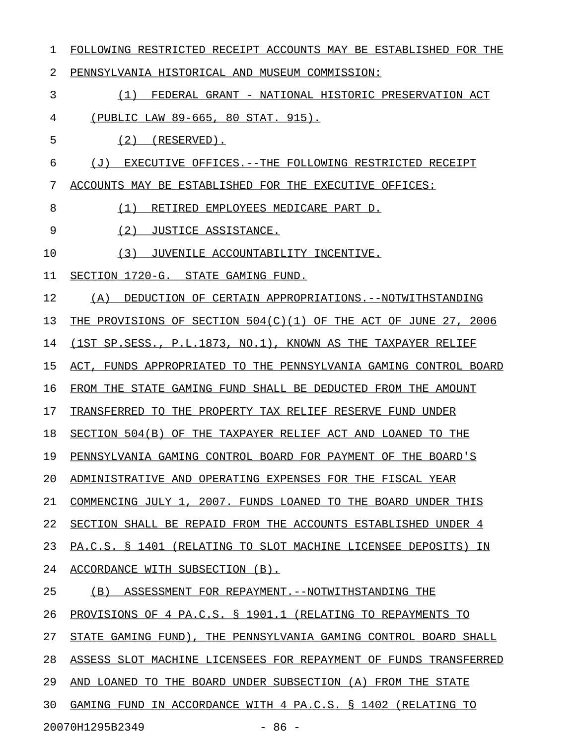| 1  | FOLLOWING RESTRICTED RECEIPT ACCOUNTS MAY BE ESTABLISHED FOR THE |
|----|------------------------------------------------------------------|
| 2  | PENNSYLVANIA HISTORICAL AND MUSEUM COMMISSION:                   |
| 3  | (1) FEDERAL GRANT - NATIONAL HISTORIC PRESERVATION ACT           |
| 4  | (PUBLIC LAW 89-665, 80 STAT. 915).                               |
| 5  | $(2)$ (RESERVED).                                                |
| 6  | (J) EXECUTIVE OFFICES.--THE FOLLOWING RESTRICTED RECEIPT         |
| 7  | ACCOUNTS MAY BE ESTABLISHED FOR THE EXECUTIVE OFFICES:           |
| 8  | RETIRED EMPLOYEES MEDICARE PART D.<br>(1)                        |
| 9  | (2) JUSTICE ASSISTANCE.                                          |
| 10 | JUVENILE ACCOUNTABILITY INCENTIVE.<br>(3)                        |
| 11 | SECTION 1720-G. STATE GAMING FUND.                               |
| 12 | (A) DEDUCTION OF CERTAIN APPROPRIATIONS.--NOTWITHSTANDING        |
| 13 | THE PROVISIONS OF SECTION 504(C)(1) OF THE ACT OF JUNE 27, 2006  |
| 14 | (1ST SP. SESS., P.L. 1873, NO. 1), KNOWN AS THE TAXPAYER RELIEF  |
| 15 | ACT, FUNDS APPROPRIATED TO THE PENNSYLVANIA GAMING CONTROL BOARD |
| 16 | FROM THE STATE GAMING FUND SHALL BE DEDUCTED FROM THE AMOUNT     |
| 17 | TRANSFERRED TO THE PROPERTY TAX RELIEF RESERVE FUND UNDER        |
| 18 | SECTION 504(B) OF THE TAXPAYER RELIEF ACT AND LOANED TO THE      |
| 19 | PENNSYLVANIA GAMING CONTROL BOARD FOR PAYMENT OF THE BOARD'S     |
| 20 | ADMINISTRATIVE AND OPERATING EXPENSES FOR THE FISCAL YEAR        |
| 21 | COMMENCING JULY 1, 2007. FUNDS LOANED TO THE BOARD UNDER THIS    |
| 22 | SECTION SHALL BE REPAID FROM THE ACCOUNTS ESTABLISHED UNDER 4    |
| 23 | PA.C.S. § 1401 (RELATING TO SLOT MACHINE LICENSEE DEPOSITS) IN   |
| 24 | ACCORDANCE WITH SUBSECTION (B).                                  |
| 25 | (B)<br>ASSESSMENT FOR REPAYMENT. -- NOTWITHSTANDING THE          |
| 26 | PROVISIONS OF 4 PA.C.S. § 1901.1 (RELATING TO REPAYMENTS TO      |
| 27 | STATE GAMING FUND), THE PENNSYLVANIA GAMING CONTROL BOARD SHALL  |
| 28 | ASSESS SLOT MACHINE LICENSEES FOR REPAYMENT OF FUNDS TRANSFERRED |
| 29 | AND LOANED<br>TO THE BOARD UNDER SUBSECTION (A) FROM THE STATE   |
| 30 | GAMING FUND IN ACCORDANCE WITH 4 PA.C.S. § 1402 (RELATING TO     |
|    | 20070H1295B2349<br>$-86 -$                                       |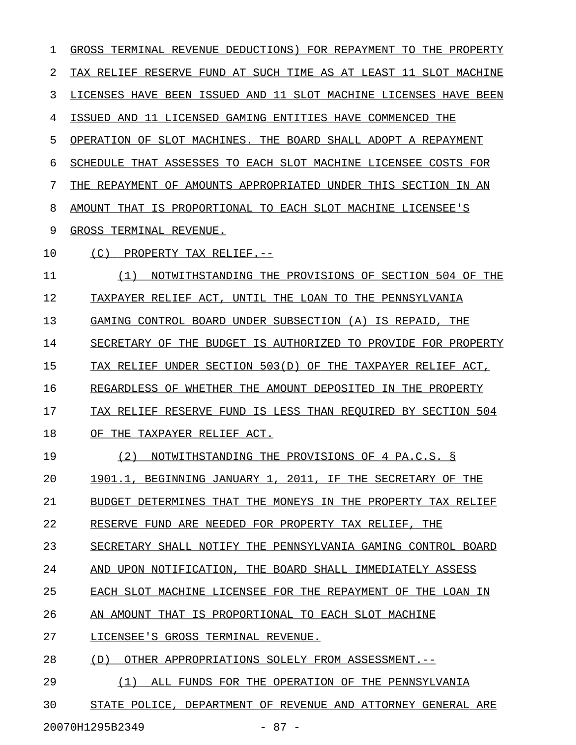1 GROSS TERMINAL REVENUE DEDUCTIONS) FOR REPAYMENT TO THE PROPERTY 2 TAX RELIEF RESERVE FUND AT SUCH TIME AS AT LEAST 11 SLOT MACHINE 3 LICENSES HAVE BEEN ISSUED AND 11 SLOT MACHINE LICENSES HAVE BEEN 4 ISSUED AND 11 LICENSED GAMING ENTITIES HAVE COMMENCED THE 5 OPERATION OF SLOT MACHINES. THE BOARD SHALL ADOPT A REPAYMENT 6 SCHEDULE THAT ASSESSES TO EACH SLOT MACHINE LICENSEE COSTS FOR 7 THE REPAYMENT OF AMOUNTS APPROPRIATED UNDER THIS SECTION IN AN 8 AMOUNT THAT IS PROPORTIONAL TO EACH SLOT MACHINE LICENSEE'S 9 GROSS TERMINAL REVENUE. 10 (C) PROPERTY TAX RELIEF.--11 (1) NOTWITHSTANDING THE PROVISIONS OF SECTION 504 OF THE 12 TAXPAYER RELIEF ACT, UNTIL THE LOAN TO THE PENNSYLVANIA 13 GAMING CONTROL BOARD UNDER SUBSECTION (A) IS REPAID, THE 14 SECRETARY OF THE BUDGET IS AUTHORIZED TO PROVIDE FOR PROPERTY 15 TAX RELIEF UNDER SECTION 503(D) OF THE TAXPAYER RELIEF ACT, 16 REGARDLESS OF WHETHER THE AMOUNT DEPOSITED IN THE PROPERTY 17 TAX RELIEF RESERVE FUND IS LESS THAN REQUIRED BY SECTION 504 18 OF THE TAXPAYER RELIEF ACT. 19 (2) NOTWITHSTANDING THE PROVISIONS OF 4 PA.C.S. § 20 1901.1, BEGINNING JANUARY 1, 2011, IF THE SECRETARY OF THE 21 BUDGET DETERMINES THAT THE MONEYS IN THE PROPERTY TAX RELIEF 22 RESERVE FUND ARE NEEDED FOR PROPERTY TAX RELIEF, THE 23 SECRETARY SHALL NOTIFY THE PENNSYLVANIA GAMING CONTROL BOARD 24 AND UPON NOTIFICATION, THE BOARD SHALL IMMEDIATELY ASSESS 25 EACH SLOT MACHINE LICENSEE FOR THE REPAYMENT OF THE LOAN IN 26 AN AMOUNT THAT IS PROPORTIONAL TO EACH SLOT MACHINE 27 LICENSEE'S GROSS TERMINAL REVENUE. 28 (D) OTHER APPROPRIATIONS SOLELY FROM ASSESSMENT.--29 (1) ALL FUNDS FOR THE OPERATION OF THE PENNSYLVANIA \_\_\_\_\_\_\_\_\_\_\_\_\_\_\_\_\_\_\_\_\_\_\_\_\_\_\_\_\_\_\_\_\_\_\_\_\_\_\_\_\_\_\_\_\_\_\_\_\_\_\_\_ 30 STATE POLICE, DEPARTMENT OF REVENUE AND ATTORNEY GENERAL ARE

20070H1295B2349 - 87 -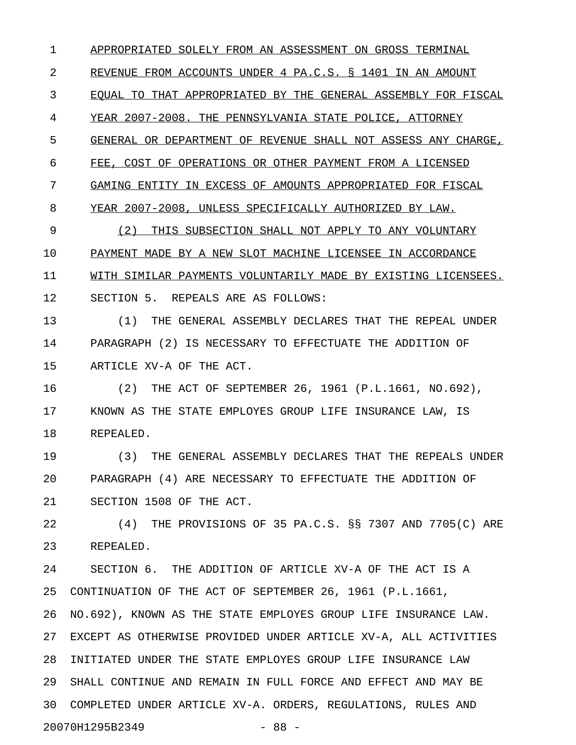1 APPROPRIATED SOLELY FROM AN ASSESSMENT ON GROSS TERMINAL 2 REVENUE FROM ACCOUNTS UNDER 4 PA.C.S. § 1401 IN AN AMOUNT 3 EQUAL TO THAT APPROPRIATED BY THE GENERAL ASSEMBLY FOR FISCAL 4 YEAR 2007-2008. THE PENNSYLVANIA STATE POLICE, ATTORNEY 5 GENERAL OR DEPARTMENT OF REVENUE SHALL NOT ASSESS ANY CHARGE, 6 FEE, COST OF OPERATIONS OR OTHER PAYMENT FROM A LICENSED 7 GAMING ENTITY IN EXCESS OF AMOUNTS APPROPRIATED FOR FISCAL 8 YEAR 2007-2008, UNLESS SPECIFICALLY AUTHORIZED BY LAW.

9 (2) THIS SUBSECTION SHALL NOT APPLY TO ANY VOLUNTARY 10 PAYMENT MADE BY A NEW SLOT MACHINE LICENSEE IN ACCORDANCE 11 WITH SIMILAR PAYMENTS VOLUNTARILY MADE BY EXISTING LICENSEES. 12 SECTION 5. REPEALS ARE AS FOLLOWS:

13 (1) THE GENERAL ASSEMBLY DECLARES THAT THE REPEAL UNDER 14 PARAGRAPH (2) IS NECESSARY TO EFFECTUATE THE ADDITION OF 15 ARTICLE XV-A OF THE ACT.

16 (2) THE ACT OF SEPTEMBER 26, 1961 (P.L.1661, NO.692), 17 KNOWN AS THE STATE EMPLOYES GROUP LIFE INSURANCE LAW, IS 18 REPEALED.

19 (3) THE GENERAL ASSEMBLY DECLARES THAT THE REPEALS UNDER 20 PARAGRAPH (4) ARE NECESSARY TO EFFECTUATE THE ADDITION OF 21 SECTION 1508 OF THE ACT.

22 (4) THE PROVISIONS OF 35 PA.C.S. §§ 7307 AND 7705(C) ARE 23 REPEALED.

24 SECTION 6. THE ADDITION OF ARTICLE XV-A OF THE ACT IS A 25 CONTINUATION OF THE ACT OF SEPTEMBER 26, 1961 (P.L.1661, 26 NO.692), KNOWN AS THE STATE EMPLOYES GROUP LIFE INSURANCE LAW. 27 EXCEPT AS OTHERWISE PROVIDED UNDER ARTICLE XV-A, ALL ACTIVITIES 28 INITIATED UNDER THE STATE EMPLOYES GROUP LIFE INSURANCE LAW 29 SHALL CONTINUE AND REMAIN IN FULL FORCE AND EFFECT AND MAY BE 30 COMPLETED UNDER ARTICLE XV-A. ORDERS, REGULATIONS, RULES AND 20070H1295B2349 - 88 -